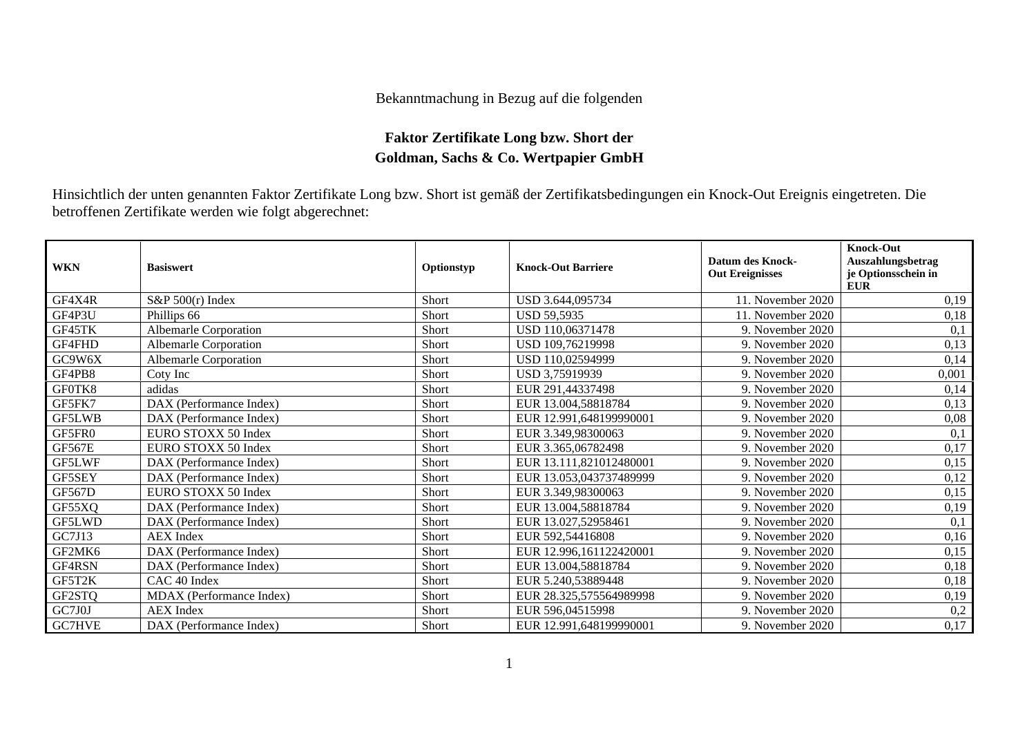## Bekanntmachung in Bezug auf die folgenden

## **Faktor Zertifikate Long bzw. Short der Goldman, Sachs & Co. Wertpapier GmbH**

Hinsichtlich der unten genannten Faktor Zertifikate Long bzw. Short ist gemäß der Zertifikatsbedingungen ein Knock-Out Ereignis eingetreten. Die betroffenen Zertifikate werden wie folgt abgerechnet:

| <b>WKN</b>    | <b>Basiswert</b>             | Optionstyp | <b>Knock-Out Barriere</b> | Datum des Knock-<br><b>Out Ereignisses</b> | <b>Knock-Out</b><br>Auszahlungsbetrag<br>je Optionsschein in<br><b>EUR</b> |
|---------------|------------------------------|------------|---------------------------|--------------------------------------------|----------------------------------------------------------------------------|
| GF4X4R        | S&P 500(r) Index             | Short      | USD 3.644,095734          | 11. November 2020                          | 0,19                                                                       |
| GF4P3U        | Phillips 66                  | Short      | <b>USD 59,5935</b>        | 11. November 2020                          | 0,18                                                                       |
| GF45TK        | <b>Albemarle Corporation</b> | Short      | USD 110,06371478          | 9. November 2020                           | 0,1                                                                        |
| GF4FHD        | <b>Albemarle Corporation</b> | Short      | USD 109,76219998          | 9. November 2020                           | 0,13                                                                       |
| GC9W6X        | <b>Albemarle Corporation</b> | Short      | USD 110,02594999          | 9. November 2020                           | 0,14                                                                       |
| GF4PB8        | Coty Inc                     | Short      | USD 3,75919939            | 9. November 2020                           | 0,001                                                                      |
| GF0TK8        | adidas                       | Short      | EUR 291,44337498          | 9. November 2020                           | 0,14                                                                       |
| GF5FK7        | DAX (Performance Index)      | Short      | EUR 13.004,58818784       | 9. November 2020                           | 0,13                                                                       |
| GF5LWB        | DAX (Performance Index)      | Short      | EUR 12.991,648199990001   | 9. November 2020                           | 0,08                                                                       |
| GF5FR0        | EURO STOXX 50 Index          | Short      | EUR 3.349,98300063        | 9. November 2020                           | 0,1                                                                        |
| GF567E        | EURO STOXX 50 Index          | Short      | EUR 3.365,06782498        | 9. November 2020                           | 0,17                                                                       |
| GF5LWF        | DAX (Performance Index)      | Short      | EUR 13.111,821012480001   | 9. November 2020                           | 0,15                                                                       |
| GF5SEY        | DAX (Performance Index)      | Short      | EUR 13.053,043737489999   | 9. November 2020                           | 0,12                                                                       |
| <b>GF567D</b> | EURO STOXX 50 Index          | Short      | EUR 3.349,98300063        | 9. November 2020                           | 0,15                                                                       |
| GF55XQ        | DAX (Performance Index)      | Short      | EUR 13.004,58818784       | 9. November 2020                           | 0,19                                                                       |
| GF5LWD        | DAX (Performance Index)      | Short      | EUR 13.027,52958461       | 9. November 2020                           | 0,1                                                                        |
| GC7J13        | <b>AEX</b> Index             | Short      | EUR 592,54416808          | 9. November 2020                           | 0,16                                                                       |
| GF2MK6        | DAX (Performance Index)      | Short      | EUR 12.996,161122420001   | 9. November 2020                           | 0,15                                                                       |
| GF4RSN        | DAX (Performance Index)      | Short      | EUR 13.004,58818784       | 9. November 2020                           | 0,18                                                                       |
| GF5T2K        | CAC <sub>40</sub> Index      | Short      | EUR 5.240,53889448        | 9. November 2020                           | 0,18                                                                       |
| GF2STQ        | MDAX (Performance Index)     | Short      | EUR 28.325,575564989998   | 9. November 2020                           | 0,19                                                                       |
| GC7J0J        | <b>AEX</b> Index             | Short      | EUR 596,04515998          | 9. November 2020                           | 0,2                                                                        |
| <b>GC7HVE</b> | DAX (Performance Index)      | Short      | EUR 12.991,648199990001   | 9. November 2020                           | 0,17                                                                       |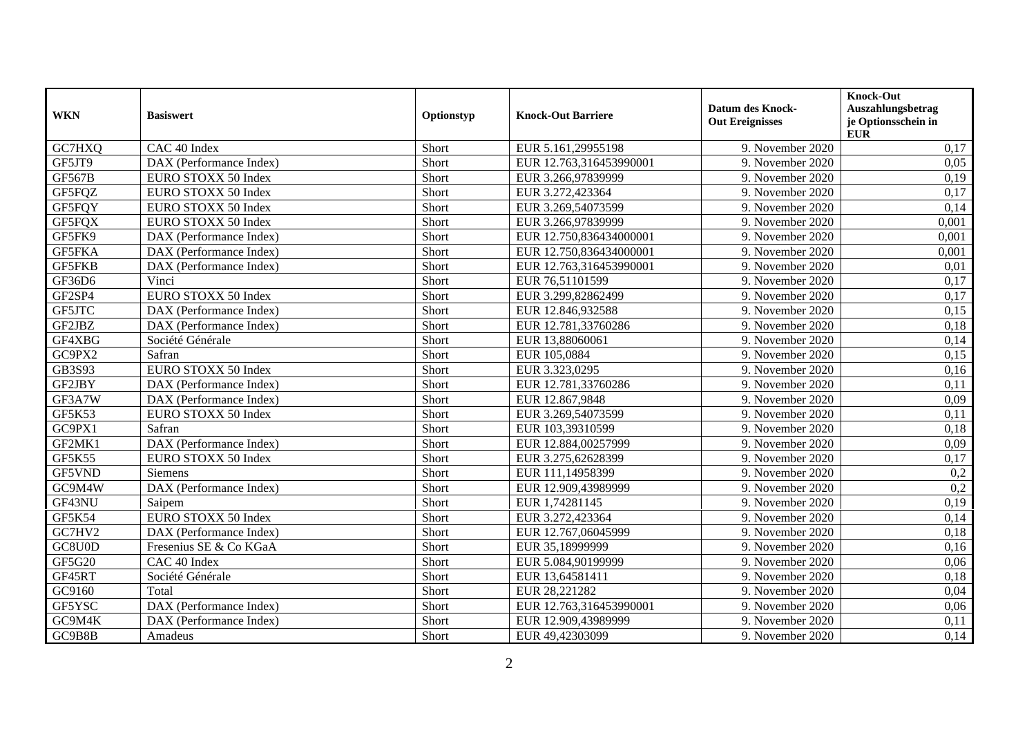| <b>WKN</b>    | <b>Basiswert</b>        | Optionstyp | <b>Knock-Out Barriere</b> | <b>Datum des Knock-</b><br><b>Out Ereignisses</b> | <b>Knock-Out</b><br>Auszahlungsbetrag<br>je Optionsschein in<br>${\bf E} {\bf U} {\bf R}$ |
|---------------|-------------------------|------------|---------------------------|---------------------------------------------------|-------------------------------------------------------------------------------------------|
| GC7HXQ        | CAC 40 Index            | Short      | EUR 5.161,29955198        | 9. November 2020                                  | 0,17                                                                                      |
| GF5JT9        | DAX (Performance Index) | Short      | EUR 12.763,316453990001   | 9. November 2020                                  | 0.05                                                                                      |
| <b>GF567B</b> | EURO STOXX 50 Index     | Short      | EUR 3.266,97839999        | 9. November 2020                                  | 0,19                                                                                      |
| GF5FQZ        | EURO STOXX 50 Index     | Short      | EUR 3.272,423364          | 9. November 2020                                  | 0,17                                                                                      |
| GF5FQY        | EURO STOXX 50 Index     | Short      | EUR 3.269,54073599        | 9. November 2020                                  | 0,14                                                                                      |
| GF5FQX        | EURO STOXX 50 Index     | Short      | EUR 3.266,97839999        | 9. November 2020                                  | 0,001                                                                                     |
| GF5FK9        | DAX (Performance Index) | Short      | EUR 12.750,836434000001   | 9. November 2020                                  | 0,001                                                                                     |
| <b>GF5FKA</b> | DAX (Performance Index) | Short      | EUR 12.750,836434000001   | 9. November 2020                                  | 0,001                                                                                     |
| <b>GF5FKB</b> | DAX (Performance Index) | Short      | EUR 12.763,316453990001   | 9. November 2020                                  | 0,01                                                                                      |
| GF36D6        | Vinci                   | Short      | EUR 76,51101599           | 9. November 2020                                  | 0,17                                                                                      |
| GF2SP4        | EURO STOXX 50 Index     | Short      | EUR 3.299,82862499        | 9. November 2020                                  | 0,17                                                                                      |
| GF5JTC        | DAX (Performance Index) | Short      | EUR 12.846,932588         | 9. November 2020                                  | 0,15                                                                                      |
| GF2JBZ        | DAX (Performance Index) | Short      | EUR 12.781,33760286       | 9. November 2020                                  | 0,18                                                                                      |
| GF4XBG        | Société Générale        | Short      | EUR 13,88060061           | 9. November 2020                                  | 0,14                                                                                      |
| GC9PX2        | Safran                  | Short      | EUR 105,0884              | 9. November 2020                                  | 0,15                                                                                      |
| GB3S93        | EURO STOXX 50 Index     | Short      | EUR 3.323,0295            | 9. November 2020                                  | 0,16                                                                                      |
| GF2JBY        | DAX (Performance Index) | Short      | EUR 12.781,33760286       | 9. November 2020                                  | 0,11                                                                                      |
| GF3A7W        | DAX (Performance Index) | Short      | EUR 12.867,9848           | 9. November 2020                                  | 0,09                                                                                      |
| GF5K53        | EURO STOXX 50 Index     | Short      | EUR 3.269,54073599        | 9. November 2020                                  | 0,11                                                                                      |
| GC9PX1        | Safran                  | Short      | EUR 103,39310599          | 9. November 2020                                  | 0,18                                                                                      |
| GF2MK1        | DAX (Performance Index) | Short      | EUR 12.884,00257999       | 9. November 2020                                  | 0,09                                                                                      |
| GF5K55        | EURO STOXX 50 Index     | Short      | EUR 3.275,62628399        | 9. November 2020                                  | 0,17                                                                                      |
| GF5VND        | Siemens                 | Short      | EUR 111,14958399          | 9. November 2020                                  | 0,2                                                                                       |
| GC9M4W        | DAX (Performance Index) | Short      | EUR 12.909,43989999       | 9. November 2020                                  | 0,2                                                                                       |
| GF43NU        | Saipem                  | Short      | EUR 1,74281145            | 9. November 2020                                  | 0,19                                                                                      |
| GF5K54        | EURO STOXX 50 Index     | Short      | EUR 3.272,423364          | 9. November 2020                                  | 0,14                                                                                      |
| GC7HV2        | DAX (Performance Index) | Short      | EUR 12.767,06045999       | 9. November 2020                                  | 0,18                                                                                      |
| GC8U0D        | Fresenius SE & Co KGaA  | Short      | EUR 35,18999999           | 9. November 2020                                  | 0,16                                                                                      |
| GF5G20        | CAC 40 Index            | Short      | EUR 5.084,90199999        | 9. November 2020                                  | 0,06                                                                                      |
| GF45RT        | Société Générale        | Short      | EUR 13,64581411           | 9. November 2020                                  | 0,18                                                                                      |
| GC9160        | Total                   | Short      | EUR 28,221282             | 9. November 2020                                  | 0,04                                                                                      |
| GF5YSC        | DAX (Performance Index) | Short      | EUR 12.763,316453990001   | 9. November 2020                                  | 0,06                                                                                      |
| GC9M4K        | DAX (Performance Index) | Short      | EUR 12.909,43989999       | 9. November 2020                                  | 0,11                                                                                      |
| GC9B8B        | Amadeus                 | Short      | EUR 49,42303099           | 9. November 2020                                  | 0,14                                                                                      |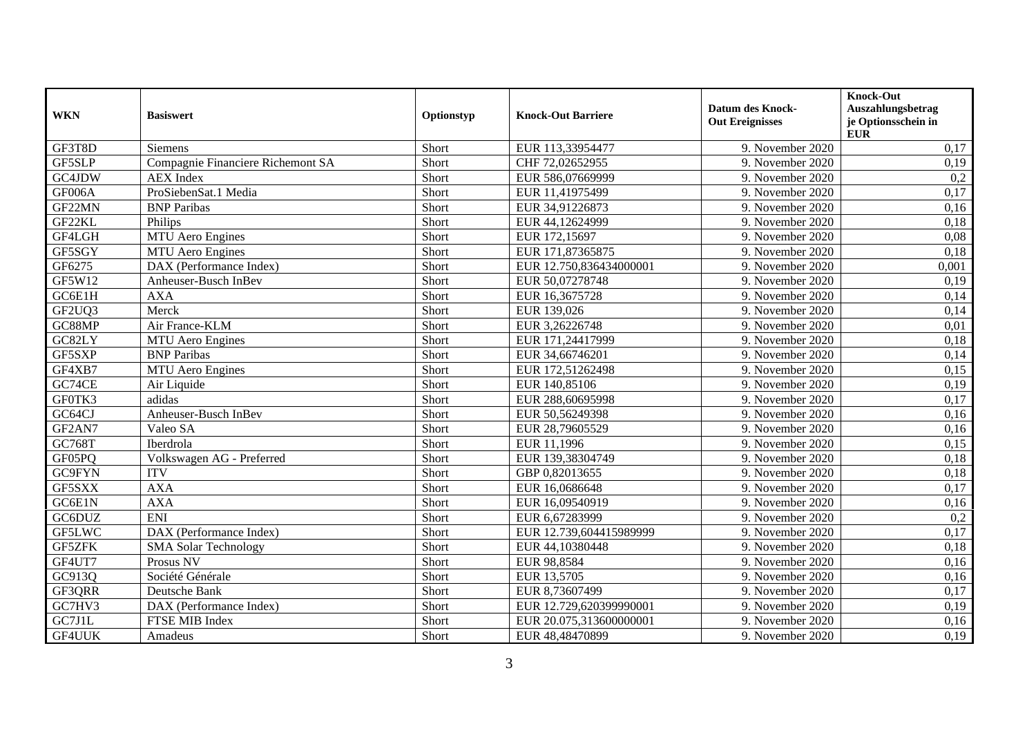| <b>WKN</b>    | <b>Basiswert</b>                  | Optionstyp | <b>Knock-Out Barriere</b> | <b>Datum des Knock-</b><br><b>Out Ereignisses</b> | <b>Knock-Out</b><br>Auszahlungsbetrag<br>je Optionsschein in<br><b>EUR</b> |
|---------------|-----------------------------------|------------|---------------------------|---------------------------------------------------|----------------------------------------------------------------------------|
| GF3T8D        | Siemens                           | Short      | EUR 113,33954477          | 9. November 2020                                  | 0,17                                                                       |
| GF5SLP        | Compagnie Financiere Richemont SA | Short      | CHF 72,02652955           | 9. November 2020                                  | 0,19                                                                       |
| GC4JDW        | <b>AEX</b> Index                  | Short      | EUR 586,07669999          | 9. November 2020                                  | 0,2                                                                        |
| GF006A        | ProSiebenSat.1 Media              | Short      | EUR 11,41975499           | 9. November 2020                                  | 0,17                                                                       |
| GF22MN        | <b>BNP</b> Paribas                | Short      | EUR 34,91226873           | 9. November 2020                                  | 0,16                                                                       |
| GF22KL        | Philips                           | Short      | EUR 44,12624999           | 9. November 2020                                  | 0,18                                                                       |
| GF4LGH        | MTU Aero Engines                  | Short      | EUR 172,15697             | 9. November 2020                                  | 0,08                                                                       |
| GF5SGY        | MTU Aero Engines                  | Short      | EUR 171,87365875          | 9. November 2020                                  | 0.18                                                                       |
| GF6275        | DAX (Performance Index)           | Short      | EUR 12.750,836434000001   | 9. November 2020                                  | 0,001                                                                      |
| GF5W12        | Anheuser-Busch InBev              | Short      | EUR 50,07278748           | 9. November 2020                                  | 0,19                                                                       |
| GC6E1H        | <b>AXA</b>                        | Short      | EUR 16,3675728            | 9. November 2020                                  | 0,14                                                                       |
| GF2UQ3        | Merck                             | Short      | EUR 139,026               | 9. November 2020                                  | 0,14                                                                       |
| GC88MP        | Air France-KLM                    | Short      | EUR 3,26226748            | 9. November 2020                                  | 0,01                                                                       |
| GC82LY        | <b>MTU</b> Aero Engines           | Short      | EUR 171,24417999          | 9. November 2020                                  | 0,18                                                                       |
| GF5SXP        | <b>BNP</b> Paribas                | Short      | EUR 34,66746201           | 9. November 2020                                  | 0,14                                                                       |
| GF4XB7        | <b>MTU</b> Aero Engines           | Short      | EUR 172,51262498          | 9. November 2020                                  | 0,15                                                                       |
| GC74CE        | Air Liquide                       | Short      | EUR 140,85106             | 9. November 2020                                  | 0,19                                                                       |
| GF0TK3        | adidas                            | Short      | EUR 288,60695998          | 9. November 2020                                  | 0,17                                                                       |
| GC64CJ        | Anheuser-Busch InBev              | Short      | EUR 50,56249398           | 9. November 2020                                  | 0,16                                                                       |
| GF2AN7        | Valeo SA                          | Short      | EUR 28,79605529           | 9. November 2020                                  | 0,16                                                                       |
| GC768T        | Iberdrola                         | Short      | EUR 11,1996               | 9. November 2020                                  | 0,15                                                                       |
| GF05PQ        | Volkswagen AG - Preferred         | Short      | EUR 139,38304749          | 9. November 2020                                  | 0,18                                                                       |
| <b>GC9FYN</b> | <b>ITV</b>                        | Short      | GBP 0,82013655            | 9. November 2020                                  | 0,18                                                                       |
| GF5SXX        | <b>AXA</b>                        | Short      | EUR 16,0686648            | 9. November 2020                                  | 0,17                                                                       |
| GC6E1N        | <b>AXA</b>                        | Short      | EUR 16,09540919           | 9. November 2020                                  | 0,16                                                                       |
| GC6DUZ        | <b>ENI</b>                        | Short      | EUR 6,67283999            | 9. November 2020                                  | 0,2                                                                        |
| GF5LWC        | DAX (Performance Index)           | Short      | EUR 12.739,604415989999   | 9. November 2020                                  | 0,17                                                                       |
| GF5ZFK        | <b>SMA Solar Technology</b>       | Short      | EUR 44,10380448           | 9. November 2020                                  | 0,18                                                                       |
| GF4UT7        | Prosus NV                         | Short      | EUR 98,8584               | 9. November 2020                                  | 0,16                                                                       |
| GC913Q        | Société Générale                  | Short      | EUR 13,5705               | 9. November 2020                                  | 0,16                                                                       |
| GF3QRR        | Deutsche Bank                     | Short      | EUR 8,73607499            | 9. November 2020                                  | 0,17                                                                       |
| GC7HV3        | DAX (Performance Index)           | Short      | EUR 12.729,620399990001   | 9. November 2020                                  | 0,19                                                                       |
| GC7J1L        | FTSE MIB Index                    | Short      | EUR 20.075,313600000001   | 9. November 2020                                  | 0,16                                                                       |
| <b>GF4UUK</b> | Amadeus                           | Short      | EUR 48,48470899           | 9. November 2020                                  | 0,19                                                                       |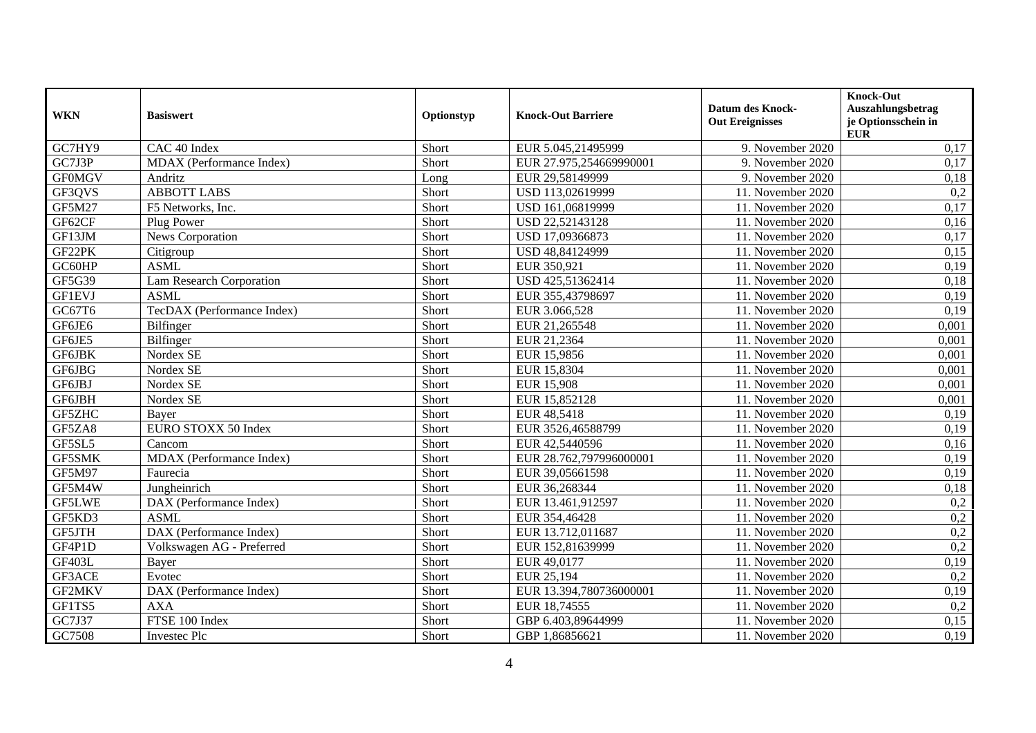| <b>WKN</b>    | <b>Basiswert</b>                | Optionstyp | <b>Knock-Out Barriere</b> | <b>Datum des Knock-</b><br><b>Out Ereignisses</b> | <b>Knock-Out</b><br>Auszahlungsbetrag<br>je Optionsschein in<br><b>EUR</b> |
|---------------|---------------------------------|------------|---------------------------|---------------------------------------------------|----------------------------------------------------------------------------|
| GC7HY9        | CAC 40 Index                    | Short      | EUR 5.045,21495999        | 9. November 2020                                  | 0,17                                                                       |
| GC7J3P        | MDAX (Performance Index)        | Short      | EUR 27.975,254669990001   | 9. November 2020                                  | 0,17                                                                       |
| <b>GF0MGV</b> | Andritz                         | Long       | EUR 29,58149999           | 9. November 2020                                  | 0,18                                                                       |
| GF3QVS        | <b>ABBOTT LABS</b>              | Short      | USD 113,02619999          | 11. November 2020                                 | 0,2                                                                        |
| <b>GF5M27</b> | F5 Networks, Inc.               | Short      | USD 161,06819999          | 11. November 2020                                 | 0,17                                                                       |
| GF62CF        | Plug Power                      | Short      | USD 22,52143128           | 11. November 2020                                 | 0,16                                                                       |
| GF13JM        | News Corporation                | Short      | USD 17,09366873           | 11. November 2020                                 | 0,17                                                                       |
| GF22PK        | Citigroup                       | Short      | USD 48,84124999           | 11. November 2020                                 | 0,15                                                                       |
| GC60HP        | <b>ASML</b>                     | Short      | EUR 350,921               | 11. November 2020                                 | 0,19                                                                       |
| GF5G39        | <b>Lam Research Corporation</b> | Short      | USD 425,51362414          | 11. November 2020                                 | 0,18                                                                       |
| <b>GF1EVJ</b> | <b>ASML</b>                     | Short      | EUR 355,43798697          | 11. November 2020                                 | 0,19                                                                       |
| GC67T6        | TecDAX (Performance Index)      | Short      | EUR 3.066,528             | 11. November 2020                                 | 0,19                                                                       |
| GF6JE6        | Bilfinger                       | Short      | EUR 21,265548             | 11. November 2020                                 | 0,001                                                                      |
| GF6JE5        | Bilfinger                       | Short      | EUR 21,2364               | 11. November 2020                                 | 0,001                                                                      |
| GF6JBK        | Nordex SE                       | Short      | EUR 15,9856               | 11. November 2020                                 | 0,001                                                                      |
| GF6JBG        | Nordex SE                       | Short      | EUR 15,8304               | 11. November 2020                                 | 0,001                                                                      |
| GF6JBJ        | Nordex SE                       | Short      | EUR 15,908                | 11. November 2020                                 | 0,001                                                                      |
| GF6JBH        | Nordex SE                       | Short      | EUR 15,852128             | 11. November 2020                                 | 0,001                                                                      |
| GF5ZHC        | Bayer                           | Short      | EUR 48,5418               | 11. November 2020                                 | 0,19                                                                       |
| GF5ZA8        | EURO STOXX 50 Index             | Short      | EUR 3526,46588799         | 11. November 2020                                 | 0,19                                                                       |
| GF5SL5        | Cancom                          | Short      | EUR 42,5440596            | 11. November 2020                                 | 0,16                                                                       |
| GF5SMK        | MDAX (Performance Index)        | Short      | EUR 28.762,797996000001   | 11. November 2020                                 | 0,19                                                                       |
| <b>GF5M97</b> | Faurecia                        | Short      | EUR 39,05661598           | 11. November 2020                                 | 0,19                                                                       |
| GF5M4W        | Jungheinrich                    | Short      | EUR 36,268344             | 11. November 2020                                 | 0,18                                                                       |
| <b>GF5LWE</b> | DAX (Performance Index)         | Short      | EUR 13.461,912597         | 11. November 2020                                 | 0,2                                                                        |
| GF5KD3        | <b>ASML</b>                     | Short      | EUR 354,46428             | 11. November 2020                                 | 0,2                                                                        |
| GF5JTH        | DAX (Performance Index)         | Short      | EUR 13.712,011687         | 11. November 2020                                 | $\overline{0,2}$                                                           |
| GF4P1D        | Volkswagen AG - Preferred       | Short      | EUR 152,81639999          | 11. November 2020                                 | 0,2                                                                        |
| <b>GF403L</b> | Bayer                           | Short      | EUR 49,0177               | 11. November 2020                                 | 0,19                                                                       |
| GF3ACE        | Evotec                          | Short      | EUR 25,194                | 11. November 2020                                 | 0,2                                                                        |
| <b>GF2MKV</b> | DAX (Performance Index)         | Short      | EUR 13.394,780736000001   | 11. November 2020                                 | 0,19                                                                       |
| GF1TS5        | <b>AXA</b>                      | Short      | EUR 18,74555              | 11. November 2020                                 | 0,2                                                                        |
| GC7J37        | FTSE 100 Index                  | Short      | GBP 6.403,89644999        | 11. November 2020                                 | 0,15                                                                       |
| GC7508        | Investec Plc                    | Short      | GBP 1,86856621            | 11. November 2020                                 | 0,19                                                                       |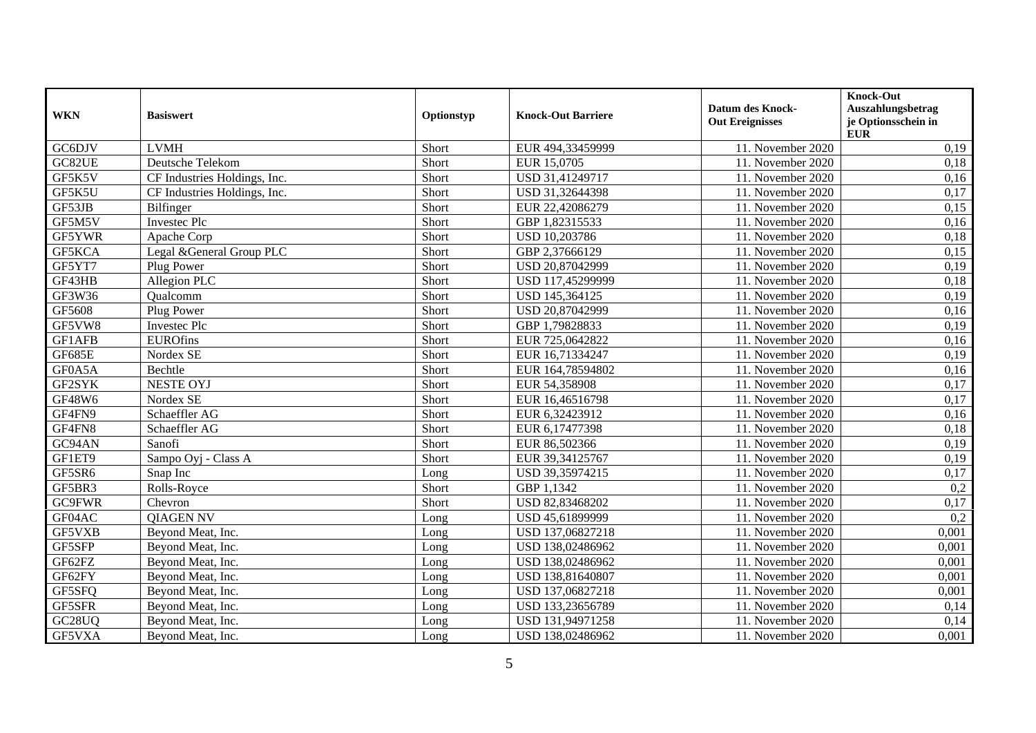| <b>WKN</b>    | <b>Basiswert</b>             | Optionstyp | <b>Knock-Out Barriere</b> | <b>Datum des Knock-</b><br><b>Out Ereignisses</b> | Knock-Out<br>Auszahlungsbetrag<br>je Optionsschein in<br><b>EUR</b> |
|---------------|------------------------------|------------|---------------------------|---------------------------------------------------|---------------------------------------------------------------------|
| GC6DJV        | <b>LVMH</b>                  | Short      | EUR 494,33459999          | 11. November 2020                                 | 0,19                                                                |
| GC82UE        | Deutsche Telekom             | Short      | EUR 15,0705               | 11. November 2020                                 | 0,18                                                                |
| GF5K5V        | CF Industries Holdings, Inc. | Short      | USD 31,41249717           | 11. November 2020                                 | 0,16                                                                |
| GF5K5U        | CF Industries Holdings, Inc. | Short      | USD 31,32644398           | 11. November 2020                                 | 0,17                                                                |
| GF53JB        | Bilfinger                    | Short      | EUR 22,42086279           | 11. November 2020                                 | 0,15                                                                |
| GF5M5V        | <b>Investec Plc</b>          | Short      | GBP 1,82315533            | 11. November 2020                                 | 0,16                                                                |
| GF5YWR        | Apache Corp                  | Short      | USD 10,203786             | 11. November 2020                                 | 0,18                                                                |
| GF5KCA        | Legal &General Group PLC     | Short      | GBP 2,37666129            | 11. November 2020                                 | 0,15                                                                |
| GF5YT7        | Plug Power                   | Short      | USD 20,87042999           | 11. November 2020                                 | 0,19                                                                |
| GF43HB        | Allegion PLC                 | Short      | USD 117,45299999          | 11. November 2020                                 | 0,18                                                                |
| GF3W36        | Oualcomm                     | Short      | USD 145,364125            | 11. November 2020                                 | 0,19                                                                |
| GF5608        | Plug Power                   | Short      | USD 20,87042999           | 11. November 2020                                 | 0,16                                                                |
| GF5VW8        | <b>Investec Plc</b>          | Short      | GBP 1,79828833            | 11. November 2020                                 | 0,19                                                                |
| GF1AFB        | <b>EUROfins</b>              | Short      | EUR 725,0642822           | 11. November 2020                                 | 0,16                                                                |
| GF685E        | Nordex SE                    | Short      | EUR 16,71334247           | 11. November 2020                                 | 0,19                                                                |
| GF0A5A        | Bechtle                      | Short      | EUR 164,78594802          | 11. November 2020                                 | 0,16                                                                |
| GF2SYK        | <b>NESTE OYJ</b>             | Short      | EUR 54,358908             | 11. November 2020                                 | 0,17                                                                |
| GF48W6        | Nordex SE                    | Short      | EUR 16,46516798           | 11. November 2020                                 | 0,17                                                                |
| GF4FN9        | Schaeffler AG                | Short      | EUR 6,32423912            | 11. November 2020                                 | 0,16                                                                |
| GF4FN8        | Schaeffler AG                | Short      | EUR 6,17477398            | 11. November 2020                                 | 0,18                                                                |
| GC94AN        | Sanofi                       | Short      | EUR 86,502366             | 11. November 2020                                 | 0,19                                                                |
| GF1ET9        | Sampo Oyj - Class A          | Short      | EUR 39,34125767           | 11. November 2020                                 | 0,19                                                                |
| GF5SR6        | Snap Inc                     | Long       | USD 39,35974215           | 11. November 2020                                 | 0,17                                                                |
| GF5BR3        | Rolls-Royce                  | Short      | GBP 1,1342                | 11. November 2020                                 | 0,2                                                                 |
| <b>GC9FWR</b> | Chevron                      | Short      | USD 82,83468202           | 11. November 2020                                 | 0,17                                                                |
| GF04AC        | <b>OIAGEN NV</b>             | Long       | USD 45,61899999           | 11. November 2020                                 | 0,2                                                                 |
| GF5VXB        | Beyond Meat, Inc.            | Long       | USD 137,06827218          | 11. November 2020                                 | 0,001                                                               |
| GF5SFP        | Beyond Meat, Inc.            | Long       | USD 138,02486962          | 11. November 2020                                 | 0,001                                                               |
| GF62FZ        | Beyond Meat, Inc.            | Long       | USD 138,02486962          | 11. November 2020                                 | 0,001                                                               |
| GF62FY        | Beyond Meat, Inc.            | Long       | USD 138,81640807          | 11. November 2020                                 | 0,001                                                               |
| GF5SFQ        | Beyond Meat, Inc.            | Long       | USD 137,06827218          | 11. November 2020                                 | 0,001                                                               |
| GF5SFR        | Beyond Meat, Inc.            | Long       | USD 133,23656789          | 11. November 2020                                 | 0,14                                                                |
| GC28UQ        | Beyond Meat, Inc.            | Long       | USD 131,94971258          | 11. November 2020                                 | 0,14                                                                |
| GF5VXA        | Beyond Meat, Inc.            | Long       | USD 138,02486962          | 11. November 2020                                 | 0,001                                                               |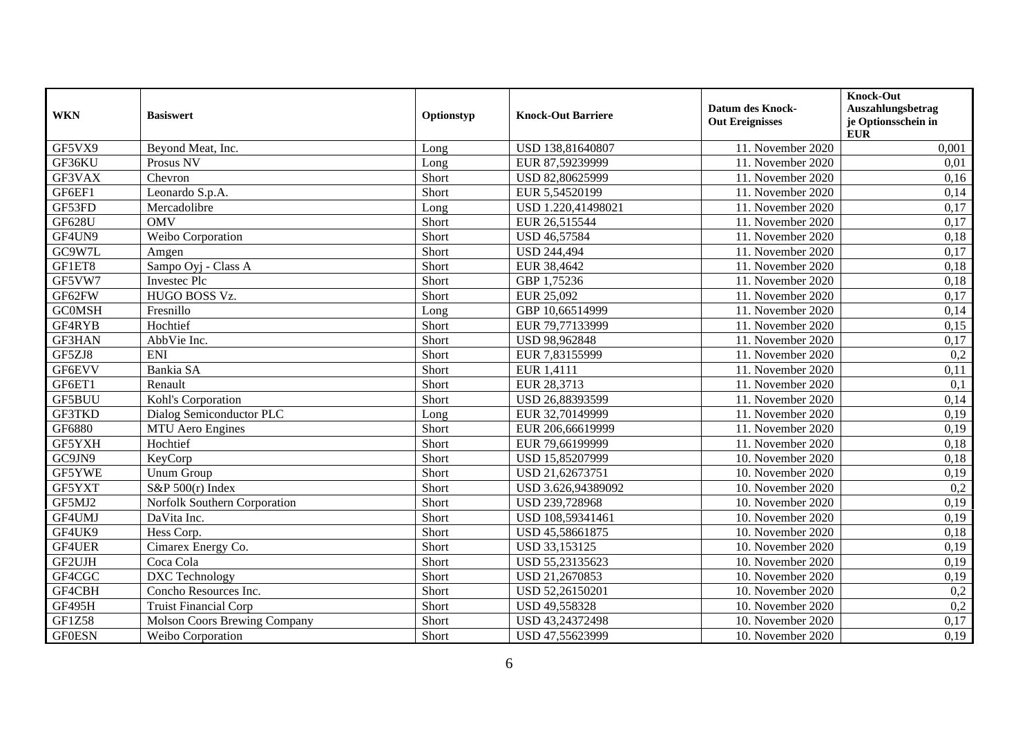| <b>WKN</b>         | <b>Basiswert</b>                    | Optionstyp | <b>Knock-Out Barriere</b> | <b>Datum des Knock-</b><br><b>Out Ereignisses</b> | <b>Knock-Out</b><br>Auszahlungsbetrag<br>je Optionsschein in<br><b>EUR</b> |
|--------------------|-------------------------------------|------------|---------------------------|---------------------------------------------------|----------------------------------------------------------------------------|
| GF5VX9             | Beyond Meat, Inc.                   | Long       | USD 138,81640807          | 11. November 2020                                 | 0,001                                                                      |
| GF36KU             | Prosus NV                           | Long       | EUR 87,59239999           | 11. November 2020                                 | 0,01                                                                       |
| GF3VAX             | Chevron                             | Short      | USD 82,80625999           | 11. November 2020                                 | 0,16                                                                       |
| GF6EF1             | Leonardo S.p.A.                     | Short      | EUR 5,54520199            | 11. November 2020                                 | 0,14                                                                       |
| GF53FD             | Mercadolibre                        | Long       | USD 1.220,41498021        | 11. November 2020                                 | 0,17                                                                       |
| <b>GF628U</b>      | <b>OMV</b>                          | Short      | EUR 26,515544             | 11. November 2020                                 | 0,17                                                                       |
| GF4UN9             | Weibo Corporation                   | Short      | USD 46,57584              | 11. November 2020                                 | 0,18                                                                       |
| G <sub>Q</sub> W7L | Amgen                               | Short      | <b>USD 244,494</b>        | 11. November 2020                                 | 0,17                                                                       |
| GF1ET8             | Sampo Oyj - Class A                 | Short      | EUR 38,4642               | 11. November 2020                                 | 0,18                                                                       |
| GF5VW7             | <b>Investec Plc</b>                 | Short      | GBP 1,75236               | 11. November 2020                                 | 0,18                                                                       |
| GF62FW             | HUGO BOSS Vz.                       | Short      | EUR 25,092                | 11. November 2020                                 | 0,17                                                                       |
| <b>GC0MSH</b>      | Fresnillo                           | Long       | GBP 10,66514999           | 11. November 2020                                 | 0,14                                                                       |
| GF4RYB             | Hochtief                            | Short      | EUR 79,77133999           | 11. November 2020                                 | 0,15                                                                       |
| <b>GF3HAN</b>      | AbbVie Inc.                         | Short      | USD 98,962848             | 11. November 2020                                 | 0,17                                                                       |
| GF5ZJ8             | <b>ENI</b>                          | Short      | EUR 7,83155999            | 11. November 2020                                 | 0,2                                                                        |
| GF6EVV             | Bankia SA                           | Short      | EUR 1,4111                | 11. November 2020                                 | 0,11                                                                       |
| GF6ET1             | Renault                             | Short      | EUR 28,3713               | 11. November 2020                                 | 0,1                                                                        |
| <b>GF5BUU</b>      | Kohl's Corporation                  | Short      | USD 26,88393599           | 11. November 2020                                 | 0,14                                                                       |
| GF3TKD             | Dialog Semiconductor PLC            | Long       | EUR 32,70149999           | 11. November 2020                                 | 0,19                                                                       |
| GF6880             | MTU Aero Engines                    | Short      | EUR 206,66619999          | 11. November 2020                                 | 0,19                                                                       |
| GF5YXH             | Hochtief                            | Short      | EUR 79,66199999           | 11. November 2020                                 | 0,18                                                                       |
| GC9JN9             | KeyCorp                             | Short      | USD 15,85207999           | 10. November 2020                                 | 0,18                                                                       |
| GF5YWE             | <b>Unum Group</b>                   | Short      | USD 21,62673751           | 10. November 2020                                 | 0,19                                                                       |
| GF5YXT             | S&P 500(r) Index                    | Short      | USD 3.626,94389092        | 10. November 2020                                 | 0,2                                                                        |
| GF5MJ2             | Norfolk Southern Corporation        | Short      | USD 239,728968            | 10. November 2020                                 | 0,19                                                                       |
| GF4UMJ             | DaVita Inc.                         | Short      | USD 108,59341461          | 10. November 2020                                 | 0,19                                                                       |
| GF4UK9             | Hess Corp.                          | Short      | USD 45,58661875           | 10. November 2020                                 | 0,18                                                                       |
| GF4UER             | Cimarex Energy Co.                  | Short      | USD 33,153125             | 10. November 2020                                 | 0,19                                                                       |
| GF2UJH             | Coca Cola                           | Short      | USD 55,23135623           | 10. November 2020                                 | 0,19                                                                       |
| GF4CGC             | <b>DXC</b> Technology               | Short      | USD 21,2670853            | 10. November 2020                                 | 0,19                                                                       |
| GF4CBH             | Concho Resources Inc.               | Short      | USD 52,26150201           | 10. November 2020                                 | 0,2                                                                        |
| <b>GF495H</b>      | <b>Truist Financial Corp</b>        | Short      | USD 49,558328             | 10. November 2020                                 | 0,2                                                                        |
| <b>GF1Z58</b>      | <b>Molson Coors Brewing Company</b> | Short      | USD 43,24372498           | 10. November 2020                                 | 0,17                                                                       |
| <b>GF0ESN</b>      | Weibo Corporation                   | Short      | USD 47,55623999           | 10. November 2020                                 | 0,19                                                                       |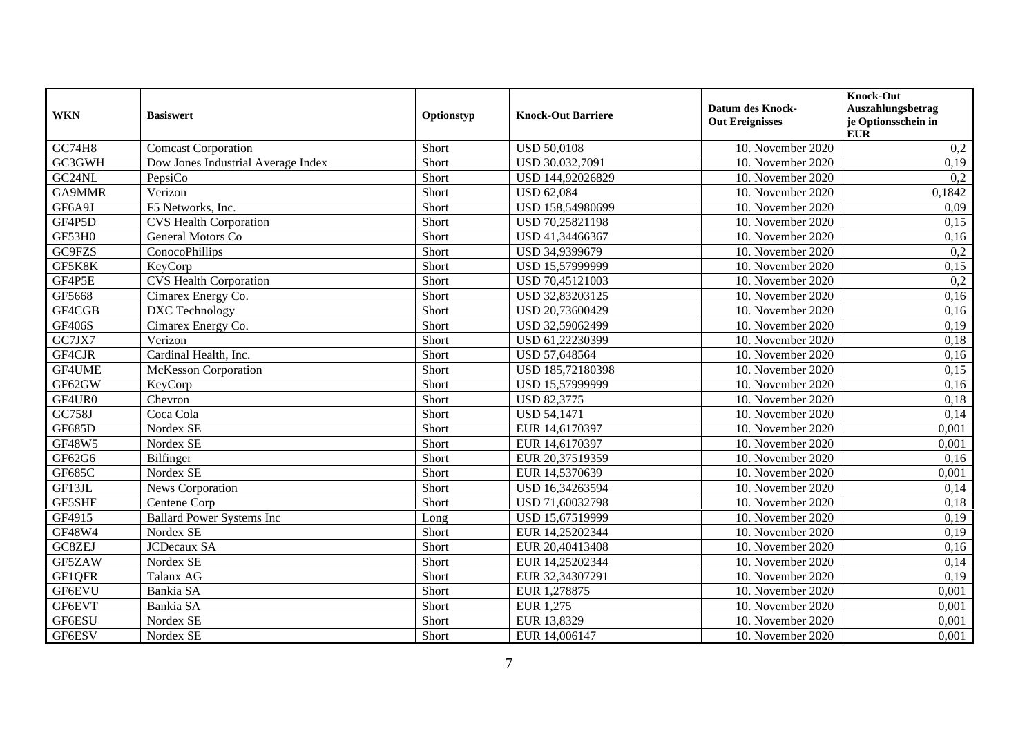| <b>WKN</b>    | <b>Basiswert</b>                   | Optionstyp | <b>Knock-Out Barriere</b> | <b>Datum des Knock-</b><br><b>Out Ereignisses</b> | <b>Knock-Out</b><br>Auszahlungsbetrag<br>je Optionsschein in<br><b>EUR</b> |
|---------------|------------------------------------|------------|---------------------------|---------------------------------------------------|----------------------------------------------------------------------------|
| <b>GC74H8</b> | <b>Comcast Corporation</b>         | Short      | <b>USD 50,0108</b>        | 10. November 2020                                 | 0,2                                                                        |
| GC3GWH        | Dow Jones Industrial Average Index | Short      | USD 30.032,7091           | 10. November 2020                                 | 0,19                                                                       |
| GC24NL        | PepsiCo                            | Short      | USD 144,92026829          | 10. November 2020                                 | 0,2                                                                        |
| GA9MMR        | Verizon                            | Short      | <b>USD 62,084</b>         | 10. November 2020                                 | 0,1842                                                                     |
| GF6A9J        | F5 Networks, Inc.                  | Short      | USD 158,54980699          | 10. November 2020                                 | 0,09                                                                       |
| GF4P5D        | <b>CVS Health Corporation</b>      | Short      | USD 70,25821198           | 10. November 2020                                 | 0,15                                                                       |
| GF53H0        | General Motors Co                  | Short      | USD 41,34466367           | 10. November 2020                                 | 0,16                                                                       |
| GC9FZS        | ConocoPhillips                     | Short      | USD 34,9399679            | 10. November 2020                                 | 0,2                                                                        |
| GF5K8K        | KeyCorp                            | Short      | USD 15,57999999           | 10. November 2020                                 | 0,15                                                                       |
| GF4P5E        | <b>CVS Health Corporation</b>      | Short      | USD 70,45121003           | 10. November 2020                                 | 0,2                                                                        |
| GF5668        | Cimarex Energy Co.                 | Short      | USD 32,83203125           | 10. November 2020                                 | 0,16                                                                       |
| GF4CGB        | DXC Technology                     | Short      | USD 20,73600429           | 10. November 2020                                 | 0,16                                                                       |
| <b>GF406S</b> | Cimarex Energy Co.                 | Short      | USD 32,59062499           | 10. November 2020                                 | 0,19                                                                       |
| GC7JX7        | Verizon                            | Short      | USD 61,22230399           | 10. November 2020                                 | 0,18                                                                       |
| GF4CJR        | Cardinal Health, Inc.              | Short      | USD 57,648564             | 10. November 2020                                 | 0,16                                                                       |
| GF4UME        | <b>McKesson Corporation</b>        | Short      | USD 185,72180398          | 10. November 2020                                 | 0,15                                                                       |
| GF62GW        | KeyCorp                            | Short      | USD 15,57999999           | 10. November 2020                                 | 0,16                                                                       |
| GF4UR0        | Chevron                            | Short      | <b>USD 82,3775</b>        | 10. November 2020                                 | 0,18                                                                       |
| GC758J        | Coca Cola                          | Short      | <b>USD 54,1471</b>        | 10. November 2020                                 | 0,14                                                                       |
| <b>GF685D</b> | Nordex SE                          | Short      | EUR 14,6170397            | 10. November 2020                                 | 0,001                                                                      |
| GF48W5        | Nordex SE                          | Short      | EUR 14,6170397            | 10. November 2020                                 | 0,001                                                                      |
| GF62G6        | <b>Bilfinger</b>                   | Short      | EUR 20,37519359           | 10. November 2020                                 | 0,16                                                                       |
| GF685C        | Nordex SE                          | Short      | EUR 14,5370639            | 10. November 2020                                 | 0,001                                                                      |
| GF13JL        | News Corporation                   | Short      | USD 16,34263594           | 10. November 2020                                 | 0,14                                                                       |
| GF5SHF        | Centene Corp                       | Short      | USD 71,60032798           | 10. November 2020                                 | 0,18                                                                       |
| GF4915        | <b>Ballard Power Systems Inc</b>   | Long       | USD 15,67519999           | 10. November 2020                                 | 0,19                                                                       |
| GF48W4        | Nordex SE                          | Short      | EUR 14,25202344           | 10. November 2020                                 | 0,19                                                                       |
| GC8ZEJ        | JCDecaux SA                        | Short      | EUR 20,40413408           | 10. November 2020                                 | 0,16                                                                       |
| GF5ZAW        | Nordex SE                          | Short      | EUR 14,25202344           | 10. November 2020                                 | 0,14                                                                       |
| GF1QFR        | Talanx AG                          | Short      | EUR 32,34307291           | 10. November 2020                                 | 0,19                                                                       |
| GF6EVU        | Bankia SA                          | Short      | EUR 1,278875              | 10. November 2020                                 | 0,001                                                                      |
| GF6EVT        | Bankia SA                          | Short      | EUR 1,275                 | 10. November 2020                                 | 0,001                                                                      |
| GF6ESU        | Nordex SE                          | Short      | EUR 13,8329               | 10. November 2020                                 | 0,001                                                                      |
| GF6ESV        | Nordex SE                          | Short      | EUR 14,006147             | 10. November 2020                                 | 0,001                                                                      |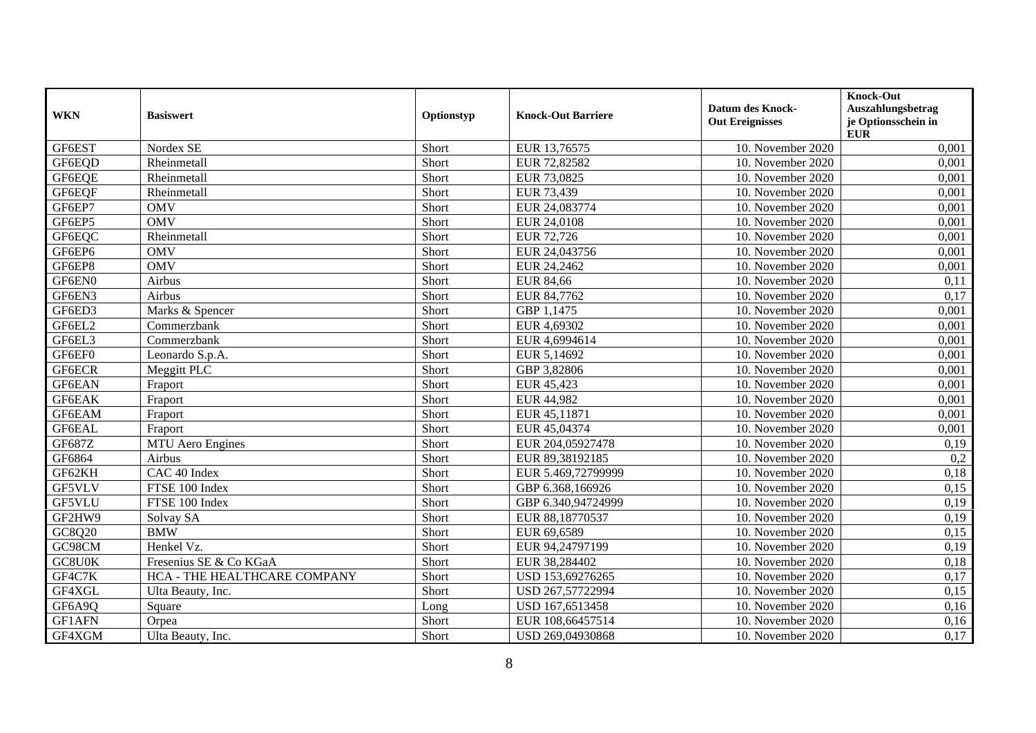| <b>WKN</b> | <b>Basiswert</b>             | Optionstyp | <b>Knock-Out Barriere</b> | <b>Datum des Knock-</b><br><b>Out Ereignisses</b> | <b>Knock-Out</b><br>Auszahlungsbetrag<br>je Optionsschein in<br><b>EUR</b> |
|------------|------------------------------|------------|---------------------------|---------------------------------------------------|----------------------------------------------------------------------------|
| GF6EST     | Nordex SE                    | Short      | EUR 13,76575              | 10. November 2020                                 | 0,001                                                                      |
| GF6EOD     | Rheinmetall                  | Short      | EUR 72,82582              | 10. November 2020                                 | 0,001                                                                      |
| GF6EQE     | Rheinmetall                  | Short      | EUR 73,0825               | 10. November 2020                                 | 0,001                                                                      |
| GF6EQF     | Rheinmetall                  | Short      | EUR 73,439                | 10. November 2020                                 | 0,001                                                                      |
| GF6EP7     | <b>OMV</b>                   | Short      | EUR 24,083774             | 10. November 2020                                 | 0,001                                                                      |
| GF6EP5     | <b>OMV</b>                   | Short      | EUR 24,0108               | 10. November 2020                                 | 0,001                                                                      |
| GF6EQC     | Rheinmetall                  | Short      | EUR 72,726                | 10. November 2020                                 | 0,001                                                                      |
| GF6EP6     | <b>OMV</b>                   | Short      | EUR 24,043756             | 10. November 2020                                 | 0,001                                                                      |
| GF6EP8     | <b>OMV</b>                   | Short      | EUR 24,2462               | 10. November 2020                                 | 0,001                                                                      |
| GF6EN0     | Airbus                       | Short      | <b>EUR 84,66</b>          | 10. November 2020                                 | 0,11                                                                       |
| GF6EN3     | Airbus                       | Short      | EUR 84,7762               | 10. November 2020                                 | 0,17                                                                       |
| GF6ED3     | Marks & Spencer              | Short      | GBP 1,1475                | 10. November 2020                                 | 0,001                                                                      |
| GF6EL2     | Commerzbank                  | Short      | EUR 4,69302               | 10. November 2020                                 | 0,001                                                                      |
| GF6EL3     | Commerzbank                  | Short      | EUR 4,6994614             | 10. November 2020                                 | 0,001                                                                      |
| GF6EF0     | Leonardo S.p.A.              | Short      | EUR 5,14692               | 10. November 2020                                 | 0,001                                                                      |
| GF6ECR     | Meggitt PLC                  | Short      | GBP 3,82806               | 10. November 2020                                 | 0,001                                                                      |
| GF6EAN     | Fraport                      | Short      | EUR 45,423                | 10. November 2020                                 | 0,001                                                                      |
| GF6EAK     | Fraport                      | Short      | EUR 44,982                | 10. November 2020                                 | 0,001                                                                      |
| GF6EAM     | Fraport                      | Short      | EUR 45,11871              | 10. November 2020                                 | 0,001                                                                      |
| GF6EAL     | Fraport                      | Short      | EUR 45,04374              | 10. November 2020                                 | 0,001                                                                      |
| GF687Z     | <b>MTU</b> Aero Engines      | Short      | EUR 204,05927478          | 10. November 2020                                 | 0,19                                                                       |
| GF6864     | Airbus                       | Short      | EUR 89,38192185           | 10. November 2020                                 | 0,2                                                                        |
| GF62KH     | CAC 40 Index                 | Short      | EUR 5.469,72799999        | 10. November 2020                                 | 0,18                                                                       |
| GF5VLV     | FTSE 100 Index               | Short      | GBP 6.368,166926          | 10. November 2020                                 | 0,15                                                                       |
| GF5VLU     | FTSE 100 Index               | Short      | GBP 6.340,94724999        | 10. November 2020                                 | 0,19                                                                       |
| GF2HW9     | Solvay SA                    | Short      | EUR 88,18770537           | 10. November 2020                                 | 0,19                                                                       |
| GC8Q20     | <b>BMW</b>                   | Short      | EUR 69,6589               | 10. November 2020                                 | 0,15                                                                       |
| GC98CM     | Henkel Vz.                   | Short      | EUR 94,24797199           | 10. November 2020                                 | 0,19                                                                       |
| GC8U0K     | Fresenius SE & Co KGaA       | Short      | EUR 38,284402             | 10. November 2020                                 | 0,18                                                                       |
| GF4C7K     | HCA - THE HEALTHCARE COMPANY | Short      | USD 153,69276265          | 10. November 2020                                 | 0,17                                                                       |
| GF4XGL     | Ulta Beauty, Inc.            | Short      | USD 267,57722994          | 10. November 2020                                 | 0,15                                                                       |
| GF6A9Q     | Square                       | Long       | USD 167,6513458           | 10. November 2020                                 | 0,16                                                                       |
| GF1AFN     | Orpea                        | Short      | EUR 108,66457514          | 10. November 2020                                 | 0,16                                                                       |
| GF4XGM     | Ulta Beauty, Inc.            | Short      | USD 269,04930868          | 10. November 2020                                 | 0,17                                                                       |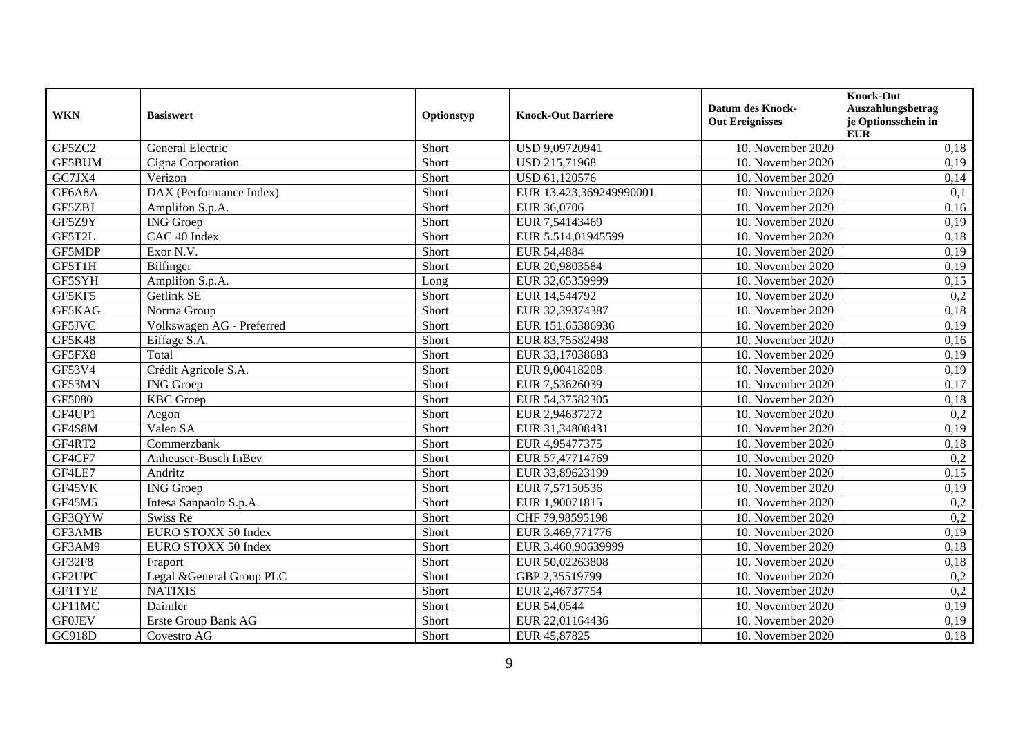| <b>WKN</b>    | <b>Basiswert</b>          | Optionstyp | <b>Knock-Out Barriere</b> | <b>Datum des Knock-</b><br><b>Out Ereignisses</b> | <b>Knock-Out</b><br>Auszahlungsbetrag<br>je Optionsschein in<br><b>EUR</b> |
|---------------|---------------------------|------------|---------------------------|---------------------------------------------------|----------------------------------------------------------------------------|
| GF5ZC2        | General Electric          | Short      | USD 9,09720941            | 10. November 2020                                 | 0,18                                                                       |
| GF5BUM        | Cigna Corporation         | Short      | <b>USD 215,71968</b>      | 10. November 2020                                 | 0,19                                                                       |
| GC7JX4        | Verizon                   | Short      | USD 61,120576             | 10. November 2020                                 | 0,14                                                                       |
| GF6A8A        | DAX (Performance Index)   | Short      | EUR 13.423,369249990001   | 10. November 2020                                 | 0,1                                                                        |
| GF5ZBJ        | Amplifon S.p.A.           | Short      | EUR 36,0706               | 10. November 2020                                 | 0,16                                                                       |
| GF5Z9Y        | <b>ING</b> Groep          | Short      | EUR 7,54143469            | 10. November 2020                                 | 0,19                                                                       |
| GF5T2L        | CAC 40 Index              | Short      | EUR 5.514,01945599        | 10. November 2020                                 | 0,18                                                                       |
| GF5MDP        | Exor N.V.                 | Short      | EUR 54,4884               | 10. November 2020                                 | 0,19                                                                       |
| GF5T1H        | Bilfinger                 | Short      | EUR 20,9803584            | 10. November 2020                                 | 0,19                                                                       |
| GF5SYH        | Amplifon S.p.A.           | Long       | EUR 32,65359999           | 10. November 2020                                 | 0,15                                                                       |
| GF5KF5        | Getlink SE                | Short      | EUR 14,544792             | 10. November 2020                                 | 0,2                                                                        |
| GF5KAG        | Norma Group               | Short      | EUR 32,39374387           | 10. November 2020                                 | 0,18                                                                       |
| GF5JVC        | Volkswagen AG - Preferred | Short      | EUR 151,65386936          | 10. November 2020                                 | 0,19                                                                       |
| <b>GF5K48</b> | Eiffage S.A.              | Short      | EUR 83,75582498           | 10. November 2020                                 | 0,16                                                                       |
| GF5FX8        | Total                     | Short      | EUR 33,17038683           | 10. November 2020                                 | 0,19                                                                       |
| GF53V4        | Crédit Agricole S.A.      | Short      | EUR 9,00418208            | 10. November 2020                                 | 0,19                                                                       |
| GF53MN        | <b>ING</b> Groep          | Short      | EUR 7,53626039            | 10. November 2020                                 | 0,17                                                                       |
| GF5080        | <b>KBC</b> Groep          | Short      | EUR 54,37582305           | 10. November 2020                                 | 0,18                                                                       |
| GF4UP1        | Aegon                     | Short      | EUR 2,94637272            | 10. November 2020                                 | 0,2                                                                        |
| GF4S8M        | Valeo SA                  | Short      | EUR 31,34808431           | 10. November 2020                                 | 0,19                                                                       |
| GF4RT2        | Commerzbank               | Short      | EUR 4,95477375            | 10. November 2020                                 | 0,18                                                                       |
| GF4CF7        | Anheuser-Busch InBev      | Short      | EUR 57,47714769           | 10. November 2020                                 | 0,2                                                                        |
| GF4LE7        | Andritz                   | Short      | EUR 33,89623199           | 10. November 2020                                 | 0,15                                                                       |
| GF45VK        | <b>ING</b> Groep          | Short      | EUR 7,57150536            | 10. November 2020                                 | 0,19                                                                       |
| GF45M5        | Intesa Sanpaolo S.p.A.    | Short      | EUR 1,90071815            | 10. November 2020                                 | 0,2                                                                        |
| GF3QYW        | Swiss Re                  | Short      | CHF 79,98595198           | 10. November 2020                                 | 0,2                                                                        |
| GF3AMB        | EURO STOXX 50 Index       | Short      | EUR 3.469,771776          | 10. November 2020                                 | 0,19                                                                       |
| GF3AM9        | EURO STOXX 50 Index       | Short      | EUR 3.460,90639999        | 10. November 2020                                 | 0,18                                                                       |
| <b>GF32F8</b> | Fraport                   | Short      | EUR 50,02263808           | 10. November 2020                                 | 0,18                                                                       |
| GF2UPC        | Legal &General Group PLC  | Short      | GBP 2,35519799            | 10. November 2020                                 | 0,2                                                                        |
| <b>GF1TYE</b> | <b>NATIXIS</b>            | Short      | EUR 2,46737754            | 10. November 2020                                 | 0,2                                                                        |
| GF11MC        | Daimler                   | Short      | EUR 54,0544               | 10. November 2020                                 | 0,19                                                                       |
| <b>GF0JEV</b> | Erste Group Bank AG       | Short      | EUR 22,01164436           | 10. November 2020                                 | 0,19                                                                       |
| GC918D        | Covestro AG               | Short      | EUR 45,87825              | 10. November 2020                                 | 0.18                                                                       |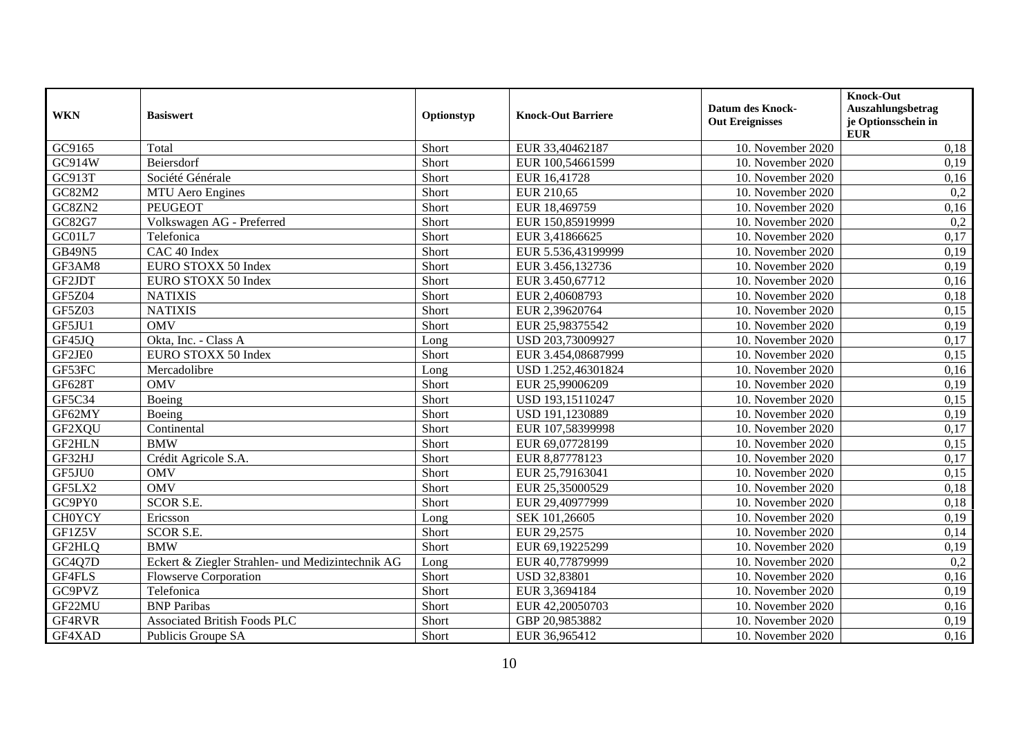| <b>WKN</b>    | <b>Basiswert</b>                                 | Optionstyp | <b>Knock-Out Barriere</b> | <b>Datum des Knock-</b><br><b>Out Ereignisses</b> | <b>Knock-Out</b><br>Auszahlungsbetrag<br>je Optionsschein in<br><b>EUR</b> |
|---------------|--------------------------------------------------|------------|---------------------------|---------------------------------------------------|----------------------------------------------------------------------------|
| GC9165        | Total                                            | Short      | EUR 33,40462187           | 10. November 2020                                 | 0,18                                                                       |
| GC914W        | Beiersdorf                                       | Short      | EUR 100,54661599          | 10. November 2020                                 | 0,19                                                                       |
| GC913T        | Société Générale                                 | Short      | EUR 16,41728              | 10. November 2020                                 | 0,16                                                                       |
| GC82M2        | <b>MTU</b> Aero Engines                          | Short      | EUR 210,65                | 10. November 2020                                 | 0,2                                                                        |
| GC8ZN2        | <b>PEUGEOT</b>                                   | Short      | EUR 18,469759             | 10. November 2020                                 | 0,16                                                                       |
| GC82G7        | Volkswagen AG - Preferred                        | Short      | EUR 150,85919999          | 10. November 2020                                 | 0,2                                                                        |
| GC01L7        | Telefonica                                       | Short      | EUR 3,41866625            | 10. November 2020                                 | 0,17                                                                       |
| <b>GB49N5</b> | CAC 40 Index                                     | Short      | EUR 5.536,43199999        | 10. November 2020                                 | 0,19                                                                       |
| GF3AM8        | EURO STOXX 50 Index                              | Short      | EUR 3.456,132736          | 10. November 2020                                 | 0,19                                                                       |
| GF2JDT        | EURO STOXX 50 Index                              | Short      | EUR 3.450,67712           | 10. November 2020                                 | 0,16                                                                       |
| GF5Z04        | <b>NATIXIS</b>                                   | Short      | EUR 2,40608793            | 10. November 2020                                 | 0,18                                                                       |
| GF5Z03        | <b>NATIXIS</b>                                   | Short      | EUR 2,39620764            | 10. November 2020                                 | 0,15                                                                       |
| GF5JU1        | <b>OMV</b>                                       | Short      | EUR 25,98375542           | 10. November 2020                                 | 0,19                                                                       |
| GF45JQ        | Okta, Inc. - Class A                             | Long       | USD 203,73009927          | 10. November 2020                                 | 0,17                                                                       |
| GF2JE0        | EURO STOXX 50 Index                              | Short      | EUR 3.454,08687999        | 10. November 2020                                 | 0,15                                                                       |
| GF53FC        | Mercadolibre                                     | Long       | USD 1.252,46301824        | 10. November 2020                                 | 0,16                                                                       |
| GF628T        | <b>OMV</b>                                       | Short      | EUR 25,99006209           | 10. November 2020                                 | 0,19                                                                       |
| GF5C34        | Boeing                                           | Short      | USD 193,15110247          | 10. November 2020                                 | 0,15                                                                       |
| GF62MY        | Boeing                                           | Short      | USD 191,1230889           | 10. November 2020                                 | 0,19                                                                       |
| GF2XQU        | Continental                                      | Short      | EUR 107,58399998          | 10. November 2020                                 | 0,17                                                                       |
| <b>GF2HLN</b> | <b>BMW</b>                                       | Short      | EUR 69,07728199           | 10. November 2020                                 | 0,15                                                                       |
| GF32HJ        | Crédit Agricole S.A.                             | Short      | EUR 8,87778123            | 10. November 2020                                 | 0,17                                                                       |
| GF5JU0        | <b>OMV</b>                                       | Short      | EUR 25,79163041           | 10. November 2020                                 | 0,15                                                                       |
| GF5LX2        | <b>OMV</b>                                       | Short      | EUR 25,35000529           | 10. November 2020                                 | 0,18                                                                       |
| GC9PY0        | <b>SCOR S.E.</b>                                 | Short      | EUR 29,40977999           | 10. November 2020                                 | 0,18                                                                       |
| <b>CH0YCY</b> | Ericsson                                         | Long       | SEK 101,26605             | 10. November 2020                                 | 0,19                                                                       |
| GF1Z5V        | <b>SCOR S.E.</b>                                 | Short      | EUR 29,2575               | 10. November 2020                                 | 0,14                                                                       |
| GF2HLQ        | <b>BMW</b>                                       | Short      | EUR 69,19225299           | 10. November 2020                                 | 0,19                                                                       |
| GC4Q7D        | Eckert & Ziegler Strahlen- und Medizintechnik AG | Long       | EUR 40,77879999           | 10. November 2020                                 | 0,2                                                                        |
| GF4FLS        | <b>Flowserve Corporation</b>                     | Short      | USD 32,83801              | 10. November 2020                                 | 0,16                                                                       |
| GC9PVZ        | Telefonica                                       | Short      | EUR 3,3694184             | 10. November 2020                                 | 0,19                                                                       |
| GF22MU        | <b>BNP</b> Paribas                               | Short      | EUR 42,20050703           | 10. November 2020                                 | 0,16                                                                       |
| GF4RVR        | <b>Associated British Foods PLC</b>              | Short      | GBP 20,9853882            | 10. November 2020                                 | 0,19                                                                       |
| GF4XAD        | Publicis Groupe SA                               | Short      | EUR 36,965412             | 10. November 2020                                 | 0,16                                                                       |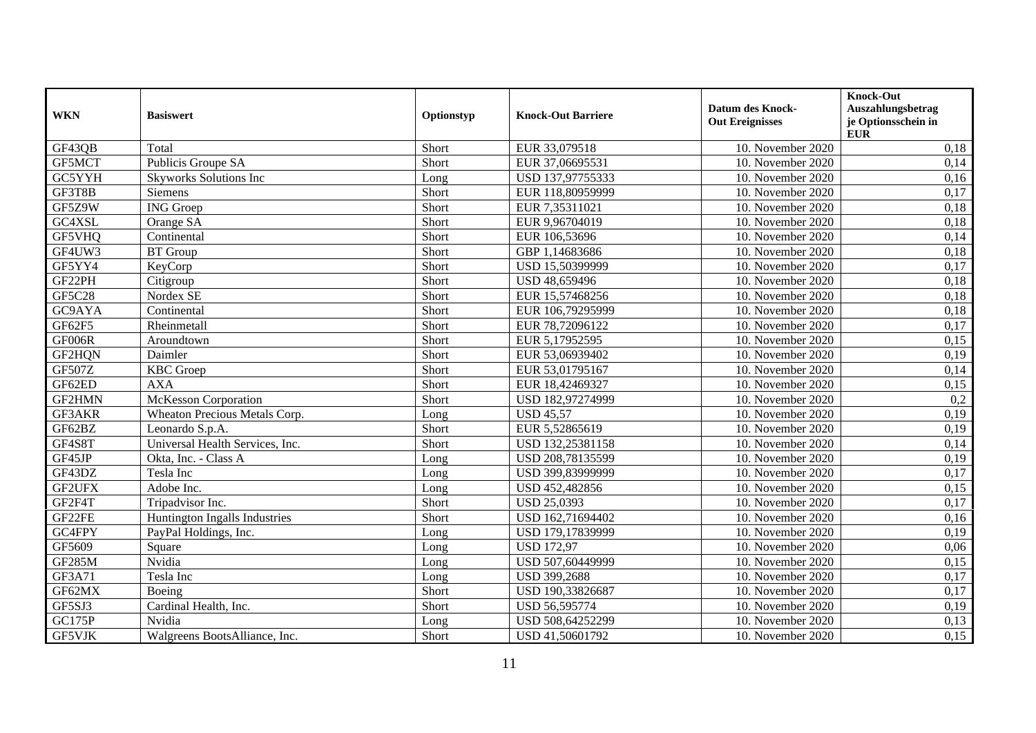| <b>WKN</b>    | <b>Basiswert</b>                | Optionstyp | <b>Knock-Out Barriere</b> | <b>Datum des Knock-</b><br><b>Out Ereignisses</b> | <b>Knock-Out</b><br>Auszahlungsbetrag<br>je Optionsschein in<br><b>EUR</b> |
|---------------|---------------------------------|------------|---------------------------|---------------------------------------------------|----------------------------------------------------------------------------|
| GF43QB        | Total                           | Short      | EUR 33,079518             | 10. November 2020                                 | 0,18                                                                       |
| GF5MCT        | Publicis Groupe SA              | Short      | EUR 37,06695531           | 10. November 2020                                 | 0,14                                                                       |
| GC5YYH        | <b>Skyworks Solutions Inc</b>   | Long       | USD 137,97755333          | 10. November 2020                                 | 0,16                                                                       |
| GF3T8B        | Siemens                         | Short      | EUR 118,80959999          | 10. November 2020                                 | 0,17                                                                       |
| GF5Z9W        | <b>ING</b> Groep                | Short      | EUR 7,35311021            | 10. November 2020                                 | 0,18                                                                       |
| GC4XSL        | Orange SA                       | Short      | EUR 9,96704019            | 10. November 2020                                 | 0,18                                                                       |
| GF5VHQ        | Continental                     | Short      | EUR 106,53696             | 10. November 2020                                 | 0,14                                                                       |
| GF4UW3        | <b>BT</b> Group                 | Short      | GBP 1,14683686            | 10. November 2020                                 | 0,18                                                                       |
| GF5YY4        | KeyCorp                         | Short      | USD 15,50399999           | 10. November 2020                                 | 0,17                                                                       |
| GF22PH        | Citigroup                       | Short      | USD 48,659496             | 10. November 2020                                 | 0,18                                                                       |
| <b>GF5C28</b> | Nordex SE                       | Short      | EUR 15,57468256           | 10. November 2020                                 | 0,18                                                                       |
| GC9AYA        | Continental                     | Short      | EUR 106,79295999          | 10. November 2020                                 | 0,18                                                                       |
| GF62F5        | Rheinmetall                     | Short      | EUR 78,72096122           | 10. November 2020                                 | 0,17                                                                       |
| GF006R        | Aroundtown                      | Short      | EUR 5,17952595            | 10. November 2020                                 | 0,15                                                                       |
| GF2HQN        | Daimler                         | Short      | EUR 53,06939402           | 10. November 2020                                 | 0,19                                                                       |
| <b>GF507Z</b> | <b>KBC</b> Groep                | Short      | EUR 53,01795167           | 10. November 2020                                 | 0,14                                                                       |
| GF62ED        | <b>AXA</b>                      | Short      | EUR 18,42469327           | 10. November 2020                                 | 0,15                                                                       |
| GF2HMN        | <b>McKesson Corporation</b>     | Short      | USD 182,97274999          | 10. November 2020                                 | 0,2                                                                        |
| GF3AKR        | Wheaton Precious Metals Corp.   | Long       | <b>USD 45,57</b>          | 10. November 2020                                 | 0,19                                                                       |
| GF62BZ        | Leonardo S.p.A.                 | Short      | EUR 5,52865619            | 10. November 2020                                 | 0,19                                                                       |
| GF4S8T        | Universal Health Services, Inc. | Short      | USD 132,25381158          | 10. November 2020                                 | 0,14                                                                       |
| GF45JP        | Okta, Inc. - Class A            | Long       | USD 208,78135599          | 10. November 2020                                 | 0,19                                                                       |
| GF43DZ        | Tesla Inc                       | Long       | USD 399,83999999          | 10. November 2020                                 | 0,17                                                                       |
| GF2UFX        | Adobe Inc.                      | Long       | USD 452,482856            | 10. November 2020                                 | 0,15                                                                       |
| GF2F4T        | Tripadvisor Inc.                | Short      | <b>USD 25,0393</b>        | 10. November 2020                                 | 0,17                                                                       |
| GF22FE        | Huntington Ingalls Industries   | Short      | USD 162,71694402          | 10. November 2020                                 | 0,16                                                                       |
| GC4FPY        | PayPal Holdings, Inc.           | Long       | USD 179,17839999          | 10. November 2020                                 | 0,19                                                                       |
| GF5609        | Square                          | Long       | <b>USD 172,97</b>         | 10. November 2020                                 | 0,06                                                                       |
| <b>GF285M</b> | Nvidia                          | Long       | USD 507,60449999          | 10. November 2020                                 | 0,15                                                                       |
| GF3A71        | Tesla Inc                       | Long       | USD 399,2688              | 10. November 2020                                 | 0,17                                                                       |
| GF62MX        | Boeing                          | Short      | USD 190,33826687          | 10. November 2020                                 | 0,17                                                                       |
| GF5SJ3        | Cardinal Health, Inc.           | Short      | USD 56,595774             | 10. November 2020                                 | 0,19                                                                       |
| <b>GC175P</b> | Nvidia                          | Long       | USD 508,64252299          | 10. November 2020                                 | 0,13                                                                       |
| <b>GF5VJK</b> | Walgreens BootsAlliance, Inc.   | Short      | USD 41,50601792           | 10. November 2020                                 | 0,15                                                                       |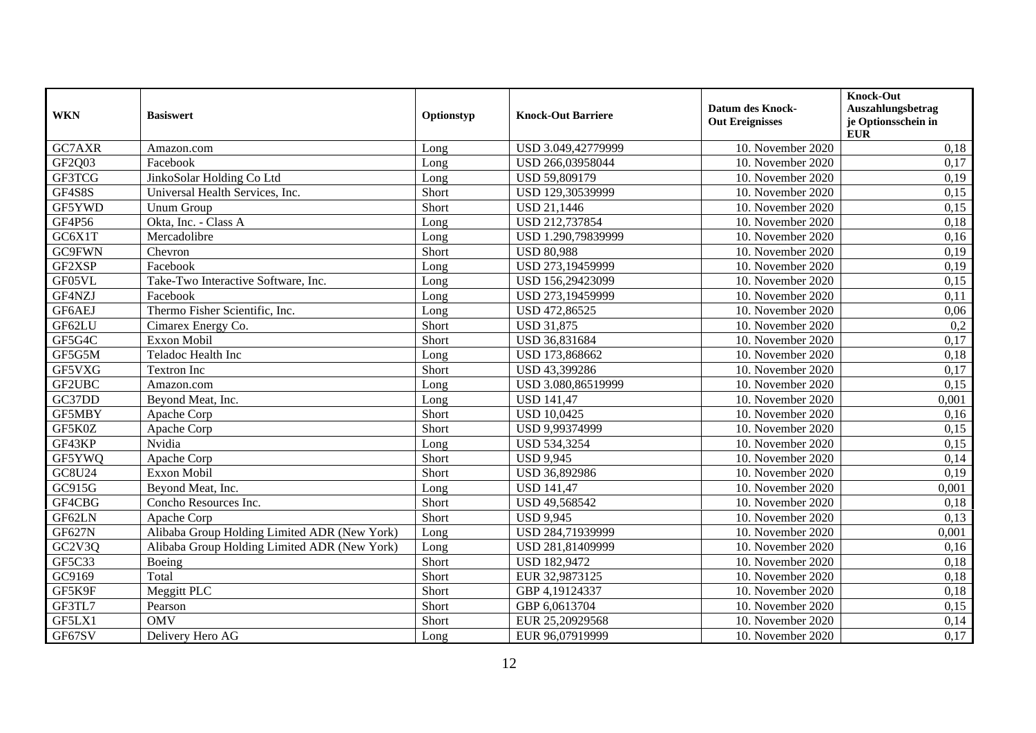| <b>WKN</b>    | <b>Basiswert</b>                             | Optionstyp | <b>Knock-Out Barriere</b> | <b>Datum des Knock-</b><br><b>Out Ereignisses</b> | <b>Knock-Out</b><br>Auszahlungsbetrag<br>je Optionsschein in<br><b>EUR</b> |
|---------------|----------------------------------------------|------------|---------------------------|---------------------------------------------------|----------------------------------------------------------------------------|
| GC7AXR        | Amazon.com                                   | Long       | USD 3.049,42779999        | 10. November 2020                                 | 0,18                                                                       |
| GF2Q03        | Facebook                                     | Long       | USD 266,03958044          | 10. November 2020                                 | 0,17                                                                       |
| GF3TCG        | JinkoSolar Holding Co Ltd                    | Long       | USD 59,809179             | 10. November 2020                                 | 0,19                                                                       |
| GF4S8S        | Universal Health Services, Inc.              | Short      | USD 129,30539999          | 10. November 2020                                 | 0,15                                                                       |
| GF5YWD        | Unum Group                                   | Short      | <b>USD 21,1446</b>        | 10. November 2020                                 | 0,15                                                                       |
| GF4P56        | Okta, Inc. - Class A                         | Long       | USD 212,737854            | 10. November 2020                                 | 0,18                                                                       |
| GC6X1T        | Mercadolibre                                 | Long       | USD 1.290,79839999        | 10. November 2020                                 | 0,16                                                                       |
| <b>GC9FWN</b> | Chevron                                      | Short      | <b>USD 80,988</b>         | 10. November 2020                                 | 0,19                                                                       |
| GF2XSP        | Facebook                                     | Long       | USD 273,19459999          | 10. November 2020                                 | 0,19                                                                       |
| GF05VL        | Take-Two Interactive Software, Inc.          | Long       | USD 156,29423099          | 10. November 2020                                 | 0,15                                                                       |
| GF4NZJ        | Facebook                                     | Long       | USD 273,19459999          | 10. November 2020                                 | 0,11                                                                       |
| GF6AEJ        | Thermo Fisher Scientific, Inc.               | Long       | USD 472,86525             | 10. November 2020                                 | 0,06                                                                       |
| GF62LU        | Cimarex Energy Co.                           | Short      | <b>USD 31,875</b>         | 10. November 2020                                 | 0,2                                                                        |
| GF5G4C        | <b>Exxon Mobil</b>                           | Short      | USD 36,831684             | 10. November 2020                                 | 0,17                                                                       |
| GF5G5M        | Teladoc Health Inc                           | Long       | USD 173,868662            | 10. November 2020                                 | 0,18                                                                       |
| GF5VXG        | <b>Textron Inc</b>                           | Short      | USD 43,399286             | 10. November 2020                                 | 0,17                                                                       |
| GF2UBC        | Amazon.com                                   | Long       | USD 3.080,86519999        | 10. November 2020                                 | 0,15                                                                       |
| GC37DD        | Beyond Meat, Inc.                            | Long       | <b>USD 141,47</b>         | 10. November 2020                                 | 0,001                                                                      |
| GF5MBY        | Apache Corp                                  | Short      | <b>USD 10,0425</b>        | 10. November 2020                                 | 0,16                                                                       |
| GF5K0Z        | Apache Corp                                  | Short      | USD 9,99374999            | 10. November 2020                                 | 0,15                                                                       |
| GF43KP        | Nvidia                                       | Long       | <b>USD 534,3254</b>       | 10. November 2020                                 | 0,15                                                                       |
| GF5YWQ        | Apache Corp                                  | Short      | <b>USD 9,945</b>          | 10. November 2020                                 | 0,14                                                                       |
| GC8U24        | <b>Exxon Mobil</b>                           | Short      | USD 36,892986             | 10. November 2020                                 | 0,19                                                                       |
| GC915G        | Beyond Meat, Inc.                            | Long       | <b>USD 141,47</b>         | 10. November 2020                                 | 0,001                                                                      |
| GF4CBG        | Concho Resources Inc.                        | Short      | USD 49,568542             | 10. November 2020                                 | 0,18                                                                       |
| GF62LN        | Apache Corp                                  | Short      | <b>USD 9,945</b>          | 10. November 2020                                 | 0,13                                                                       |
| <b>GF627N</b> | Alibaba Group Holding Limited ADR (New York) | Long       | USD 284,71939999          | 10. November 2020                                 | 0,001                                                                      |
| GC2V3Q        | Alibaba Group Holding Limited ADR (New York) | Long       | USD 281,81409999          | 10. November 2020                                 | 0,16                                                                       |
| GF5C33        | Boeing                                       | Short      | <b>USD 182,9472</b>       | 10. November 2020                                 | 0,18                                                                       |
| GC9169        | Total                                        | Short      | EUR 32,9873125            | 10. November 2020                                 | 0,18                                                                       |
| GF5K9F        | Meggitt PLC                                  | Short      | GBP 4,19124337            | 10. November 2020                                 | 0,18                                                                       |
| GF3TL7        | Pearson                                      | Short      | GBP 6,0613704             | 10. November 2020                                 | 0,15                                                                       |
| GF5LX1        | <b>OMV</b>                                   | Short      | EUR 25,20929568           | 10. November 2020                                 | 0,14                                                                       |
| GF67SV        | Delivery Hero AG                             | Long       | EUR 96,07919999           | 10. November 2020                                 | 0,17                                                                       |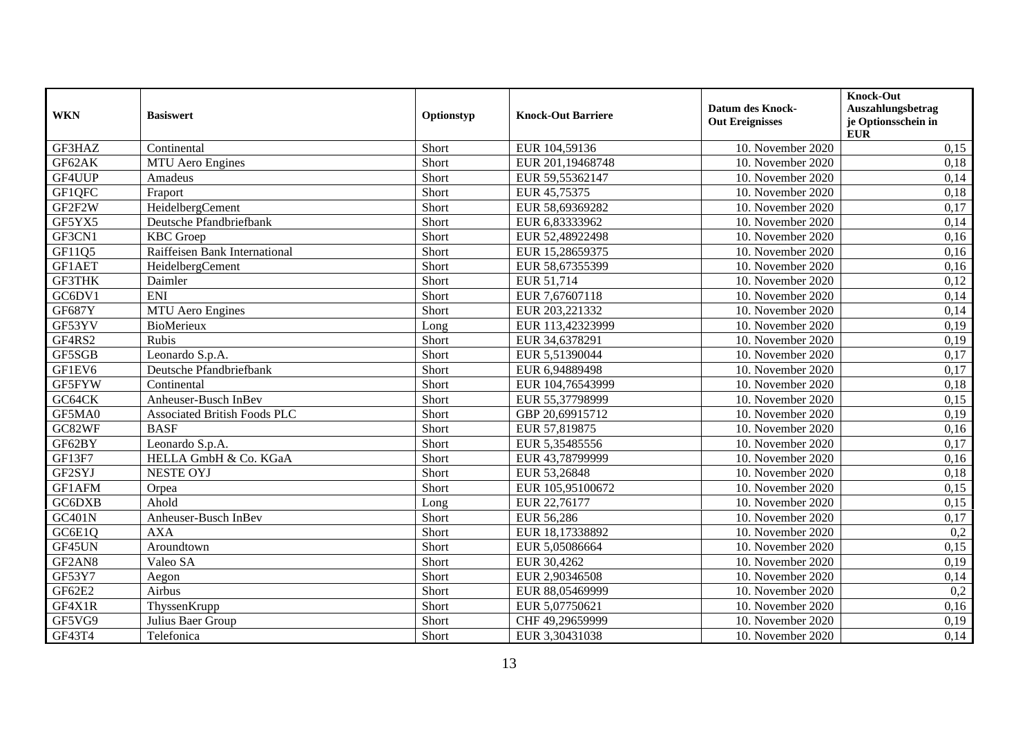| <b>WKN</b>    | <b>Basiswert</b>                    | Optionstyp | <b>Knock-Out Barriere</b> | <b>Datum des Knock-</b><br><b>Out Ereignisses</b> | Knock-Out<br>Auszahlungsbetrag<br>je Optionsschein in<br><b>EUR</b> |
|---------------|-------------------------------------|------------|---------------------------|---------------------------------------------------|---------------------------------------------------------------------|
| GF3HAZ        | Continental                         | Short      | EUR 104,59136             | 10. November 2020                                 | 0,15                                                                |
| GF62AK        | <b>MTU</b> Aero Engines             | Short      | EUR 201,19468748          | 10. November 2020                                 | 0,18                                                                |
| GF4UUP        | Amadeus                             | Short      | EUR 59,55362147           | 10. November 2020                                 | 0,14                                                                |
| GF1QFC        | Fraport                             | Short      | EUR 45,75375              | 10. November 2020                                 | 0,18                                                                |
| GF2F2W        | HeidelbergCement                    | Short      | EUR 58,69369282           | 10. November 2020                                 | 0,17                                                                |
| GF5YX5        | Deutsche Pfandbriefbank             | Short      | EUR 6,83333962            | 10. November 2020                                 | 0,14                                                                |
| GF3CN1        | <b>KBC</b> Groep                    | Short      | EUR 52,48922498           | 10. November 2020                                 | 0,16                                                                |
| GF11Q5        | Raiffeisen Bank International       | Short      | EUR 15,28659375           | 10. November 2020                                 | 0,16                                                                |
| GF1AET        | HeidelbergCement                    | Short      | EUR 58,67355399           | 10. November 2020                                 | 0,16                                                                |
| GF3THK        | Daimler                             | Short      | EUR 51,714                | 10. November 2020                                 | 0,12                                                                |
| GC6DV1        | <b>ENI</b>                          | Short      | EUR 7,67607118            | 10. November 2020                                 | 0,14                                                                |
| <b>GF687Y</b> | <b>MTU</b> Aero Engines             | Short      | EUR 203,221332            | 10. November 2020                                 | 0,14                                                                |
| GF53YV        | <b>BioMerieux</b>                   | Long       | EUR 113,42323999          | 10. November 2020                                 | 0,19                                                                |
| GF4RS2        | Rubis                               | Short      | EUR 34,6378291            | 10. November 2020                                 | 0,19                                                                |
| GF5SGB        | Leonardo S.p.A.                     | Short      | EUR 5,51390044            | 10. November 2020                                 | 0,17                                                                |
| GF1EV6        | Deutsche Pfandbriefbank             | Short      | EUR 6,94889498            | 10. November 2020                                 | 0,17                                                                |
| GF5FYW        | Continental                         | Short      | EUR 104,76543999          | 10. November 2020                                 | 0,18                                                                |
| GC64CK        | Anheuser-Busch InBev                | Short      | EUR 55,37798999           | 10. November 2020                                 | 0,15                                                                |
| GF5MA0        | <b>Associated British Foods PLC</b> | Short      | GBP 20,69915712           | 10. November 2020                                 | 0,19                                                                |
| GC82WF        | <b>BASF</b>                         | Short      | EUR 57,819875             | 10. November 2020                                 | 0,16                                                                |
| GF62BY        | Leonardo S.p.A.                     | Short      | EUR 5,35485556            | 10. November 2020                                 | 0,17                                                                |
| GF13F7        | HELLA GmbH & Co. KGaA               | Short      | EUR 43,78799999           | 10. November 2020                                 | 0,16                                                                |
| GF2SYJ        | <b>NESTE OYJ</b>                    | Short      | EUR 53,26848              | 10. November 2020                                 | 0,18                                                                |
| GF1AFM        | Orpea                               | Short      | EUR 105,95100672          | 10. November 2020                                 | 0,15                                                                |
| GC6DXB        | Ahold                               | Long       | EUR 22,76177              | 10. November 2020                                 | 0,15                                                                |
| <b>GC401N</b> | Anheuser-Busch InBev                | Short      | EUR 56,286                | 10. November 2020                                 | 0,17                                                                |
| GC6E1Q        | <b>AXA</b>                          | Short      | EUR 18,17338892           | 10. November 2020                                 | 0,2                                                                 |
| GF45UN        | Aroundtown                          | Short      | EUR 5,05086664            | 10. November 2020                                 | 0,15                                                                |
| GF2AN8        | Valeo SA                            | Short      | EUR 30,4262               | 10. November 2020                                 | 0,19                                                                |
| GF53Y7        | Aegon                               | Short      | EUR 2,90346508            | 10. November 2020                                 | 0,14                                                                |
| GF62E2        | Airbus                              | Short      | EUR 88,05469999           | 10. November 2020                                 | 0,2                                                                 |
| GF4X1R        | ThyssenKrupp                        | Short      | EUR 5,07750621            | 10. November 2020                                 | 0,16                                                                |
| GF5VG9        | Julius Baer Group                   | Short      | CHF 49,29659999           | 10. November 2020                                 | 0,19                                                                |
| GF43T4        | Telefonica                          | Short      | EUR 3,30431038            | 10. November 2020                                 | 0,14                                                                |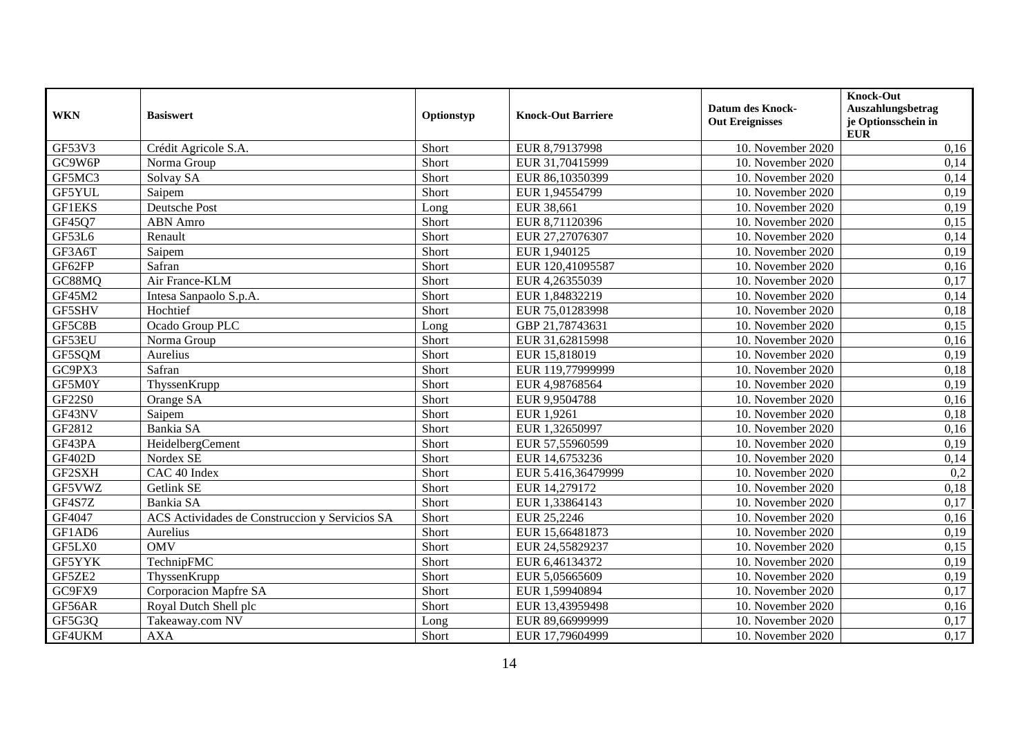| <b>WKN</b>    | <b>Basiswert</b>                               | Optionstyp | <b>Knock-Out Barriere</b> | <b>Datum des Knock-</b><br><b>Out Ereignisses</b> | <b>Knock-Out</b><br>Auszahlungsbetrag<br>je Optionsschein in<br><b>EUR</b> |
|---------------|------------------------------------------------|------------|---------------------------|---------------------------------------------------|----------------------------------------------------------------------------|
| GF53V3        | Crédit Agricole S.A.                           | Short      | EUR 8,79137998            | 10. November 2020                                 | 0,16                                                                       |
| GC9W6P        | Norma Group                                    | Short      | EUR 31,70415999           | 10. November 2020                                 | 0,14                                                                       |
| GF5MC3        | Solvay SA                                      | Short      | EUR 86,10350399           | 10. November 2020                                 | 0,14                                                                       |
| GF5YUL        | Saipem                                         | Short      | EUR 1,94554799            | 10. November 2020                                 | 0,19                                                                       |
| <b>GF1EKS</b> | Deutsche Post                                  | Long       | EUR 38,661                | 10. November 2020                                 | 0,19                                                                       |
| GF45Q7        | <b>ABN</b> Amro                                | Short      | EUR 8,71120396            | 10. November 2020                                 | 0,15                                                                       |
| GF53L6        | Renault                                        | Short      | EUR 27,27076307           | 10. November 2020                                 | 0,14                                                                       |
| GF3A6T        | Saipem                                         | Short      | EUR 1,940125              | 10. November 2020                                 | 0,19                                                                       |
| GF62FP        | Safran                                         | Short      | EUR 120,41095587          | 10. November 2020                                 | 0,16                                                                       |
| GC88MQ        | Air France-KLM                                 | Short      | EUR 4,26355039            | 10. November 2020                                 | 0,17                                                                       |
| GF45M2        | Intesa Sanpaolo S.p.A.                         | Short      | EUR 1,84832219            | 10. November 2020                                 | 0,14                                                                       |
| GF5SHV        | Hochtief                                       | Short      | EUR 75,01283998           | 10. November 2020                                 | 0,18                                                                       |
| GF5C8B        | Ocado Group PLC                                | Long       | GBP 21,78743631           | 10. November 2020                                 | 0,15                                                                       |
| GF53EU        | Norma Group                                    | Short      | EUR 31,62815998           | 10. November 2020                                 | 0,16                                                                       |
| GF5SQM        | Aurelius                                       | Short      | EUR 15,818019             | 10. November 2020                                 | 0,19                                                                       |
| GC9PX3        | Safran                                         | Short      | EUR 119,77999999          | 10. November 2020                                 | 0,18                                                                       |
| GF5M0Y        | ThyssenKrupp                                   | Short      | EUR 4,98768564            | 10. November 2020                                 | 0,19                                                                       |
| <b>GF22S0</b> | Orange SA                                      | Short      | EUR 9,9504788             | 10. November 2020                                 | 0,16                                                                       |
| GF43NV        | Saipem                                         | Short      | EUR 1,9261                | 10. November 2020                                 | 0,18                                                                       |
| GF2812        | Bankia SA                                      | Short      | EUR 1,32650997            | 10. November 2020                                 | 0,16                                                                       |
| GF43PA        | HeidelbergCement                               | Short      | EUR 57,55960599           | 10. November 2020                                 | 0,19                                                                       |
| <b>GF402D</b> | Nordex SE                                      | Short      | EUR 14,6753236            | 10. November 2020                                 | 0,14                                                                       |
| GF2SXH        | CAC 40 Index                                   | Short      | EUR 5.416,36479999        | 10. November 2020                                 | 0,2                                                                        |
| GF5VWZ        | Getlink SE                                     | Short      | EUR 14,279172             | 10. November 2020                                 | 0,18                                                                       |
| GF4S7Z        | Bankia SA                                      | Short      | EUR 1,33864143            | 10. November 2020                                 | 0,17                                                                       |
| GF4047        | ACS Actividades de Construccion y Servicios SA | Short      | EUR 25,2246               | 10. November 2020                                 | 0,16                                                                       |
| GF1AD6        | Aurelius                                       | Short      | EUR 15,66481873           | 10. November 2020                                 | 0,19                                                                       |
| GF5LX0        | <b>OMV</b>                                     | Short      | EUR 24,55829237           | 10. November 2020                                 | 0,15                                                                       |
| GF5YYK        | TechnipFMC                                     | Short      | EUR 6,46134372            | 10. November 2020                                 | 0,19                                                                       |
| GF5ZE2        | ThyssenKrupp                                   | Short      | EUR 5,05665609            | 10. November 2020                                 | 0,19                                                                       |
| GC9FX9        | Corporacion Mapfre SA                          | Short      | EUR 1,59940894            | 10. November 2020                                 | 0,17                                                                       |
| GF56AR        | Royal Dutch Shell plc                          | Short      | EUR 13,43959498           | 10. November 2020                                 | 0,16                                                                       |
| GF5G3Q        | Takeaway.com NV                                | Long       | EUR 89,66999999           | 10. November 2020                                 | 0,17                                                                       |
| GF4UKM        | <b>AXA</b>                                     | Short      | EUR 17,79604999           | 10. November 2020                                 | 0,17                                                                       |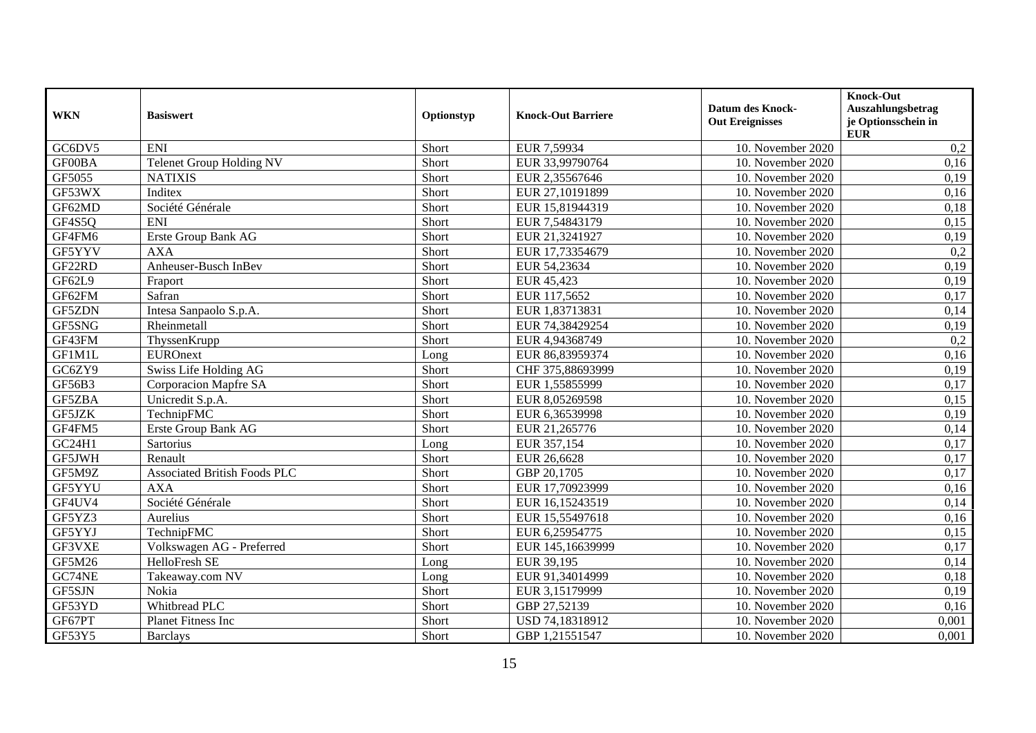| <b>WKN</b> | <b>Basiswert</b>                    | Optionstyp | <b>Knock-Out Barriere</b> | <b>Datum des Knock-</b><br><b>Out Ereignisses</b> | <b>Knock-Out</b><br>Auszahlungsbetrag<br>je Optionsschein in |
|------------|-------------------------------------|------------|---------------------------|---------------------------------------------------|--------------------------------------------------------------|
|            |                                     |            |                           |                                                   | <b>EUR</b>                                                   |
| GC6DV5     | <b>ENI</b>                          | Short      | EUR 7,59934               | 10. November 2020                                 | 0,2                                                          |
| GF00BA     | Telenet Group Holding NV            | Short      | EUR 33,99790764           | 10. November 2020                                 | 0,16                                                         |
| GF5055     | <b>NATIXIS</b>                      | Short      | EUR 2,35567646            | 10. November 2020                                 | 0,19                                                         |
| GF53WX     | Inditex                             | Short      | EUR 27,10191899           | 10. November 2020                                 | 0,16                                                         |
| GF62MD     | Société Générale                    | Short      | EUR 15,81944319           | 10. November 2020                                 | 0,18                                                         |
| GF4S5Q     | <b>ENI</b>                          | Short      | EUR 7,54843179            | 10. November 2020                                 | 0,15                                                         |
| GF4FM6     | Erste Group Bank AG                 | Short      | EUR 21,3241927            | 10. November 2020                                 | 0,19                                                         |
| GF5YYV     | <b>AXA</b>                          | Short      | EUR 17,73354679           | 10. November 2020                                 | 0,2                                                          |
| GF22RD     | Anheuser-Busch InBev                | Short      | EUR 54,23634              | 10. November 2020                                 | $\overline{0,19}$                                            |
| GF62L9     | Fraport                             | Short      | EUR 45,423                | 10. November 2020                                 | 0,19                                                         |
| GF62FM     | Safran                              | Short      | EUR 117,5652              | 10. November 2020                                 | 0,17                                                         |
| GF5ZDN     | Intesa Sanpaolo S.p.A.              | Short      | EUR 1,83713831            | 10. November 2020                                 | 0,14                                                         |
| GF5SNG     | Rheinmetall                         | Short      | EUR 74,38429254           | 10. November 2020                                 | 0,19                                                         |
| GF43FM     | ThyssenKrupp                        | Short      | EUR 4,94368749            | 10. November 2020                                 | 0,2                                                          |
| GF1M1L     | <b>EUROnext</b>                     | Long       | EUR 86,83959374           | 10. November 2020                                 | 0,16                                                         |
| GC6ZY9     | Swiss Life Holding AG               | Short      | CHF 375,88693999          | 10. November 2020                                 | 0,19                                                         |
| GF56B3     | Corporacion Mapfre SA               | Short      | EUR 1,55855999            | 10. November 2020                                 | 0,17                                                         |
| GF5ZBA     | Unicredit S.p.A.                    | Short      | EUR 8,05269598            | 10. November 2020                                 | 0,15                                                         |
| GF5JZK     | TechnipFMC                          | Short      | EUR 6,36539998            | 10. November 2020                                 | 0,19                                                         |
| GF4FM5     | Erste Group Bank AG                 | Short      | EUR 21,265776             | 10. November 2020                                 | 0,14                                                         |
| GC24H1     | Sartorius                           | Long       | EUR 357,154               | 10. November 2020                                 | 0,17                                                         |
| GF5JWH     | Renault                             | Short      | EUR 26,6628               | 10. November 2020                                 | 0,17                                                         |
| GF5M9Z     | <b>Associated British Foods PLC</b> | Short      | GBP 20,1705               | 10. November 2020                                 | 0,17                                                         |
| GF5YYU     | <b>AXA</b>                          | Short      | EUR 17,70923999           | 10. November 2020                                 | 0,16                                                         |
| GF4UV4     | Société Générale                    | Short      | EUR 16,15243519           | 10. November 2020                                 | 0,14                                                         |
| GF5YZ3     | Aurelius                            | Short      | EUR 15,55497618           | 10. November 2020                                 | 0,16                                                         |
| GF5YYJ     | TechnipFMC                          | Short      | EUR 6,25954775            | 10. November 2020                                 | 0,15                                                         |
| GF3VXE     | Volkswagen AG - Preferred           | Short      | EUR 145,16639999          | 10. November 2020                                 | 0,17                                                         |
| GF5M26     | HelloFresh SE                       | Long       | EUR 39,195                | 10. November 2020                                 | 0,14                                                         |
| GC74NE     | Takeaway.com NV                     | Long       | EUR 91,34014999           | 10. November 2020                                 | 0,18                                                         |
| GF5SJN     | Nokia                               | Short      | EUR 3,15179999            | 10. November 2020                                 | 0,19                                                         |
| GF53YD     | Whitbread PLC                       | Short      | GBP 27,52139              | 10. November 2020                                 | 0,16                                                         |
| GF67PT     | Planet Fitness Inc                  | Short      | USD 74,18318912           | 10. November 2020                                 | 0,001                                                        |
| GF53Y5     | <b>Barclays</b>                     | Short      | GBP 1,21551547            | 10. November 2020                                 | 0,001                                                        |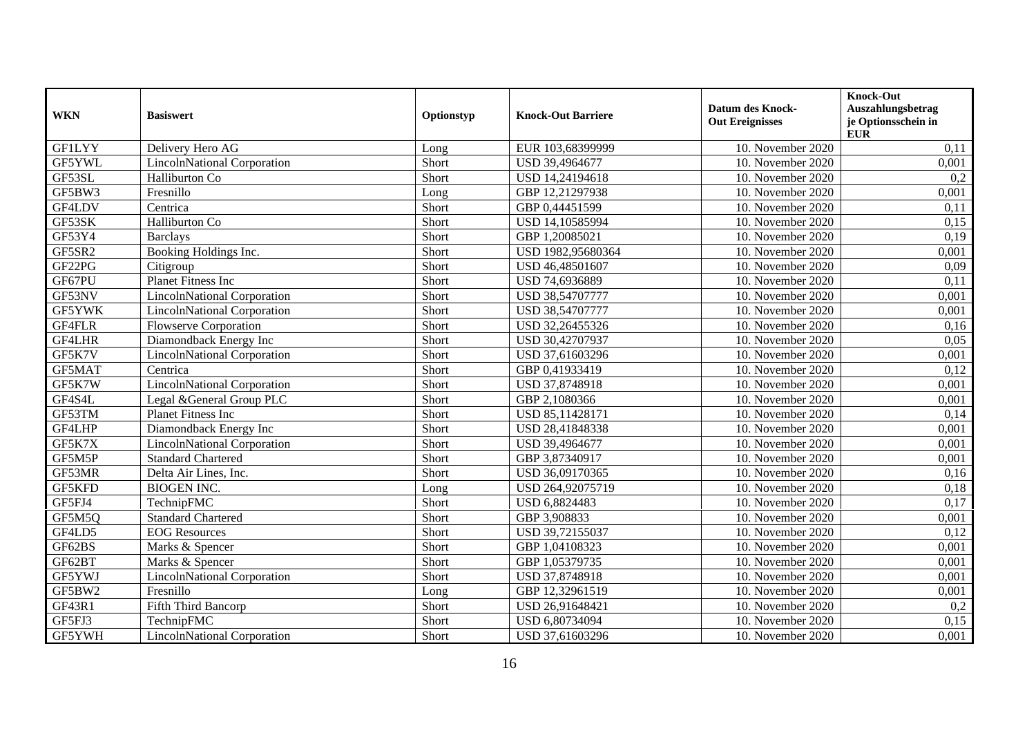| <b>WKN</b>    | <b>Basiswert</b>                   | Optionstyp | <b>Knock-Out Barriere</b> | <b>Datum des Knock-</b><br><b>Out Ereignisses</b> | Knock-Out<br>Auszahlungsbetrag<br>je Optionsschein in |
|---------------|------------------------------------|------------|---------------------------|---------------------------------------------------|-------------------------------------------------------|
| <b>GF1LYY</b> | Delivery Hero AG                   | Long       | EUR 103,68399999          | 10. November 2020                                 | <b>EUR</b><br>0,11                                    |
| GF5YWL        | <b>LincolnNational Corporation</b> | Short      | USD 39,4964677            | 10. November 2020                                 | 0,001                                                 |
| GF53SL        | Halliburton Co                     | Short      | USD 14,24194618           | 10. November 2020                                 | 0,2                                                   |
| GF5BW3        | Fresnillo                          | Long       | GBP 12,21297938           | 10. November 2020                                 | 0,001                                                 |
| GF4LDV        | Centrica                           | Short      | GBP 0,44451599            | 10. November 2020                                 | 0,11                                                  |
| GF53SK        | Halliburton Co                     | Short      | USD 14,10585994           | 10. November 2020                                 | 0,15                                                  |
| GF53Y4        | <b>Barclays</b>                    | Short      | GBP 1,20085021            | 10. November 2020                                 | 0,19                                                  |
| GF5SR2        | Booking Holdings Inc.              | Short      | USD 1982,95680364         | 10. November 2020                                 | 0,001                                                 |
| GF22PG        | Citigroup                          | Short      | USD 46,48501607           | 10. November 2020                                 | 0,09                                                  |
| GF67PU        | <b>Planet Fitness Inc</b>          | Short      | USD 74,6936889            | 10. November 2020                                 | 0,11                                                  |
| GF53NV        | <b>LincolnNational Corporation</b> | Short      | USD 38,54707777           | 10. November 2020                                 | 0,001                                                 |
| GF5YWK        | <b>LincolnNational Corporation</b> | Short      | USD 38,54707777           | 10. November 2020                                 | 0,001                                                 |
| GF4FLR        | <b>Flowserve Corporation</b>       | Short      | USD 32,26455326           | 10. November 2020                                 | 0,16                                                  |
| GF4LHR        | Diamondback Energy Inc             | Short      | USD 30,42707937           | 10. November 2020                                 | 0,05                                                  |
| GF5K7V        | <b>LincolnNational Corporation</b> | Short      | USD 37,61603296           | 10. November 2020                                 | 0,001                                                 |
| GF5MAT        | Centrica                           | Short      | GBP 0,41933419            | 10. November 2020                                 | 0,12                                                  |
| GF5K7W        | <b>LincolnNational Corporation</b> | Short      | USD 37,8748918            | 10. November 2020                                 | 0,001                                                 |
| GF4S4L        | Legal & General Group PLC          | Short      | GBP 2,1080366             | 10. November 2020                                 | 0,001                                                 |
| GF53TM        | <b>Planet Fitness Inc</b>          | Short      | USD 85,11428171           | 10. November 2020                                 | 0,14                                                  |
| GF4LHP        | Diamondback Energy Inc             | Short      | USD 28,41848338           | 10. November 2020                                 | 0,001                                                 |
| GF5K7X        | <b>LincolnNational Corporation</b> | Short      | USD 39,4964677            | 10. November 2020                                 | 0,001                                                 |
| GF5M5P        | <b>Standard Chartered</b>          | Short      | GBP 3,87340917            | 10. November 2020                                 | 0,001                                                 |
| GF53MR        | Delta Air Lines, Inc.              | Short      | USD 36,09170365           | 10. November 2020                                 | 0,16                                                  |
| GF5KFD        | <b>BIOGEN INC.</b>                 | Long       | USD 264,92075719          | 10. November 2020                                 | 0,18                                                  |
| GF5FJ4        | TechnipFMC                         | Short      | USD 6,8824483             | 10. November 2020                                 | 0,17                                                  |
| GF5M5Q        | <b>Standard Chartered</b>          | Short      | GBP 3,908833              | 10. November 2020                                 | 0,001                                                 |
| GF4LD5        | <b>EOG</b> Resources               | Short      | USD 39,72155037           | 10. November 2020                                 | 0,12                                                  |
| GF62BS        | Marks & Spencer                    | Short      | GBP 1,04108323            | 10. November 2020                                 | 0,001                                                 |
| GF62BT        | Marks & Spencer                    | Short      | GBP 1,05379735            | 10. November 2020                                 | 0,001                                                 |
| GF5YWJ        | <b>LincolnNational Corporation</b> | Short      | USD 37,8748918            | 10. November 2020                                 | 0,001                                                 |
| GF5BW2        | Fresnillo                          | Long       | GBP 12,32961519           | 10. November 2020                                 | 0,001                                                 |
| GF43R1        | Fifth Third Bancorp                | Short      | USD 26,91648421           | 10. November 2020                                 | 0,2                                                   |
| GF5FJ3        | TechnipFMC                         | Short      | USD 6,80734094            | 10. November 2020                                 | 0,15                                                  |
| GF5YWH        | <b>LincolnNational Corporation</b> | Short      | USD 37,61603296           | 10. November 2020                                 | 0,001                                                 |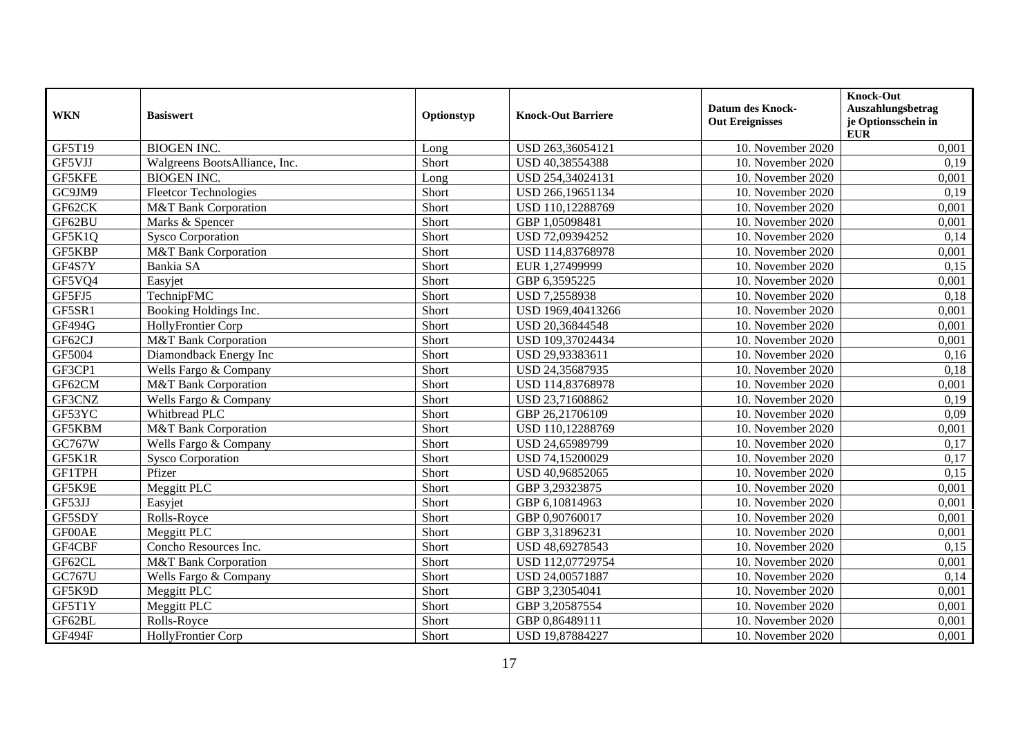| <b>WKN</b>    | <b>Basiswert</b>                | Optionstyp | <b>Knock-Out Barriere</b> | <b>Datum des Knock-</b><br><b>Out Ereignisses</b> | <b>Knock-Out</b><br>Auszahlungsbetrag<br>je Optionsschein in<br><b>EUR</b> |
|---------------|---------------------------------|------------|---------------------------|---------------------------------------------------|----------------------------------------------------------------------------|
| GF5T19        | <b>BIOGEN INC.</b>              | Long       | USD 263,36054121          | 10. November 2020                                 | 0,001                                                                      |
| GF5VJJ        | Walgreens BootsAlliance, Inc.   | Short      | USD 40,38554388           | 10. November 2020                                 | 0,19                                                                       |
| GF5KFE        | <b>BIOGEN INC.</b>              | Long       | USD 254,34024131          | 10. November 2020                                 | 0,001                                                                      |
| GC9JM9        | <b>Fleetcor Technologies</b>    | Short      | USD 266,19651134          | 10. November 2020                                 | 0,19                                                                       |
| GF62CK        | <b>M&amp;T</b> Bank Corporation | Short      | USD 110,12288769          | 10. November 2020                                 | 0,001                                                                      |
| GF62BU        | Marks & Spencer                 | Short      | GBP 1,05098481            | 10. November 2020                                 | 0,001                                                                      |
| GF5K1Q        | <b>Sysco Corporation</b>        | Short      | USD 72,09394252           | 10. November 2020                                 | 0,14                                                                       |
| GF5KBP        | M&T Bank Corporation            | Short      | USD 114,83768978          | 10. November 2020                                 | 0,001                                                                      |
| GF4S7Y        | Bankia SA                       | Short      | EUR 1,27499999            | 10. November 2020                                 | 0,15                                                                       |
| GF5VQ4        | Easyjet                         | Short      | GBP 6,3595225             | 10. November 2020                                 | 0,001                                                                      |
| GF5FJ5        | TechnipFMC                      | Short      | USD 7,2558938             | 10. November 2020                                 | 0,18                                                                       |
| GF5SR1        | Booking Holdings Inc.           | Short      | USD 1969,40413266         | 10. November 2020                                 | 0,001                                                                      |
| <b>GF494G</b> | <b>HollyFrontier Corp</b>       | Short      | USD 20,36844548           | 10. November 2020                                 | 0,001                                                                      |
| GF62CJ        | <b>M&amp;T</b> Bank Corporation | Short      | USD 109,37024434          | 10. November 2020                                 | 0,001                                                                      |
| GF5004        | Diamondback Energy Inc          | Short      | USD 29,93383611           | 10. November 2020                                 | 0,16                                                                       |
| GF3CP1        | Wells Fargo & Company           | Short      | USD 24,35687935           | 10. November 2020                                 | 0,18                                                                       |
| GF62CM        | <b>M&amp;T Bank Corporation</b> | Short      | USD 114,83768978          | 10. November 2020                                 | 0,001                                                                      |
| GF3CNZ        | Wells Fargo & Company           | Short      | USD 23,71608862           | 10. November 2020                                 | 0,19                                                                       |
| GF53YC        | Whitbread PLC                   | Short      | GBP 26,21706109           | 10. November 2020                                 | 0,09                                                                       |
| GF5KBM        | M&T Bank Corporation            | Short      | USD 110,12288769          | 10. November 2020                                 | 0,001                                                                      |
| GC767W        | Wells Fargo & Company           | Short      | USD 24,65989799           | 10. November 2020                                 | 0,17                                                                       |
| GF5K1R        | <b>Sysco Corporation</b>        | Short      | USD 74,15200029           | 10. November 2020                                 | 0,17                                                                       |
| GF1TPH        | Pfizer                          | Short      | USD 40,96852065           | 10. November 2020                                 | 0,15                                                                       |
| GF5K9E        | Meggitt PLC                     | Short      | GBP 3,29323875            | 10. November 2020                                 | 0,001                                                                      |
| GF53JJ        | Easyjet                         | Short      | GBP 6,10814963            | 10. November 2020                                 | 0,001                                                                      |
| GF5SDY        | Rolls-Royce                     | Short      | GBP 0,90760017            | 10. November 2020                                 | 0,001                                                                      |
| GF00AE        | Meggitt PLC                     | Short      | GBP 3,31896231            | 10. November 2020                                 | 0,001                                                                      |
| GF4CBF        | Concho Resources Inc.           | Short      | USD 48,69278543           | 10. November 2020                                 | 0,15                                                                       |
| GF62CL        | M&T Bank Corporation            | Short      | USD 112,07729754          | 10. November 2020                                 | 0,001                                                                      |
| GC767U        | Wells Fargo & Company           | Short      | USD 24,00571887           | 10. November 2020                                 | 0,14                                                                       |
| GF5K9D        | Meggitt PLC                     | Short      | GBP 3,23054041            | 10. November 2020                                 | 0,001                                                                      |
| GF5T1Y        | Meggitt PLC                     | Short      | GBP 3,20587554            | 10. November 2020                                 | 0,001                                                                      |
| GF62BL        | Rolls-Royce                     | Short      | GBP 0,86489111            | 10. November 2020                                 | 0,001                                                                      |
| GF494F        | HollyFrontier Corp              | Short      | USD 19,87884227           | 10. November 2020                                 | 0,001                                                                      |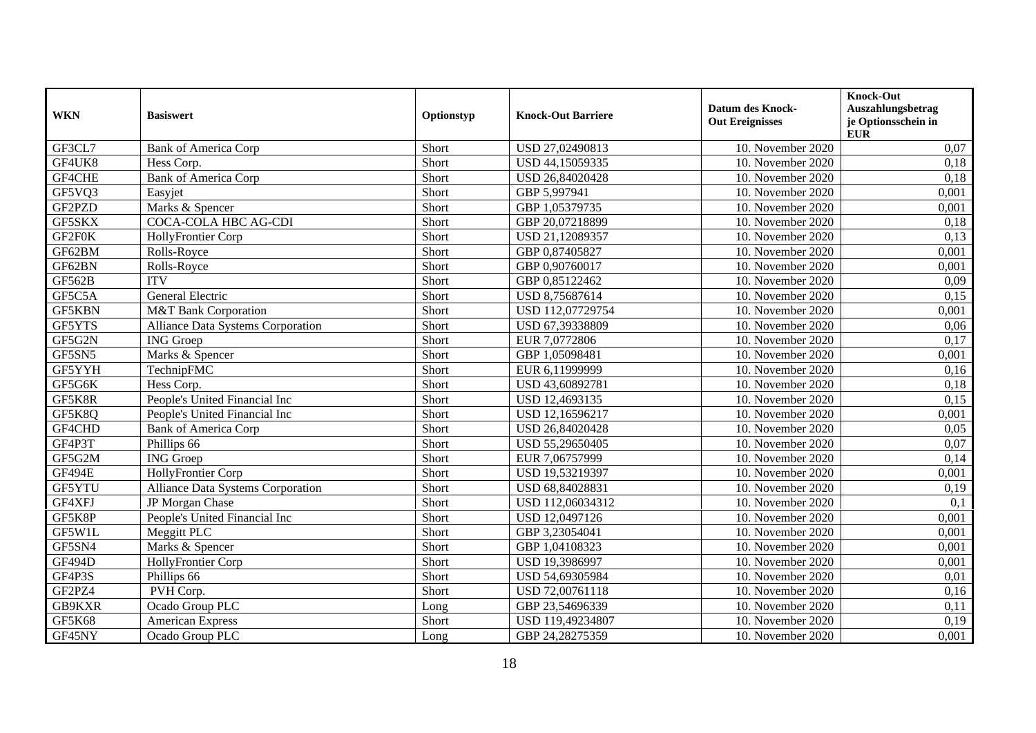| <b>WKN</b>    | <b>Basiswert</b>                         | Optionstyp | <b>Knock-Out Barriere</b> | <b>Datum des Knock-</b><br><b>Out Ereignisses</b> | Knock-Out<br>Auszahlungsbetrag<br>je Optionsschein in<br><b>EUR</b> |
|---------------|------------------------------------------|------------|---------------------------|---------------------------------------------------|---------------------------------------------------------------------|
| GF3CL7        | <b>Bank of America Corp</b>              | Short      | USD 27,02490813           | 10. November 2020                                 | 0,07                                                                |
| GF4UK8        | Hess Corp.                               | Short      | USD 44,15059335           | 10. November 2020                                 | 0,18                                                                |
| GF4CHE        | <b>Bank of America Corp</b>              | Short      | USD 26,84020428           | 10. November 2020                                 | 0,18                                                                |
| GF5VQ3        | Easyjet                                  | Short      | GBP 5,997941              | 10. November 2020                                 | 0,001                                                               |
| GF2PZD        | Marks & Spencer                          | Short      | GBP 1,05379735            | 10. November 2020                                 | 0,001                                                               |
| GF5SKX        | COCA-COLA HBC AG-CDI                     | Short      | GBP 20,07218899           | 10. November 2020                                 | 0,18                                                                |
| GF2F0K        | HollyFrontier Corp                       | Short      | USD 21,12089357           | 10. November 2020                                 | 0,13                                                                |
| GF62BM        | Rolls-Royce                              | Short      | GBP 0,87405827            | 10. November 2020                                 | 0,001                                                               |
| GF62BN        | Rolls-Royce                              | Short      | GBP 0,90760017            | 10. November 2020                                 | 0,001                                                               |
| GF562B        | <b>ITV</b>                               | Short      | GBP 0,85122462            | 10. November 2020                                 | 0,09                                                                |
| GF5C5A        | General Electric                         | Short      | USD 8,75687614            | 10. November 2020                                 | 0,15                                                                |
| <b>GF5KBN</b> | <b>M&amp;T Bank Corporation</b>          | Short      | USD 112,07729754          | 10. November 2020                                 | 0,001                                                               |
| GF5YTS        | <b>Alliance Data Systems Corporation</b> | Short      | USD 67,39338809           | 10. November 2020                                 | 0,06                                                                |
| GF5G2N        | <b>ING</b> Groep                         | Short      | EUR 7,0772806             | 10. November 2020                                 | 0,17                                                                |
| GF5SN5        | Marks & Spencer                          | Short      | GBP 1,05098481            | 10. November 2020                                 | 0,001                                                               |
| GF5YYH        | TechnipFMC                               | Short      | EUR 6,11999999            | 10. November 2020                                 | 0,16                                                                |
| GF5G6K        | Hess Corp.                               | Short      | USD 43,60892781           | 10. November 2020                                 | 0,18                                                                |
| GF5K8R        | People's United Financial Inc            | Short      | USD 12,4693135            | 10. November 2020                                 | 0,15                                                                |
| GF5K8Q        | People's United Financial Inc            | Short      | USD 12,16596217           | 10. November 2020                                 | 0,001                                                               |
| GF4CHD        | <b>Bank of America Corp</b>              | Short      | USD 26,84020428           | 10. November 2020                                 | 0,05                                                                |
| GF4P3T        | Phillips 66                              | Short      | USD 55,29650405           | 10. November 2020                                 | 0,07                                                                |
| GF5G2M        | <b>ING</b> Groep                         | Short      | EUR 7,06757999            | 10. November 2020                                 | 0,14                                                                |
| <b>GF494E</b> | HollyFrontier Corp                       | Short      | USD 19,53219397           | 10. November 2020                                 | 0,001                                                               |
| GF5YTU        | <b>Alliance Data Systems Corporation</b> | Short      | USD 68,84028831           | 10. November 2020                                 | 0,19                                                                |
| GF4XFJ        | JP Morgan Chase                          | Short      | USD 112,06034312          | 10. November 2020                                 | 0,1                                                                 |
| GF5K8P        | People's United Financial Inc            | Short      | USD 12,0497126            | 10. November 2020                                 | 0,001                                                               |
| GF5W1L        | Meggitt PLC                              | Short      | GBP 3,23054041            | 10. November 2020                                 | 0,001                                                               |
| GF5SN4        | Marks & Spencer                          | Short      | GBP 1,04108323            | 10. November 2020                                 | 0,001                                                               |
| <b>GF494D</b> | HollyFrontier Corp                       | Short      | USD 19,3986997            | 10. November 2020                                 | 0,001                                                               |
| GF4P3S        | Phillips 66                              | Short      | USD 54,69305984           | 10. November 2020                                 | 0,01                                                                |
| GF2PZ4        | PVH Corp.                                | Short      | USD 72,00761118           | 10. November 2020                                 | 0,16                                                                |
| GB9KXR        | Ocado Group PLC                          | Long       | GBP 23,54696339           | 10. November 2020                                 | 0,11                                                                |
| GF5K68        | <b>American Express</b>                  | Short      | USD 119,49234807          | 10. November 2020                                 | 0,19                                                                |
| GF45NY        | Ocado Group PLC                          | Long       | GBP 24,28275359           | 10. November 2020                                 | 0,001                                                               |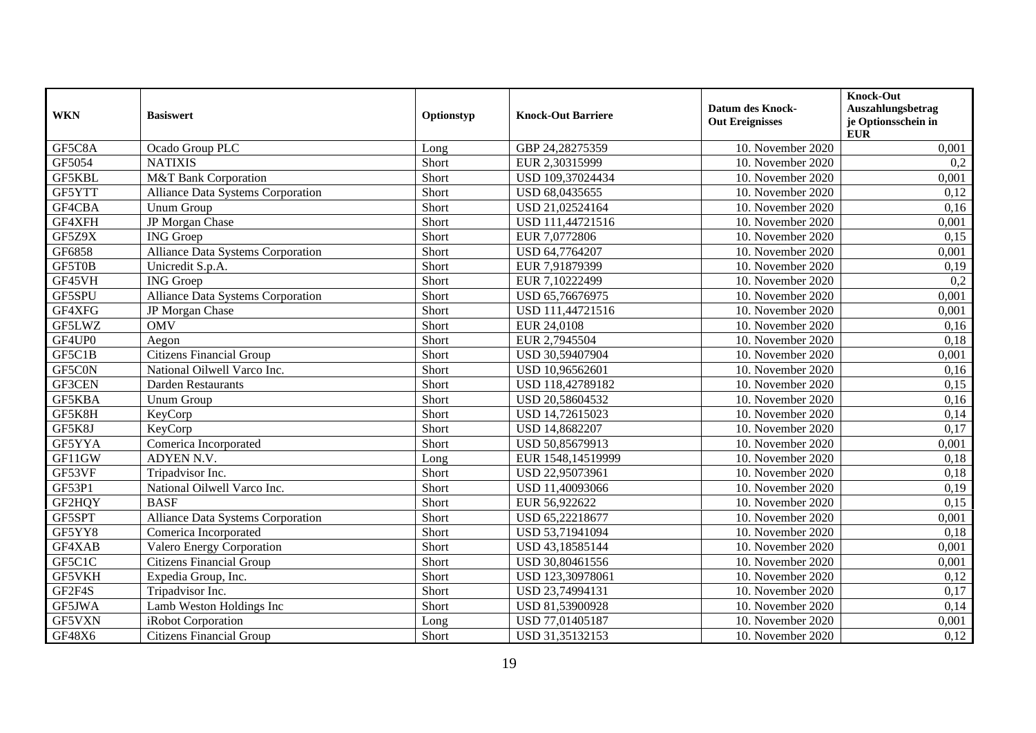| <b>WKN</b> | <b>Basiswert</b>                  | Optionstyp | <b>Knock-Out Barriere</b> | <b>Datum des Knock-</b><br><b>Out Ereignisses</b> | <b>Knock-Out</b><br>Auszahlungsbetrag<br>je Optionsschein in<br><b>EUR</b> |
|------------|-----------------------------------|------------|---------------------------|---------------------------------------------------|----------------------------------------------------------------------------|
| GF5C8A     | Ocado Group PLC                   | Long       | GBP 24,28275359           | 10. November 2020                                 | 0,001                                                                      |
| GF5054     | <b>NATIXIS</b>                    | Short      | EUR 2,30315999            | 10. November 2020                                 | 0,2                                                                        |
| GF5KBL     | <b>M&amp;T</b> Bank Corporation   | Short      | USD 109,37024434          | 10. November 2020                                 | 0,001                                                                      |
| GF5YTT     | Alliance Data Systems Corporation | Short      | USD 68,0435655            | 10. November 2020                                 | 0,12                                                                       |
| GF4CBA     | Unum Group                        | Short      | USD 21,02524164           | 10. November 2020                                 | 0,16                                                                       |
| GF4XFH     | JP Morgan Chase                   | Short      | USD 111,44721516          | 10. November 2020                                 | 0,001                                                                      |
| GF5Z9X     | <b>ING</b> Groep                  | Short      | EUR 7,0772806             | 10. November 2020                                 | 0,15                                                                       |
| GF6858     | Alliance Data Systems Corporation | Short      | USD 64,7764207            | 10. November 2020                                 | 0,001                                                                      |
| GF5T0B     | Unicredit S.p.A.                  | Short      | EUR 7,91879399            | 10. November 2020                                 | 0,19                                                                       |
| GF45VH     | <b>ING</b> Groep                  | Short      | EUR 7,10222499            | 10. November 2020                                 | 0,2                                                                        |
| GF5SPU     | Alliance Data Systems Corporation | Short      | USD 65,76676975           | 10. November 2020                                 | 0,001                                                                      |
| GF4XFG     | JP Morgan Chase                   | Short      | USD 111,44721516          | 10. November 2020                                 | 0,001                                                                      |
| GF5LWZ     | <b>OMV</b>                        | Short      | EUR 24,0108               | 10. November 2020                                 | 0,16                                                                       |
| GF4UP0     | Aegon                             | Short      | EUR 2,7945504             | 10. November 2020                                 | 0,18                                                                       |
| GF5C1B     | <b>Citizens Financial Group</b>   | Short      | USD 30,59407904           | 10. November 2020                                 | 0,001                                                                      |
| GF5C0N     | National Oilwell Varco Inc.       | Short      | USD 10,96562601           | 10. November 2020                                 | 0,16                                                                       |
| GF3CEN     | Darden Restaurants                | Short      | USD 118,42789182          | 10. November 2020                                 | 0,15                                                                       |
| GF5KBA     | <b>Unum Group</b>                 | Short      | USD 20,58604532           | 10. November 2020                                 | 0,16                                                                       |
| GF5K8H     | KeyCorp                           | Short      | USD 14,72615023           | 10. November 2020                                 | 0,14                                                                       |
| GF5K8J     | KeyCorp                           | Short      | USD 14,8682207            | 10. November 2020                                 | 0,17                                                                       |
| GF5YYA     | Comerica Incorporated             | Short      | USD 50,85679913           | 10. November 2020                                 | 0,001                                                                      |
| GF11GW     | ADYEN N.V.                        | Long       | EUR 1548,14519999         | 10. November 2020                                 | 0,18                                                                       |
| GF53VF     | Tripadvisor Inc.                  | Short      | USD 22,95073961           | 10. November 2020                                 | 0,18                                                                       |
| GF53P1     | National Oilwell Varco Inc.       | Short      | USD 11,40093066           | 10. November 2020                                 | 0,19                                                                       |
| GF2HQY     | <b>BASF</b>                       | Short      | EUR 56,922622             | 10. November 2020                                 | 0,15                                                                       |
| GF5SPT     | Alliance Data Systems Corporation | Short      | USD 65,22218677           | 10. November 2020                                 | 0,001                                                                      |
| GF5YY8     | Comerica Incorporated             | Short      | USD 53,71941094           | 10. November 2020                                 | 0,18                                                                       |
| GF4XAB     | Valero Energy Corporation         | Short      | USD 43,18585144           | 10. November 2020                                 | 0,001                                                                      |
| GF5C1C     | <b>Citizens Financial Group</b>   | Short      | USD 30,80461556           | 10. November 2020                                 | 0,001                                                                      |
| GF5VKH     | Expedia Group, Inc.               | Short      | USD 123,30978061          | 10. November 2020                                 | 0,12                                                                       |
| GF2F4S     | Tripadvisor Inc.                  | Short      | USD 23,74994131           | 10. November 2020                                 | 0,17                                                                       |
| GF5JWA     | Lamb Weston Holdings Inc          | Short      | USD 81,53900928           | 10. November 2020                                 | 0,14                                                                       |
| GF5VXN     | iRobot Corporation                | Long       | USD 77,01405187           | 10. November 2020                                 | 0,001                                                                      |
| GF48X6     | <b>Citizens Financial Group</b>   | Short      | USD 31,35132153           | 10. November 2020                                 | 0,12                                                                       |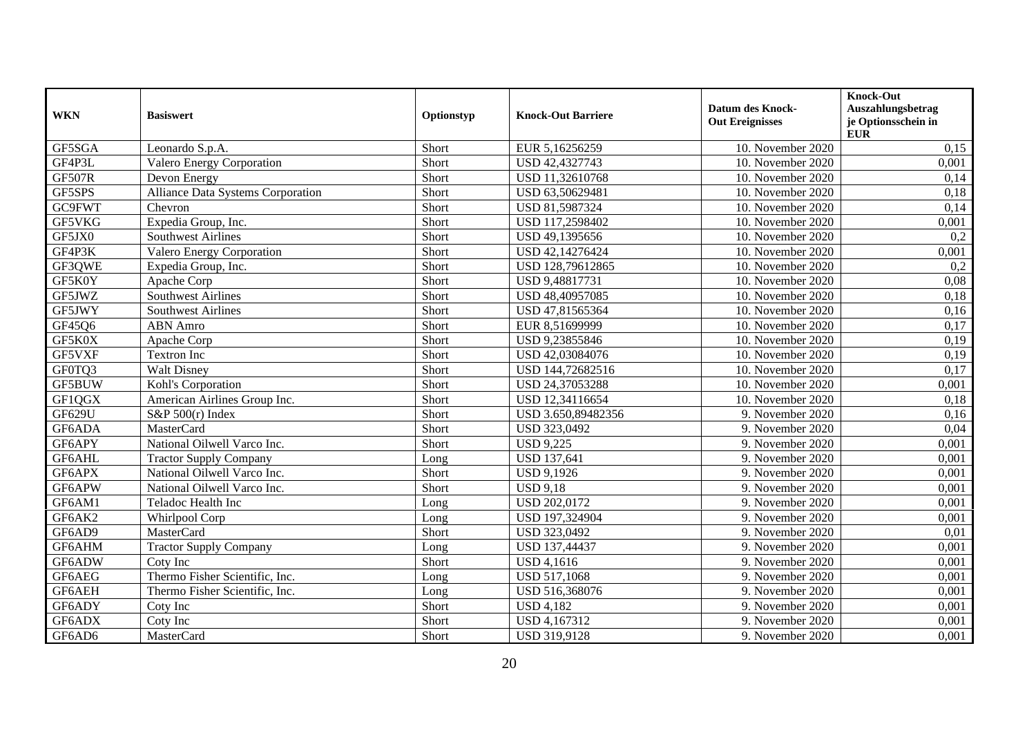| <b>WKN</b>    | <b>Basiswert</b>                  | Optionstyp | <b>Knock-Out Barriere</b> | <b>Datum des Knock-</b><br><b>Out Ereignisses</b> | <b>Knock-Out</b><br>Auszahlungsbetrag<br>je Optionsschein in<br><b>EUR</b> |
|---------------|-----------------------------------|------------|---------------------------|---------------------------------------------------|----------------------------------------------------------------------------|
| GF5SGA        | Leonardo S.p.A.                   | Short      | EUR 5,16256259            | 10. November 2020                                 | 0,15                                                                       |
| GF4P3L        | <b>Valero Energy Corporation</b>  | Short      | USD 42,4327743            | 10. November 2020                                 | 0,001                                                                      |
| <b>GF507R</b> | Devon Energy                      | Short      | USD 11,32610768           | 10. November 2020                                 | 0,14                                                                       |
| GF5SPS        | Alliance Data Systems Corporation | Short      | USD 63,50629481           | 10. November 2020                                 | 0,18                                                                       |
| GC9FWT        | Chevron                           | Short      | USD 81,5987324            | 10. November 2020                                 | 0,14                                                                       |
| GF5VKG        | Expedia Group, Inc.               | Short      | USD 117,2598402           | 10. November 2020                                 | 0,001                                                                      |
| GF5JX0        | <b>Southwest Airlines</b>         | Short      | USD 49,1395656            | 10. November 2020                                 | 0,2                                                                        |
| GF4P3K        | <b>Valero Energy Corporation</b>  | Short      | USD 42,14276424           | 10. November 2020                                 | 0,001                                                                      |
| GF3QWE        | Expedia Group, Inc.               | Short      | USD 128,79612865          | 10. November 2020                                 | 0,2                                                                        |
| GF5K0Y        | Apache Corp                       | Short      | USD 9,48817731            | 10. November 2020                                 | 0,08                                                                       |
| GF5JWZ        | <b>Southwest Airlines</b>         | Short      | USD 48,40957085           | 10. November 2020                                 | 0,18                                                                       |
| GF5JWY        | <b>Southwest Airlines</b>         | Short      | USD 47,81565364           | 10. November 2020                                 | 0,16                                                                       |
| GF45Q6        | <b>ABN</b> Amro                   | Short      | EUR 8,51699999            | 10. November 2020                                 | 0,17                                                                       |
| GF5K0X        | Apache Corp                       | Short      | USD 9,23855846            | 10. November 2020                                 | 0,19                                                                       |
| GF5VXF        | Textron Inc                       | Short      | USD 42,03084076           | 10. November 2020                                 | 0,19                                                                       |
| GF0TQ3        | <b>Walt Disney</b>                | Short      | USD 144,72682516          | 10. November 2020                                 | 0,17                                                                       |
| GF5BUW        | Kohl's Corporation                | Short      | USD 24,37053288           | 10. November 2020                                 | 0,001                                                                      |
| GF1QGX        | American Airlines Group Inc.      | Short      | USD 12,34116654           | 10. November 2020                                 | 0,18                                                                       |
| GF629U        | S&P 500(r) Index                  | Short      | USD 3.650,89482356        | 9. November 2020                                  | 0,16                                                                       |
| GF6ADA        | <b>MasterCard</b>                 | Short      | USD 323,0492              | 9. November 2020                                  | 0,04                                                                       |
| GF6APY        | National Oilwell Varco Inc.       | Short      | <b>USD 9,225</b>          | 9. November 2020                                  | 0,001                                                                      |
| GF6AHL        | <b>Tractor Supply Company</b>     | Long       | <b>USD 137,641</b>        | 9. November 2020                                  | 0,001                                                                      |
| GF6APX        | National Oilwell Varco Inc.       | Short      | <b>USD 9,1926</b>         | 9. November 2020                                  | 0,001                                                                      |
| GF6APW        | National Oilwell Varco Inc.       | Short      | <b>USD 9,18</b>           | 9. November 2020                                  | 0,001                                                                      |
| GF6AM1        | Teladoc Health Inc                | Long       | <b>USD 202,0172</b>       | 9. November 2020                                  | 0,001                                                                      |
| GF6AK2        | Whirlpool Corp                    | Long       | USD 197,324904            | 9. November 2020                                  | 0,001                                                                      |
| GF6AD9        | <b>MasterCard</b>                 | Short      | USD 323,0492              | 9. November 2020                                  | 0.01                                                                       |
| GF6AHM        | <b>Tractor Supply Company</b>     | Long       | USD 137,44437             | 9. November 2020                                  | 0,001                                                                      |
| GF6ADW        | Coty Inc                          | Short      | <b>USD 4,1616</b>         | 9. November 2020                                  | 0,001                                                                      |
| GF6AEG        | Thermo Fisher Scientific, Inc.    | Long       | <b>USD 517,1068</b>       | 9. November 2020                                  | 0,001                                                                      |
| GF6AEH        | Thermo Fisher Scientific, Inc.    | Long       | USD 516,368076            | 9. November 2020                                  | 0,001                                                                      |
| GF6ADY        | Coty Inc                          | Short      | <b>USD 4,182</b>          | 9. November 2020                                  | 0,001                                                                      |
| GF6ADX        | Coty Inc                          | Short      | USD 4,167312              | 9. November 2020                                  | 0,001                                                                      |
| GF6AD6        | MasterCard                        | Short      | USD 319,9128              | 9. November 2020                                  | 0,001                                                                      |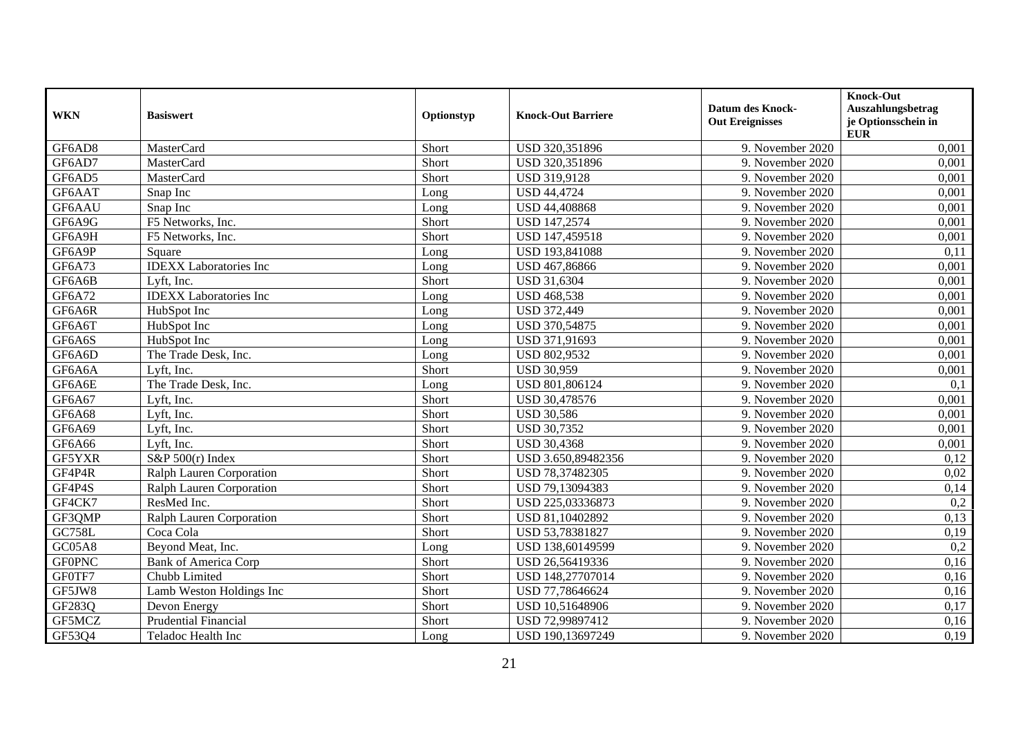| <b>WKN</b>    | <b>Basiswert</b>              | Optionstyp | <b>Knock-Out Barriere</b> | <b>Datum des Knock-</b><br><b>Out Ereignisses</b> | <b>Knock-Out</b><br>Auszahlungsbetrag<br>je Optionsschein in<br><b>EUR</b> |
|---------------|-------------------------------|------------|---------------------------|---------------------------------------------------|----------------------------------------------------------------------------|
| GF6AD8        | MasterCard                    | Short      | USD 320,351896            | 9. November 2020                                  | 0,001                                                                      |
| GF6AD7        | <b>MasterCard</b>             | Short      | USD 320,351896            | 9. November 2020                                  | 0,001                                                                      |
| GF6AD5        | MasterCard                    | Short      | USD 319,9128              | 9. November 2020                                  | 0,001                                                                      |
| GF6AAT        | Snap Inc                      | Long       | <b>USD 44,4724</b>        | 9. November 2020                                  | 0,001                                                                      |
| GF6AAU        | Snap Inc                      | Long       | USD 44,408868             | 9. November 2020                                  | 0,001                                                                      |
| GF6A9G        | F5 Networks, Inc.             | Short      | USD 147,2574              | 9. November 2020                                  | 0,001                                                                      |
| GF6A9H        | F5 Networks, Inc.             | Short      | USD 147,459518            | 9. November 2020                                  | 0,001                                                                      |
| GF6A9P        | Square                        | Long       | USD 193,841088            | 9. November 2020                                  | 0,11                                                                       |
| GF6A73        | <b>IDEXX</b> Laboratories Inc | Long       | USD 467,86866             | 9. November 2020                                  | 0,001                                                                      |
| GF6A6B        | Lyft, Inc.                    | Short      | USD 31,6304               | 9. November 2020                                  | 0,001                                                                      |
| GF6A72        | <b>IDEXX</b> Laboratories Inc | Long       | <b>USD 468,538</b>        | 9. November 2020                                  | 0,001                                                                      |
| GF6A6R        | HubSpot Inc                   | Long       | <b>USD 372,449</b>        | 9. November 2020                                  | 0,001                                                                      |
| GF6A6T        | HubSpot Inc                   | Long       | USD 370,54875             | 9. November 2020                                  | 0,001                                                                      |
| GF6A6S        | HubSpot Inc                   | Long       | USD 371,91693             | 9. November 2020                                  | 0,001                                                                      |
| GF6A6D        | The Trade Desk, Inc.          | Long       | USD 802,9532              | 9. November 2020                                  | 0,001                                                                      |
| GF6A6A        | Lyft, Inc.                    | Short      | <b>USD 30,959</b>         | 9. November 2020                                  | 0,001                                                                      |
| GF6A6E        | The Trade Desk, Inc.          | Long       | USD 801,806124            | 9. November 2020                                  | 0,1                                                                        |
| GF6A67        | Lyft, Inc.                    | Short      | USD 30,478576             | 9. November 2020                                  | 0,001                                                                      |
| <b>GF6A68</b> | Lyft, Inc.                    | Short      | <b>USD 30,586</b>         | 9. November 2020                                  | 0,001                                                                      |
| GF6A69        | Lyft, Inc.                    | Short      | <b>USD 30,7352</b>        | 9. November 2020                                  | 0,001                                                                      |
| <b>GF6A66</b> | Lyft, Inc.                    | Short      | <b>USD 30,4368</b>        | 9. November 2020                                  | 0,001                                                                      |
| GF5YXR        | S&P $500(r)$ Index            | Short      | USD 3.650,89482356        | 9. November 2020                                  | 0,12                                                                       |
| GF4P4R        | Ralph Lauren Corporation      | Short      | USD 78,37482305           | 9. November 2020                                  | 0,02                                                                       |
| GF4P4S        | Ralph Lauren Corporation      | Short      | USD 79,13094383           | 9. November 2020                                  | 0,14                                                                       |
| GF4CK7        | ResMed Inc.                   | Short      | USD 225,03336873          | 9. November 2020                                  | 0,2                                                                        |
| GF3QMP        | Ralph Lauren Corporation      | Short      | USD 81,10402892           | 9. November 2020                                  | 0,13                                                                       |
| <b>GC758L</b> | Coca Cola                     | Short      | USD 53,78381827           | 9. November 2020                                  | 0,19                                                                       |
| <b>GC05A8</b> | Beyond Meat, Inc.             | Long       | USD 138,60149599          | 9. November 2020                                  | 0,2                                                                        |
| <b>GFOPNC</b> | <b>Bank of America Corp</b>   | Short      | USD 26,56419336           | 9. November 2020                                  | 0,16                                                                       |
| GF0TF7        | Chubb Limited                 | Short      | USD 148,27707014          | 9. November 2020                                  | 0,16                                                                       |
| GF5JW8        | Lamb Weston Holdings Inc      | Short      | USD 77,78646624           | 9. November 2020                                  | 0,16                                                                       |
| GF283Q        | Devon Energy                  | Short      | USD 10,51648906           | 9. November 2020                                  | 0,17                                                                       |
| GF5MCZ        | <b>Prudential Financial</b>   | Short      | USD 72,99897412           | 9. November 2020                                  | 0,16                                                                       |
| GF53Q4        | Teladoc Health Inc            | Long       | USD 190,13697249          | 9. November 2020                                  | 0,19                                                                       |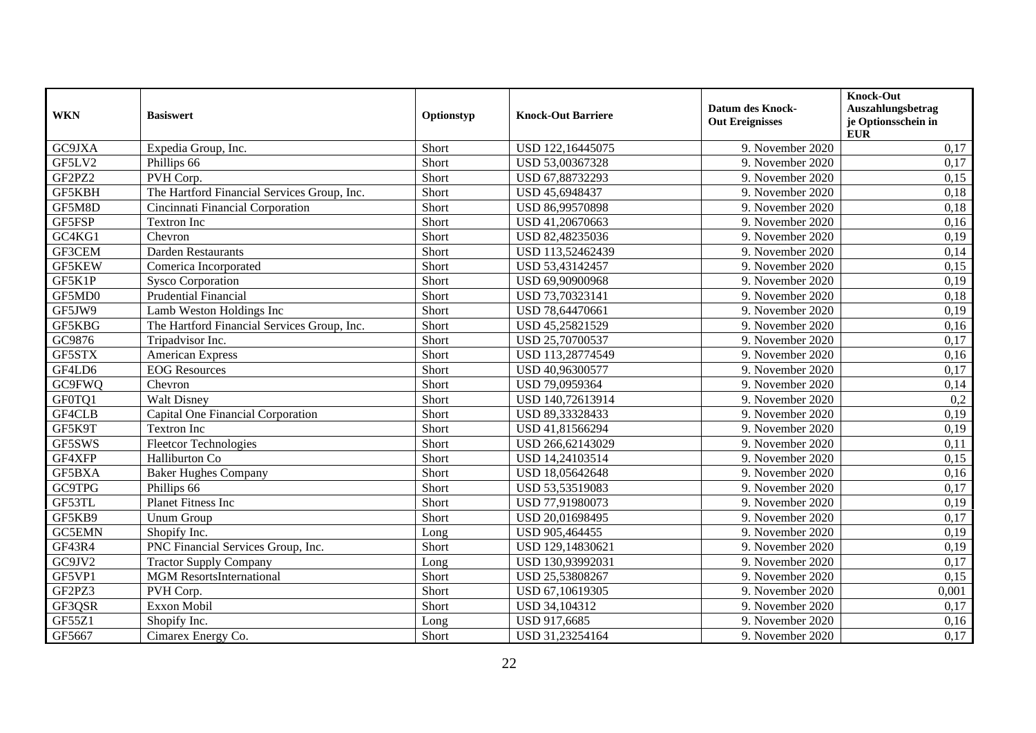| <b>WKN</b>    | <b>Basiswert</b>                            | Optionstyp | <b>Knock-Out Barriere</b> | <b>Datum des Knock-</b><br><b>Out Ereignisses</b> | <b>Knock-Out</b><br>Auszahlungsbetrag<br>je Optionsschein in<br><b>EUR</b> |
|---------------|---------------------------------------------|------------|---------------------------|---------------------------------------------------|----------------------------------------------------------------------------|
| GC9JXA        | Expedia Group, Inc.                         | Short      | USD 122,16445075          | 9. November 2020                                  | 0,17                                                                       |
| GF5LV2        | Phillips 66                                 | Short      | USD 53,00367328           | 9. November 2020                                  | 0,17                                                                       |
| GF2PZ2        | PVH Corp.                                   | Short      | USD 67,88732293           | 9. November 2020                                  | 0,15                                                                       |
| GF5KBH        | The Hartford Financial Services Group, Inc. | Short      | USD 45,6948437            | 9. November 2020                                  | 0,18                                                                       |
| GF5M8D        | Cincinnati Financial Corporation            | Short      | USD 86,99570898           | 9. November 2020                                  | 0,18                                                                       |
| GF5FSP        | Textron Inc                                 | Short      | USD 41,20670663           | 9. November 2020                                  | 0,16                                                                       |
| GC4KG1        | Chevron                                     | Short      | USD 82,48235036           | 9. November 2020                                  | 0,19                                                                       |
| GF3CEM        | <b>Darden Restaurants</b>                   | Short      | USD 113,52462439          | 9. November 2020                                  | 0,14                                                                       |
| <b>GF5KEW</b> | Comerica Incorporated                       | Short      | USD 53,43142457           | 9. November 2020                                  | 0,15                                                                       |
| GF5K1P        | <b>Sysco Corporation</b>                    | Short      | USD 69,90900968           | 9. November 2020                                  | 0,19                                                                       |
| GF5MD0        | Prudential Financial                        | Short      | USD 73,70323141           | 9. November 2020                                  | 0,18                                                                       |
| GF5JW9        | Lamb Weston Holdings Inc                    | Short      | USD 78,64470661           | 9. November 2020                                  | 0,19                                                                       |
| GF5KBG        | The Hartford Financial Services Group, Inc. | Short      | USD 45,25821529           | 9. November 2020                                  | 0,16                                                                       |
| GC9876        | Tripadvisor Inc.                            | Short      | USD 25,70700537           | 9. November 2020                                  | 0,17                                                                       |
| GF5STX        | <b>American Express</b>                     | Short      | USD 113,28774549          | 9. November 2020                                  | 0,16                                                                       |
| GF4LD6        | <b>EOG</b> Resources                        | Short      | USD 40,96300577           | 9. November 2020                                  | 0,17                                                                       |
| GC9FWQ        | Chevron                                     | Short      | USD 79,0959364            | 9. November 2020                                  | 0,14                                                                       |
| GF0TQ1        | <b>Walt Disney</b>                          | Short      | USD 140,72613914          | 9. November 2020                                  | 0,2                                                                        |
| GF4CLB        | Capital One Financial Corporation           | Short      | USD 89,33328433           | 9. November 2020                                  | 0,19                                                                       |
| GF5K9T        | <b>Textron Inc</b>                          | Short      | USD 41,81566294           | 9. November 2020                                  | 0,19                                                                       |
| GF5SWS        | <b>Fleetcor Technologies</b>                | Short      | USD 266,62143029          | 9. November 2020                                  | 0,11                                                                       |
| GF4XFP        | Halliburton Co                              | Short      | USD 14,24103514           | 9. November 2020                                  | 0,15                                                                       |
| GF5BXA        | <b>Baker Hughes Company</b>                 | Short      | USD 18,05642648           | 9. November 2020                                  | 0,16                                                                       |
| GC9TPG        | Phillips 66                                 | Short      | USD 53,53519083           | 9. November 2020                                  | 0,17                                                                       |
| GF53TL        | Planet Fitness Inc                          | Short      | USD 77,91980073           | 9. November 2020                                  | 0,19                                                                       |
| GF5KB9        | <b>Unum Group</b>                           | Short      | USD 20,01698495           | 9. November 2020                                  | 0,17                                                                       |
| <b>GC5EMN</b> | Shopify Inc.                                | Long       | USD 905,464455            | 9. November 2020                                  | 0,19                                                                       |
| GF43R4        | PNC Financial Services Group, Inc.          | Short      | USD 129,14830621          | 9. November 2020                                  | 0,19                                                                       |
| GC9JV2        | <b>Tractor Supply Company</b>               | Long       | USD 130,93992031          | 9. November 2020                                  | 0,17                                                                       |
| GF5VP1        | <b>MGM</b> ResortsInternational             | Short      | USD 25,53808267           | 9. November 2020                                  | 0,15                                                                       |
| GF2PZ3        | PVH Corp.                                   | Short      | USD 67,10619305           | 9. November 2020                                  | 0,001                                                                      |
| GF3QSR        | Exxon Mobil                                 | Short      | USD 34,104312             | 9. November 2020                                  | 0,17                                                                       |
| GF55Z1        | Shopify Inc.                                | Long       | USD 917,6685              | 9. November 2020                                  | 0,16                                                                       |
| GF5667        | Cimarex Energy Co.                          | Short      | USD 31,23254164           | 9. November 2020                                  | 0,17                                                                       |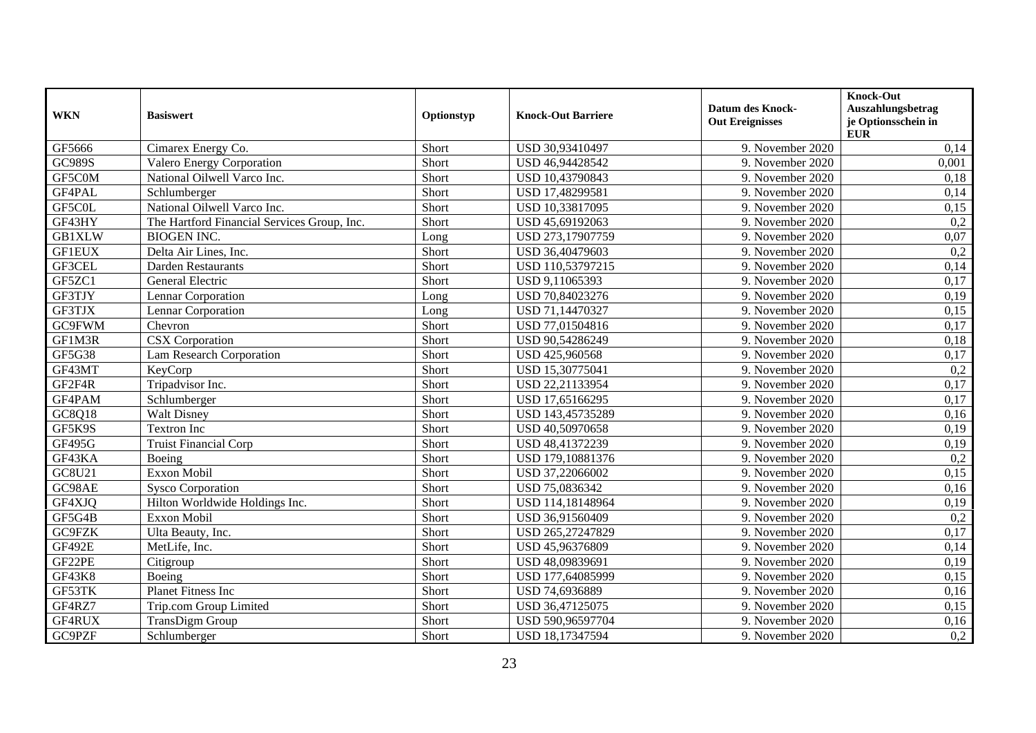| <b>WKN</b>    | <b>Basiswert</b>                            | Optionstyp | <b>Knock-Out Barriere</b> | <b>Datum des Knock-</b><br><b>Out Ereignisses</b> | <b>Knock-Out</b><br>Auszahlungsbetrag<br>je Optionsschein in<br><b>EUR</b> |
|---------------|---------------------------------------------|------------|---------------------------|---------------------------------------------------|----------------------------------------------------------------------------|
| GF5666        | Cimarex Energy Co.                          | Short      | USD 30,93410497           | 9. November 2020                                  | 0,14                                                                       |
| GC989S        | <b>Valero Energy Corporation</b>            | Short      | USD 46,94428542           | 9. November 2020                                  | 0,001                                                                      |
| GF5C0M        | National Oilwell Varco Inc.                 | Short      | USD 10,43790843           | 9. November 2020                                  | 0,18                                                                       |
| GF4PAL        | Schlumberger                                | Short      | USD 17,48299581           | 9. November 2020                                  | 0,14                                                                       |
| GF5C0L        | National Oilwell Varco Inc.                 | Short      | USD 10,33817095           | 9. November 2020                                  | 0,15                                                                       |
| GF43HY        | The Hartford Financial Services Group, Inc. | Short      | USD 45,69192063           | 9. November 2020                                  | 0,2                                                                        |
| <b>GB1XLW</b> | <b>BIOGEN INC.</b>                          | Long       | USD 273,17907759          | 9. November 2020                                  | 0,07                                                                       |
| <b>GF1EUX</b> | Delta Air Lines, Inc.                       | Short      | USD 36,40479603           | 9. November 2020                                  | 0,2                                                                        |
| GF3CEL        | Darden Restaurants                          | Short      | USD 110,53797215          | 9. November 2020                                  | 0,14                                                                       |
| GF5ZC1        | General Electric                            | Short      | USD 9,11065393            | 9. November 2020                                  | 0,17                                                                       |
| GF3TJY        | Lennar Corporation                          | Long       | USD 70,84023276           | 9. November 2020                                  | 0,19                                                                       |
| GF3TJX        | Lennar Corporation                          | Long       | USD 71,14470327           | 9. November 2020                                  | 0,15                                                                       |
| GC9FWM        | Chevron                                     | Short      | USD 77,01504816           | 9. November 2020                                  | 0,17                                                                       |
| GF1M3R        | <b>CSX</b> Corporation                      | Short      | USD 90,54286249           | 9. November 2020                                  | 0,18                                                                       |
| <b>GF5G38</b> | <b>Lam Research Corporation</b>             | Short      | USD 425,960568            | 9. November 2020                                  | 0,17                                                                       |
| GF43MT        | KeyCorp                                     | Short      | USD 15,30775041           | 9. November 2020                                  | 0,2                                                                        |
| GF2F4R        | Tripadvisor Inc.                            | Short      | USD 22,21133954           | 9. November 2020                                  | 0,17                                                                       |
| GF4PAM        | Schlumberger                                | Short      | USD 17,65166295           | 9. November 2020                                  | 0,17                                                                       |
| GC8Q18        | <b>Walt Disney</b>                          | Short      | USD 143,45735289          | 9. November 2020                                  | 0,16                                                                       |
| GF5K9S        | Textron Inc                                 | Short      | USD 40,50970658           | 9. November 2020                                  | 0,19                                                                       |
| GF495G        | <b>Truist Financial Corp</b>                | Short      | USD 48,41372239           | 9. November 2020                                  | 0,19                                                                       |
| GF43KA        | Boeing                                      | Short      | USD 179,10881376          | 9. November 2020                                  | 0,2                                                                        |
| GC8U21        | Exxon Mobil                                 | Short      | USD 37,22066002           | 9. November 2020                                  | 0,15                                                                       |
| GC98AE        | <b>Sysco Corporation</b>                    | Short      | USD 75,0836342            | 9. November 2020                                  | 0,16                                                                       |
| GF4XJQ        | Hilton Worldwide Holdings Inc.              | Short      | USD 114,18148964          | 9. November 2020                                  | 0,19                                                                       |
| GF5G4B        | Exxon Mobil                                 | Short      | USD 36,91560409           | 9. November 2020                                  | 0,2                                                                        |
| GC9FZK        | Ulta Beauty, Inc.                           | Short      | USD 265,27247829          | 9. November 2020                                  | 0,17                                                                       |
| <b>GF492E</b> | MetLife, Inc.                               | Short      | USD 45,96376809           | 9. November 2020                                  | 0,14                                                                       |
| GF22PE        | Citigroup                                   | Short      | USD 48,09839691           | 9. November 2020                                  | 0,19                                                                       |
| GF43K8        | Boeing                                      | Short      | USD 177,64085999          | 9. November 2020                                  | 0,15                                                                       |
| GF53TK        | <b>Planet Fitness Inc</b>                   | Short      | USD 74,6936889            | 9. November 2020                                  | 0,16                                                                       |
| GF4RZ7        | Trip.com Group Limited                      | Short      | USD 36,47125075           | 9. November 2020                                  | 0,15                                                                       |
| GF4RUX        | <b>TransDigm Group</b>                      | Short      | USD 590,96597704          | 9. November 2020                                  | 0,16                                                                       |
| GC9PZF        | Schlumberger                                | Short      | USD 18,17347594           | 9. November 2020                                  | 0,2                                                                        |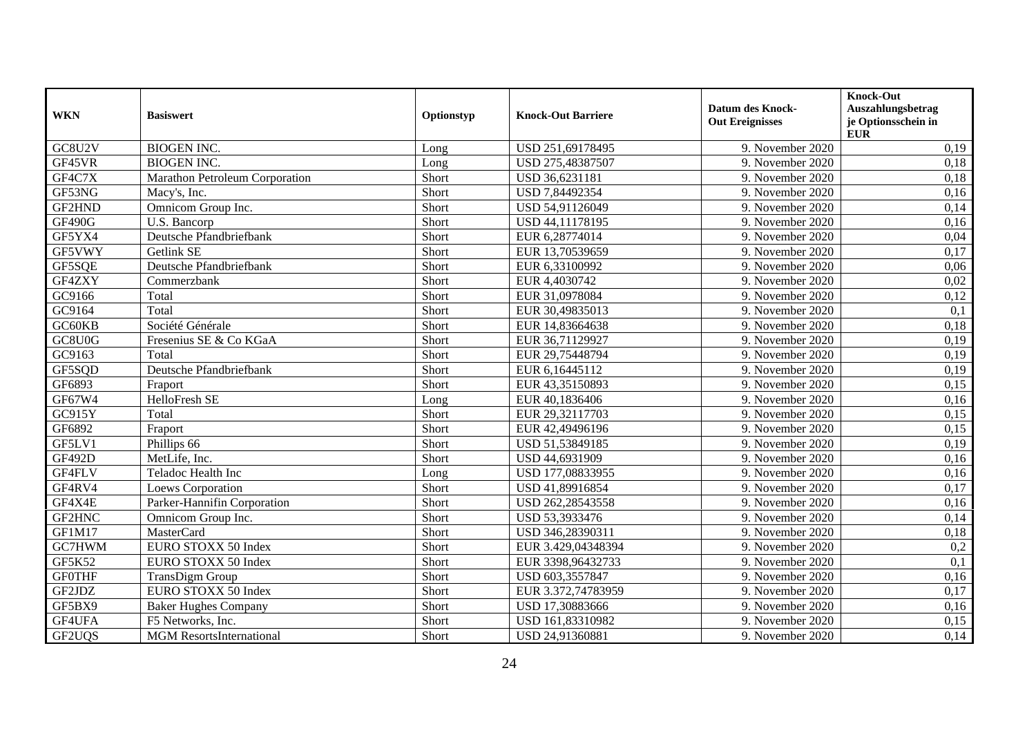| <b>WKN</b>    | <b>Basiswert</b>                | Optionstyp | <b>Knock-Out Barriere</b> | <b>Datum des Knock-</b><br><b>Out Ereignisses</b> | <b>Knock-Out</b><br>Auszahlungsbetrag<br>je Optionsschein in<br><b>EUR</b> |
|---------------|---------------------------------|------------|---------------------------|---------------------------------------------------|----------------------------------------------------------------------------|
| GC8U2V        | <b>BIOGEN INC.</b>              | Long       | USD 251,69178495          | 9. November 2020                                  | 0,19                                                                       |
| GF45VR        | <b>BIOGEN INC.</b>              | Long       | USD 275,48387507          | 9. November 2020                                  | 0,18                                                                       |
| GF4C7X        | Marathon Petroleum Corporation  | Short      | USD 36,6231181            | 9. November 2020                                  | 0,18                                                                       |
| GF53NG        | Macy's, Inc.                    | Short      | USD 7,84492354            | 9. November 2020                                  | 0,16                                                                       |
| GF2HND        | Omnicom Group Inc.              | Short      | USD 54,91126049           | 9. November 2020                                  | 0,14                                                                       |
| <b>GF490G</b> | U.S. Bancorp                    | Short      | USD 44,11178195           | 9. November 2020                                  | 0,16                                                                       |
| GF5YX4        | Deutsche Pfandbriefbank         | Short      | EUR 6,28774014            | 9. November 2020                                  | 0,04                                                                       |
| GF5VWY        | Getlink SE                      | Short      | EUR 13,70539659           | 9. November 2020                                  | 0,17                                                                       |
| GF5SQE        | Deutsche Pfandbriefbank         | Short      | EUR 6,33100992            | 9. November 2020                                  | 0,06                                                                       |
| GF4ZXY        | Commerzbank                     | Short      | EUR 4,4030742             | 9. November 2020                                  | 0,02                                                                       |
| GC9166        | Total                           | Short      | EUR 31,0978084            | 9. November 2020                                  | 0,12                                                                       |
| GC9164        | Total                           | Short      | EUR 30,49835013           | 9. November 2020                                  | 0,1                                                                        |
| GC60KB        | Société Générale                | Short      | EUR 14,83664638           | 9. November 2020                                  | 0,18                                                                       |
| GC8U0G        | Fresenius SE & Co KGaA          | Short      | EUR 36,71129927           | 9. November 2020                                  | 0,19                                                                       |
| GC9163        | Total                           | Short      | EUR 29,75448794           | 9. November 2020                                  | 0,19                                                                       |
| GF5SQD        | Deutsche Pfandbriefbank         | Short      | EUR 6,16445112            | 9. November 2020                                  | 0,19                                                                       |
| GF6893        | Fraport                         | Short      | EUR 43,35150893           | 9. November 2020                                  | 0,15                                                                       |
| GF67W4        | HelloFresh SE                   | Long       | EUR 40,1836406            | 9. November 2020                                  | 0,16                                                                       |
| GC915Y        | Total                           | Short      | EUR 29,32117703           | 9. November 2020                                  | 0,15                                                                       |
| GF6892        | Fraport                         | Short      | EUR 42,49496196           | 9. November 2020                                  | 0,15                                                                       |
| GF5LV1        | Phillips 66                     | Short      | USD 51,53849185           | 9. November 2020                                  | 0,19                                                                       |
| <b>GF492D</b> | MetLife, Inc.                   | Short      | USD 44,6931909            | 9. November 2020                                  | 0,16                                                                       |
| GF4FLV        | Teladoc Health Inc              | Long       | USD 177,08833955          | 9. November 2020                                  | 0,16                                                                       |
| GF4RV4        | <b>Loews Corporation</b>        | Short      | USD 41,89916854           | 9. November 2020                                  | 0,17                                                                       |
| GF4X4E        | Parker-Hannifin Corporation     | Short      | USD 262,28543558          | 9. November 2020                                  | 0,16                                                                       |
| GF2HNC        | Omnicom Group Inc.              | Short      | USD 53,3933476            | 9. November 2020                                  | 0,14                                                                       |
| GF1M17        | MasterCard                      | Short      | USD 346,28390311          | 9. November 2020                                  | 0,18                                                                       |
| GC7HWM        | EURO STOXX 50 Index             | Short      | EUR 3.429,04348394        | 9. November 2020                                  | 0,2                                                                        |
| GF5K52        | EURO STOXX 50 Index             | Short      | EUR 3398,96432733         | 9. November 2020                                  | 0,1                                                                        |
| <b>GF0THF</b> | TransDigm Group                 | Short      | USD 603,3557847           | 9. November 2020                                  | 0,16                                                                       |
| GF2JDZ        | EURO STOXX 50 Index             | Short      | EUR 3.372,74783959        | 9. November 2020                                  | 0,17                                                                       |
| GF5BX9        | <b>Baker Hughes Company</b>     | Short      | USD 17,30883666           | 9. November 2020                                  | 0,16                                                                       |
| GF4UFA        | F5 Networks, Inc.               | Short      | USD 161,83310982          | 9. November 2020                                  | 0,15                                                                       |
| GF2UQS        | <b>MGM</b> ResortsInternational | Short      | USD 24,91360881           | 9. November 2020                                  | 0,14                                                                       |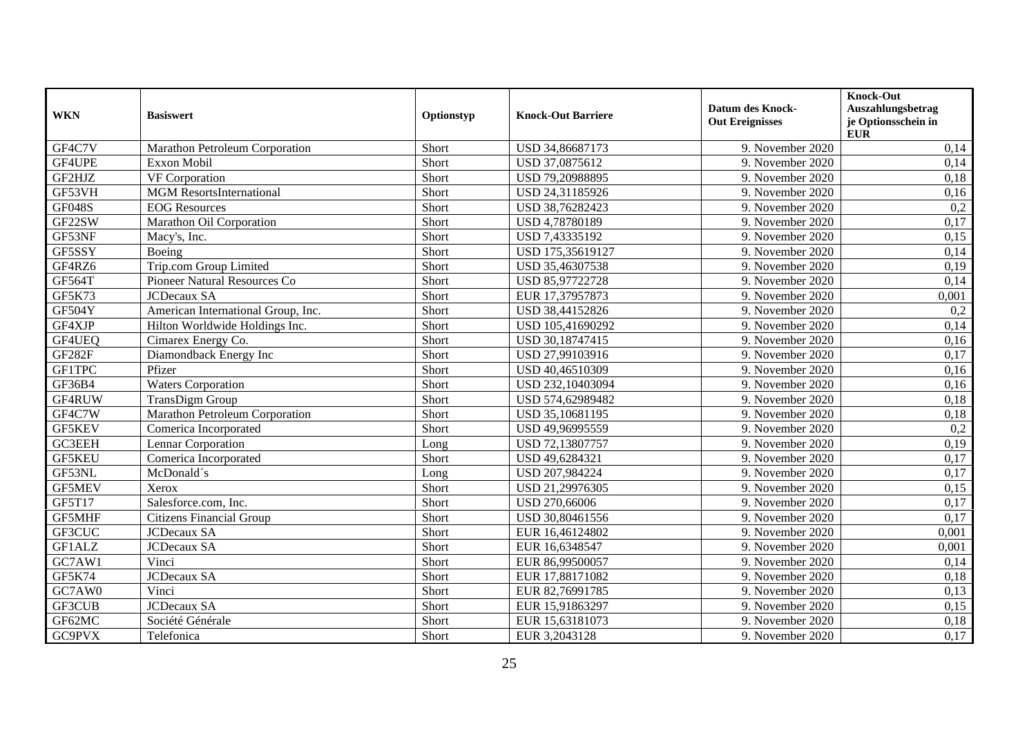| <b>WKN</b>    | <b>Basiswert</b>                   | Optionstyp | <b>Knock-Out Barriere</b> | <b>Datum des Knock-</b><br><b>Out Ereignisses</b> | Knock-Out<br>Auszahlungsbetrag<br>je Optionsschein in<br><b>EUR</b> |
|---------------|------------------------------------|------------|---------------------------|---------------------------------------------------|---------------------------------------------------------------------|
| GF4C7V        | Marathon Petroleum Corporation     | Short      | USD 34,86687173           | 9. November 2020                                  | 0,14                                                                |
| GF4UPE        | Exxon Mobil                        | Short      | USD 37,0875612            | 9. November 2020                                  | 0,14                                                                |
| GF2HJZ        | VF Corporation                     | Short      | USD 79,20988895           | 9. November 2020                                  | 0,18                                                                |
| GF53VH        | <b>MGM</b> ResortsInternational    | Short      | USD 24,31185926           | 9. November 2020                                  | 0,16                                                                |
| <b>GF048S</b> | <b>EOG</b> Resources               | Short      | USD 38,76282423           | 9. November 2020                                  | $\overline{0,2}$                                                    |
| GF22SW        | Marathon Oil Corporation           | Short      | USD 4,78780189            | 9. November 2020                                  | 0,17                                                                |
| GF53NF        | Macy's, Inc.                       | Short      | USD 7,43335192            | 9. November 2020                                  | 0,15                                                                |
| GF5SSY        | Boeing                             | Short      | USD 175,35619127          | 9. November 2020                                  | 0,14                                                                |
| GF4RZ6        | Trip.com Group Limited             | Short      | USD 35,46307538           | 9. November 2020                                  | 0,19                                                                |
| <b>GF564T</b> | Pioneer Natural Resources Co       | Short      | USD 85,97722728           | 9. November 2020                                  | 0,14                                                                |
| GF5K73        | <b>JCDecaux SA</b>                 | Short      | EUR 17,37957873           | 9. November 2020                                  | 0,001                                                               |
| GF504Y        | American International Group, Inc. | Short      | USD 38,44152826           | 9. November 2020                                  | 0,2                                                                 |
| GF4XJP        | Hilton Worldwide Holdings Inc.     | Short      | USD 105,41690292          | 9. November 2020                                  | 0,14                                                                |
| GF4UEQ        | Cimarex Energy Co.                 | Short      | USD 30,18747415           | 9. November 2020                                  | 0,16                                                                |
| GF282F        | Diamondback Energy Inc             | Short      | USD 27,99103916           | 9. November 2020                                  | 0,17                                                                |
| <b>GF1TPC</b> | Pfizer                             | Short      | USD 40,46510309           | 9. November 2020                                  | 0,16                                                                |
| GF36B4        | <b>Waters Corporation</b>          | Short      | USD 232,10403094          | 9. November 2020                                  | 0,16                                                                |
| GF4RUW        | <b>TransDigm Group</b>             | Short      | USD 574,62989482          | 9. November 2020                                  | 0,18                                                                |
| GF4C7W        | Marathon Petroleum Corporation     | Short      | USD 35,10681195           | 9. November 2020                                  | 0,18                                                                |
| GF5KEV        | Comerica Incorporated              | Short      | USD 49,96995559           | 9. November 2020                                  | 0,2                                                                 |
| <b>GC3EEH</b> | <b>Lennar Corporation</b>          | Long       | USD 72,13807757           | 9. November 2020                                  | 0,19                                                                |
| <b>GF5KEU</b> | Comerica Incorporated              | Short      | USD 49,6284321            | 9. November 2020                                  | 0,17                                                                |
| GF53NL        | McDonald's                         | Long       | USD 207,984224            | 9. November 2020                                  | 0,17                                                                |
| <b>GF5MEV</b> | Xerox                              | Short      | USD 21,29976305           | 9. November 2020                                  | 0,15                                                                |
| GF5T17        | Salesforce.com, Inc.               | Short      | USD 270,66006             | 9. November 2020                                  | 0,17                                                                |
| GF5MHF        | <b>Citizens Financial Group</b>    | Short      | USD 30,80461556           | 9. November 2020                                  | 0,17                                                                |
| GF3CUC        | JCDecaux SA                        | Short      | EUR 16,46124802           | 9. November 2020                                  | 0,001                                                               |
| GF1ALZ        | <b>JCDecaux SA</b>                 | Short      | EUR 16,6348547            | 9. November 2020                                  | 0,001                                                               |
| GC7AW1        | Vinci                              | Short      | EUR 86,99500057           | 9. November 2020                                  | 0,14                                                                |
| GF5K74        | <b>JCDecaux SA</b>                 | Short      | EUR 17,88171082           | 9. November 2020                                  | 0,18                                                                |
| GC7AW0        | Vinci                              | Short      | EUR 82,76991785           | 9. November 2020                                  | 0,13                                                                |
| GF3CUB        | <b>JCDecaux SA</b>                 | Short      | EUR 15,91863297           | 9. November 2020                                  | 0,15                                                                |
| GF62MC        | Société Générale                   | Short      | EUR 15,63181073           | 9. November 2020                                  | 0,18                                                                |
| <b>GC9PVX</b> | Telefonica                         | Short      | EUR 3,2043128             | 9. November 2020                                  | 0,17                                                                |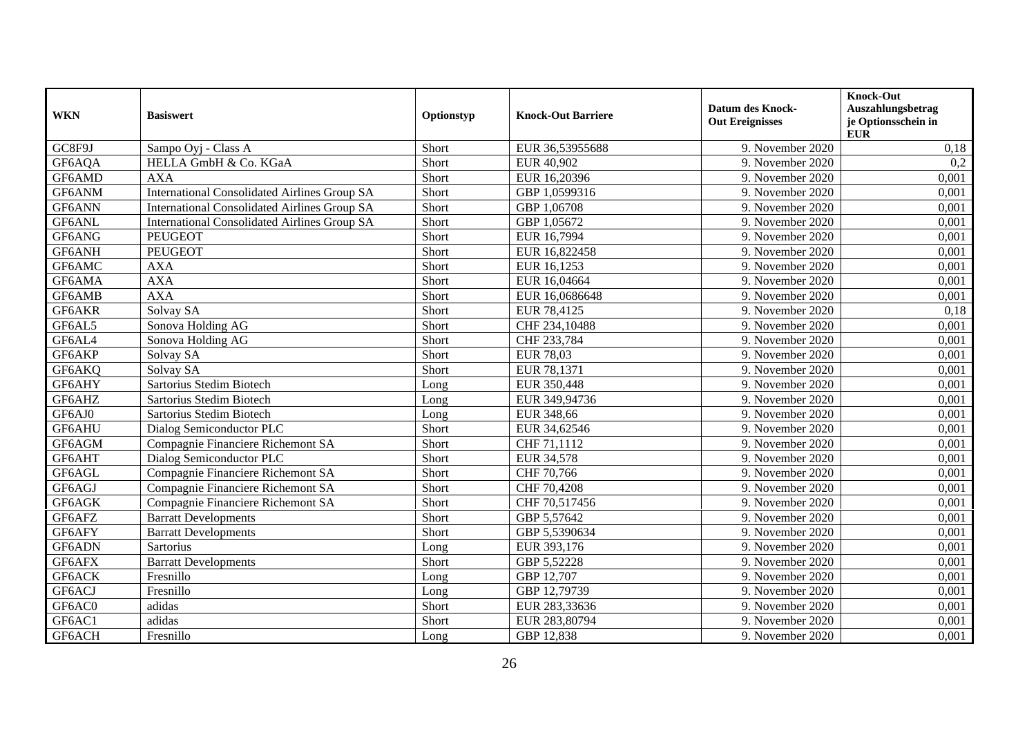| <b>WKN</b> | <b>Basiswert</b>                                    | Optionstyp | <b>Knock-Out Barriere</b> | <b>Datum des Knock-</b><br><b>Out Ereignisses</b> | <b>Knock-Out</b><br>Auszahlungsbetrag<br>je Optionsschein in<br><b>EUR</b> |
|------------|-----------------------------------------------------|------------|---------------------------|---------------------------------------------------|----------------------------------------------------------------------------|
| GC8F9J     | Sampo Oyj - Class A                                 | Short      | EUR 36,53955688           | 9. November 2020                                  | 0,18                                                                       |
| GF6AQA     | HELLA GmbH & Co. KGaA                               | Short      | EUR 40,902                | 9. November 2020                                  | 0,2                                                                        |
| GF6AMD     | <b>AXA</b>                                          | Short      | EUR 16,20396              | 9. November 2020                                  | 0,001                                                                      |
| GF6ANM     | <b>International Consolidated Airlines Group SA</b> | Short      | GBP 1,0599316             | 9. November 2020                                  | 0,001                                                                      |
| GF6ANN     | <b>International Consolidated Airlines Group SA</b> | Short      | GBP 1,06708               | 9. November 2020                                  | 0,001                                                                      |
| GF6ANL     | International Consolidated Airlines Group SA        | Short      | GBP 1,05672               | 9. November 2020                                  | 0,001                                                                      |
| GF6ANG     | <b>PEUGEOT</b>                                      | Short      | EUR 16,7994               | 9. November 2020                                  | 0,001                                                                      |
| GF6ANH     | <b>PEUGEOT</b>                                      | Short      | EUR 16,822458             | 9. November 2020                                  | 0,001                                                                      |
| GF6AMC     | <b>AXA</b>                                          | Short      | EUR 16,1253               | 9. November 2020                                  | 0,001                                                                      |
| GF6AMA     | <b>AXA</b>                                          | Short      | EUR 16,04664              | 9. November 2020                                  | 0,001                                                                      |
| GF6AMB     | <b>AXA</b>                                          | Short      | EUR 16,0686648            | 9. November 2020                                  | 0,001                                                                      |
| GF6AKR     | Solvay SA                                           | Short      | EUR 78,4125               | 9. November 2020                                  | 0,18                                                                       |
| GF6AL5     | Sonova Holding AG                                   | Short      | CHF 234,10488             | 9. November 2020                                  | 0,001                                                                      |
| GF6AL4     | Sonova Holding AG                                   | Short      | CHF 233,784               | 9. November 2020                                  | 0,001                                                                      |
| GF6AKP     | Solvay SA                                           | Short      | <b>EUR 78,03</b>          | 9. November 2020                                  | 0,001                                                                      |
| GF6AKQ     | Solvay SA                                           | Short      | EUR 78,1371               | 9. November 2020                                  | 0,001                                                                      |
| GF6AHY     | Sartorius Stedim Biotech                            | Long       | EUR 350,448               | 9. November 2020                                  | 0,001                                                                      |
| GF6AHZ     | Sartorius Stedim Biotech                            | Long       | EUR 349,94736             | 9. November 2020                                  | 0,001                                                                      |
| GF6AJ0     | Sartorius Stedim Biotech                            | Long       | EUR 348,66                | 9. November 2020                                  | 0,001                                                                      |
| GF6AHU     | Dialog Semiconductor PLC                            | Short      | EUR 34,62546              | 9. November 2020                                  | 0,001                                                                      |
| GF6AGM     | Compagnie Financiere Richemont SA                   | Short      | CHF 71,1112               | 9. November 2020                                  | 0,001                                                                      |
| GF6AHT     | Dialog Semiconductor PLC                            | Short      | EUR 34,578                | 9. November 2020                                  | 0,001                                                                      |
| GF6AGL     | Compagnie Financiere Richemont SA                   | Short      | CHF 70,766                | 9. November 2020                                  | 0,001                                                                      |
| GF6AGJ     | Compagnie Financiere Richemont SA                   | Short      | CHF 70,4208               | 9. November 2020                                  | 0,001                                                                      |
| GF6AGK     | Compagnie Financiere Richemont SA                   | Short      | CHF 70,517456             | 9. November 2020                                  | 0,001                                                                      |
| GF6AFZ     | <b>Barratt Developments</b>                         | Short      | GBP 5,57642               | 9. November 2020                                  | 0,001                                                                      |
| GF6AFY     | <b>Barratt Developments</b>                         | Short      | GBP 5,5390634             | 9. November 2020                                  | 0,001                                                                      |
| GF6ADN     | Sartorius                                           | Long       | EUR 393,176               | 9. November 2020                                  | 0,001                                                                      |
| GF6AFX     | <b>Barratt Developments</b>                         | Short      | GBP 5,52228               | 9. November 2020                                  | 0,001                                                                      |
| GF6ACK     | Fresnillo                                           | Long       | GBP 12,707                | 9. November 2020                                  | 0,001                                                                      |
| GF6ACJ     | Fresnillo                                           | Long       | GBP 12,79739              | 9. November 2020                                  | 0,001                                                                      |
| GF6AC0     | adidas                                              | Short      | EUR 283,33636             | 9. November 2020                                  | 0,001                                                                      |
| GF6AC1     | adidas                                              | Short      | EUR 283,80794             | 9. November 2020                                  | 0,001                                                                      |
| GF6ACH     | Fresnillo                                           | Long       | GBP 12,838                | 9. November 2020                                  | 0,001                                                                      |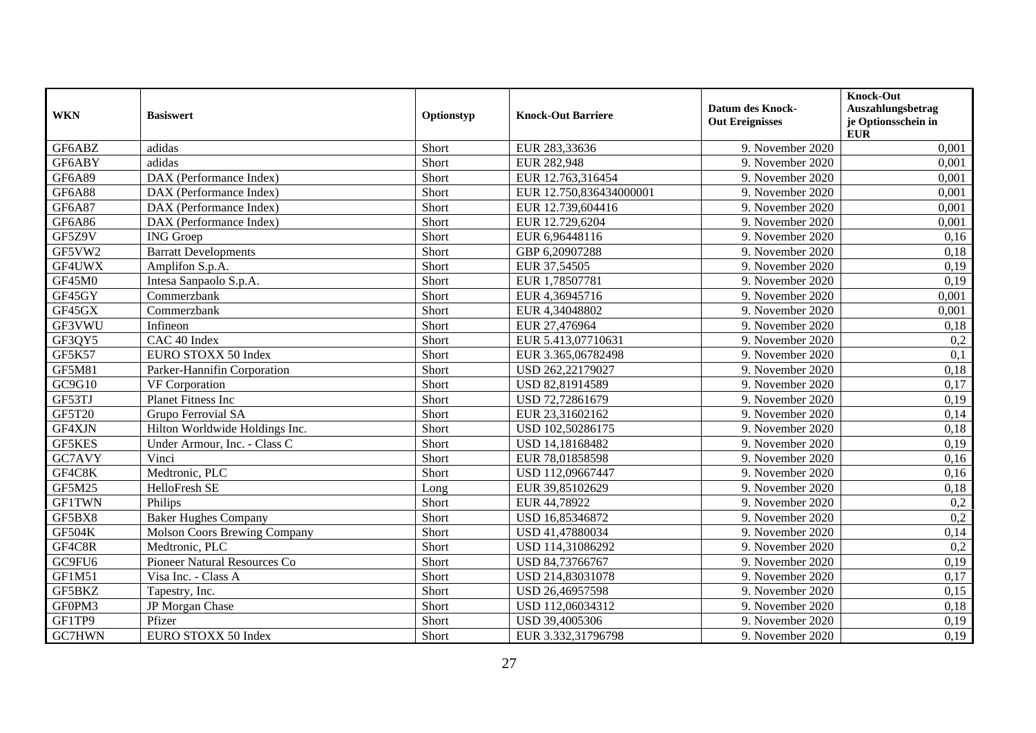| <b>WKN</b>    | <b>Basiswert</b>               | Optionstyp | <b>Knock-Out Barriere</b> | <b>Datum des Knock-</b><br><b>Out Ereignisses</b> | <b>Knock-Out</b><br>Auszahlungsbetrag<br>je Optionsschein in<br><b>EUR</b> |
|---------------|--------------------------------|------------|---------------------------|---------------------------------------------------|----------------------------------------------------------------------------|
| GF6ABZ        | adidas                         | Short      | EUR 283,33636             | 9. November 2020                                  | 0,001                                                                      |
| GF6ABY        | adidas                         | Short      | EUR 282,948               | 9. November 2020                                  | 0,001                                                                      |
| <b>GF6A89</b> | DAX (Performance Index)        | Short      | EUR 12.763,316454         | 9. November 2020                                  | 0,001                                                                      |
| <b>GF6A88</b> | DAX (Performance Index)        | Short      | EUR 12.750,836434000001   | 9. November 2020                                  | 0,001                                                                      |
| GF6A87        | DAX (Performance Index)        | Short      | EUR 12.739,604416         | 9. November 2020                                  | 0,001                                                                      |
| GF6A86        | DAX (Performance Index)        | Short      | EUR 12.729,6204           | 9. November 2020                                  | 0,001                                                                      |
| GF5Z9V        | <b>ING</b> Groep               | Short      | EUR 6,96448116            | 9. November 2020                                  | 0,16                                                                       |
| GF5VW2        | <b>Barratt Developments</b>    | Short      | GBP 6,20907288            | 9. November 2020                                  | 0,18                                                                       |
| GF4UWX        | Amplifon S.p.A.                | Short      | EUR 37,54505              | 9. November 2020                                  | 0,19                                                                       |
| GF45M0        | Intesa Sanpaolo S.p.A.         | Short      | EUR 1,78507781            | 9. November 2020                                  | 0,19                                                                       |
| GF45GY        | Commerzbank                    | Short      | EUR 4,36945716            | 9. November 2020                                  | 0,001                                                                      |
| GF45GX        | Commerzbank                    | Short      | EUR 4,34048802            | 9. November 2020                                  | 0,001                                                                      |
| GF3VWU        | Infineon                       | Short      | EUR 27,476964             | 9. November 2020                                  | 0,18                                                                       |
| GF3QY5        | CAC 40 Index                   | Short      | EUR 5.413,07710631        | 9. November 2020                                  | 0,2                                                                        |
| GF5K57        | EURO STOXX 50 Index            | Short      | EUR 3.365,06782498        | 9. November 2020                                  | 0,1                                                                        |
| <b>GF5M81</b> | Parker-Hannifin Corporation    | Short      | USD 262,22179027          | 9. November 2020                                  | 0,18                                                                       |
| GC9G10        | <b>VF</b> Corporation          | Short      | USD 82,81914589           | 9. November 2020                                  | 0,17                                                                       |
| GF53TJ        | <b>Planet Fitness Inc</b>      | Short      | USD 72,72861679           | 9. November 2020                                  | 0,19                                                                       |
| GF5T20        | Grupo Ferrovial SA             | Short      | EUR 23,31602162           | 9. November 2020                                  | 0,14                                                                       |
| GF4XJN        | Hilton Worldwide Holdings Inc. | Short      | USD 102,50286175          | 9. November 2020                                  | 0,18                                                                       |
| <b>GF5KES</b> | Under Armour, Inc. - Class C   | Short      | USD 14,18168482           | 9. November 2020                                  | 0,19                                                                       |
| GC7AVY        | Vinci                          | Short      | EUR 78,01858598           | 9. November 2020                                  | 0,16                                                                       |
| GF4C8K        | Medtronic, PLC                 | Short      | USD 112,09667447          | 9. November 2020                                  | 0,16                                                                       |
| <b>GF5M25</b> | HelloFresh SE                  | Long       | EUR 39,85102629           | 9. November 2020                                  | 0,18                                                                       |
| <b>GF1TWN</b> | Philips                        | Short      | EUR 44,78922              | 9. November 2020                                  | 0,2                                                                        |
| GF5BX8        | <b>Baker Hughes Company</b>    | Short      | USD 16,85346872           | 9. November 2020                                  | 0,2                                                                        |
| GF504K        | Molson Coors Brewing Company   | Short      | USD 41,47880034           | 9. November 2020                                  | 0,14                                                                       |
| GF4C8R        | Medtronic, PLC                 | Short      | USD 114,31086292          | 9. November 2020                                  | 0,2                                                                        |
| GC9FU6        | Pioneer Natural Resources Co   | Short      | USD 84,73766767           | 9. November 2020                                  | 0,19                                                                       |
| GF1M51        | Visa Inc. - Class A            | Short      | USD 214,83031078          | 9. November 2020                                  | 0,17                                                                       |
| GF5BKZ        | Tapestry, Inc.                 | Short      | USD 26,46957598           | 9. November 2020                                  | 0,15                                                                       |
| GF0PM3        | JP Morgan Chase                | Short      | USD 112,06034312          | 9. November 2020                                  | 0,18                                                                       |
| GF1TP9        | Pfizer                         | Short      | USD 39,4005306            | 9. November 2020                                  | 0,19                                                                       |
| GC7HWN        | EURO STOXX 50 Index            | Short      | EUR 3.332,31796798        | 9. November 2020                                  | 0,19                                                                       |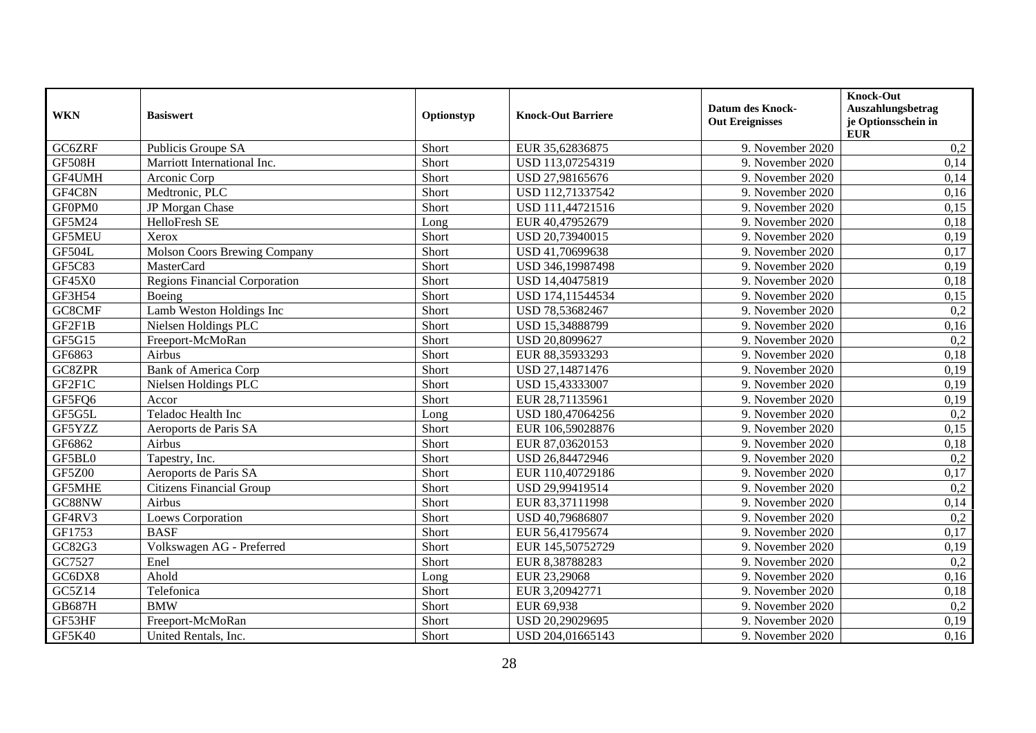| <b>WKN</b>    | <b>Basiswert</b>                     | Optionstyp | <b>Knock-Out Barriere</b> | <b>Datum des Knock-</b><br><b>Out Ereignisses</b> | <b>Knock-Out</b><br>Auszahlungsbetrag<br>je Optionsschein in |
|---------------|--------------------------------------|------------|---------------------------|---------------------------------------------------|--------------------------------------------------------------|
| GC6ZRF        | Publicis Groupe SA                   | Short      | EUR 35,62836875           | 9. November 2020                                  | <b>EUR</b><br>0,2                                            |
| <b>GF508H</b> | Marriott International Inc.          | Short      | USD 113,07254319          | 9. November 2020                                  | 0,14                                                         |
| GF4UMH        | Arconic Corp                         | Short      | USD 27,98165676           | 9. November 2020                                  | 0,14                                                         |
| GF4C8N        | Medtronic, PLC                       | Short      | USD 112,71337542          | 9. November 2020                                  | 0,16                                                         |
| GF0PM0        | JP Morgan Chase                      | Short      | USD 111,44721516          | 9. November 2020                                  | 0,15                                                         |
| <b>GF5M24</b> | HelloFresh SE                        | Long       | EUR 40,47952679           | 9. November 2020                                  | 0,18                                                         |
| <b>GF5MEU</b> | Xerox                                | Short      | USD 20,73940015           | 9. November 2020                                  | 0,19                                                         |
| <b>GF504L</b> | <b>Molson Coors Brewing Company</b>  | Short      | USD 41,70699638           | 9. November 2020                                  | 0,17                                                         |
| GF5C83        | MasterCard                           | Short      | USD 346,19987498          | 9. November 2020                                  | 0,19                                                         |
| GF45X0        | <b>Regions Financial Corporation</b> | Short      | USD 14,40475819           | 9. November 2020                                  | 0,18                                                         |
| GF3H54        | Boeing                               | Short      | USD 174,11544534          | 9. November 2020                                  | 0,15                                                         |
| GC8CMF        | Lamb Weston Holdings Inc             | Short      | USD 78,53682467           | 9. November 2020                                  | 0,2                                                          |
| GF2F1B        | Nielsen Holdings PLC                 | Short      | USD 15,34888799           | 9. November 2020                                  | 0,16                                                         |
| GF5G15        | Freeport-McMoRan                     | Short      | USD 20,8099627            | 9. November 2020                                  | 0,2                                                          |
| GF6863        | Airbus                               | Short      | EUR 88,35933293           | 9. November 2020                                  | 0,18                                                         |
| GC8ZPR        | <b>Bank of America Corp</b>          | Short      | USD 27,14871476           | 9. November 2020                                  | 0,19                                                         |
| GF2F1C        | Nielsen Holdings PLC                 | Short      | USD 15,43333007           | 9. November 2020                                  | 0,19                                                         |
| GF5FQ6        | Accor                                | Short      | EUR 28,71135961           | 9. November 2020                                  | 0,19                                                         |
| GF5G5L        | Teladoc Health Inc                   | Long       | USD 180,47064256          | 9. November 2020                                  | 0,2                                                          |
| GF5YZZ        | Aeroports de Paris SA                | Short      | EUR 106,59028876          | 9. November 2020                                  | 0,15                                                         |
| GF6862        | Airbus                               | Short      | EUR 87,03620153           | 9. November 2020                                  | 0,18                                                         |
| GF5BL0        | Tapestry, Inc.                       | Short      | USD 26,84472946           | 9. November 2020                                  | 0,2                                                          |
| <b>GF5Z00</b> | Aeroports de Paris SA                | Short      | EUR 110,40729186          | 9. November 2020                                  | 0,17                                                         |
| GF5MHE        | <b>Citizens Financial Group</b>      | Short      | USD 29,99419514           | 9. November 2020                                  | 0,2                                                          |
| GC88NW        | Airbus                               | Short      | EUR 83,37111998           | 9. November 2020                                  | 0,14                                                         |
| GF4RV3        | <b>Loews Corporation</b>             | Short      | USD 40,79686807           | 9. November 2020                                  | 0,2                                                          |
| GF1753        | <b>BASF</b>                          | Short      | EUR 56,41795674           | 9. November 2020                                  | 0,17                                                         |
| GC82G3        | Volkswagen AG - Preferred            | Short      | EUR 145,50752729          | 9. November 2020                                  | 0,19                                                         |
| GC7527        | Enel                                 | Short      | EUR 8,38788283            | 9. November 2020                                  | 0,2                                                          |
| GC6DX8        | Ahold                                | Long       | EUR 23,29068              | 9. November 2020                                  | 0,16                                                         |
| GC5Z14        | Telefonica                           | Short      | EUR 3,20942771            | 9. November 2020                                  | 0,18                                                         |
| <b>GB687H</b> | <b>BMW</b>                           | Short      | EUR 69,938                | 9. November 2020                                  | 0,2                                                          |
| GF53HF        | Freeport-McMoRan                     | Short      | USD 20,29029695           | 9. November 2020                                  | 0,19                                                         |
| GF5K40        | United Rentals, Inc.                 | Short      | USD 204,01665143          | 9. November 2020                                  | 0,16                                                         |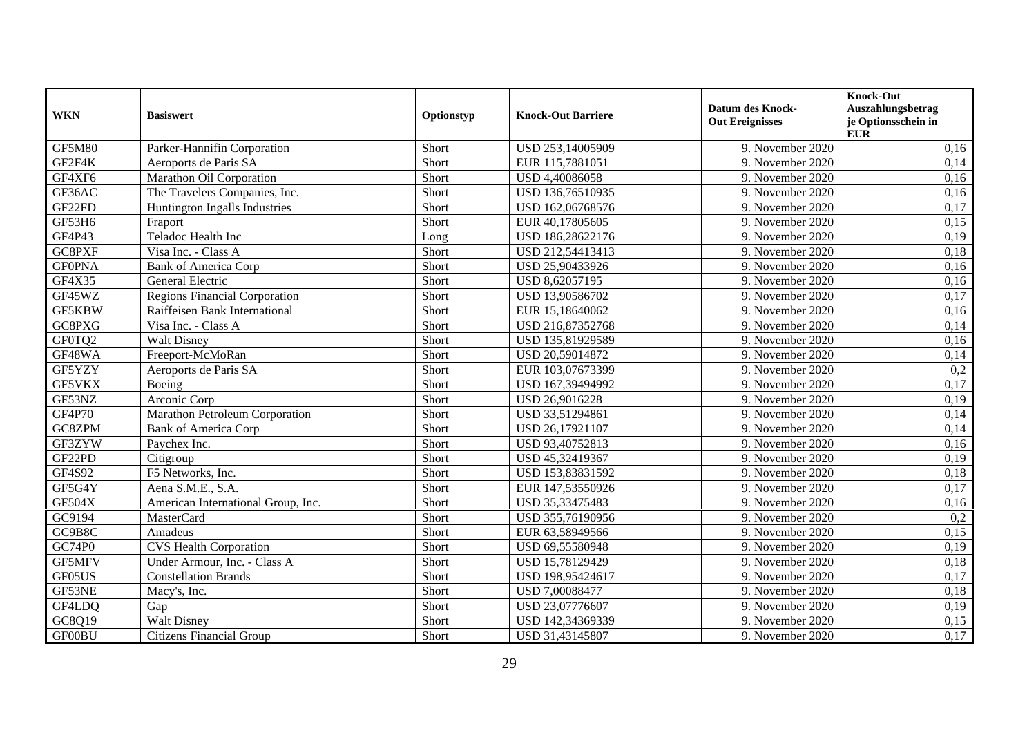| <b>WKN</b>    | <b>Basiswert</b>                     | Optionstyp | <b>Knock-Out Barriere</b> | <b>Datum des Knock-</b><br><b>Out Ereignisses</b> | <b>Knock-Out</b><br>Auszahlungsbetrag<br>je Optionsschein in<br><b>EUR</b> |
|---------------|--------------------------------------|------------|---------------------------|---------------------------------------------------|----------------------------------------------------------------------------|
| <b>GF5M80</b> | Parker-Hannifin Corporation          | Short      | USD 253,14005909          | 9. November 2020                                  | 0,16                                                                       |
| GF2F4K        | Aeroports de Paris SA                | Short      | EUR 115,7881051           | 9. November 2020                                  | 0,14                                                                       |
| GF4XF6        | Marathon Oil Corporation             | Short      | USD 4,40086058            | 9. November 2020                                  | 0,16                                                                       |
| GF36AC        | The Travelers Companies, Inc.        | Short      | USD 136,76510935          | 9. November 2020                                  | 0,16                                                                       |
| GF22FD        | Huntington Ingalls Industries        | Short      | USD 162,06768576          | 9. November 2020                                  | 0,17                                                                       |
| GF53H6        | Fraport                              | Short      | EUR 40,17805605           | 9. November 2020                                  | 0,15                                                                       |
| GF4P43        | Teladoc Health Inc                   | Long       | USD 186,28622176          | 9. November 2020                                  | 0,19                                                                       |
| GC8PXF        | Visa Inc. - Class A                  | Short      | USD 212,54413413          | 9. November 2020                                  | 0,18                                                                       |
| <b>GF0PNA</b> | <b>Bank of America Corp</b>          | Short      | USD 25,90433926           | 9. November 2020                                  | 0,16                                                                       |
| GF4X35        | General Electric                     | Short      | USD 8,62057195            | 9. November 2020                                  | 0,16                                                                       |
| GF45WZ        | <b>Regions Financial Corporation</b> | Short      | USD 13,90586702           | 9. November 2020                                  | 0,17                                                                       |
| GF5KBW        | Raiffeisen Bank International        | Short      | EUR 15,18640062           | 9. November 2020                                  | 0,16                                                                       |
| GC8PXG        | Visa Inc. - Class A                  | Short      | USD 216,87352768          | 9. November 2020                                  | 0,14                                                                       |
| GF0TQ2        | <b>Walt Disney</b>                   | Short      | USD 135,81929589          | 9. November 2020                                  | 0,16                                                                       |
| GF48WA        | Freeport-McMoRan                     | Short      | USD 20,59014872           | 9. November 2020                                  | 0,14                                                                       |
| GF5YZY        | Aeroports de Paris SA                | Short      | EUR 103,07673399          | 9. November 2020                                  | 0,2                                                                        |
| GF5VKX        | Boeing                               | Short      | USD 167,39494992          | 9. November 2020                                  | 0,17                                                                       |
| GF53NZ        | Arconic Corp                         | Short      | USD 26,9016228            | 9. November 2020                                  | 0,19                                                                       |
| GF4P70        | Marathon Petroleum Corporation       | Short      | USD 33,51294861           | 9. November 2020                                  | 0,14                                                                       |
| GC8ZPM        | <b>Bank of America Corp</b>          | Short      | USD 26,17921107           | 9. November 2020                                  | 0,14                                                                       |
| GF3ZYW        | Paychex Inc.                         | Short      | USD 93,40752813           | 9. November 2020                                  | 0,16                                                                       |
| GF22PD        | Citigroup                            | Short      | USD 45,32419367           | 9. November 2020                                  | 0,19                                                                       |
| GF4S92        | F5 Networks, Inc.                    | Short      | USD 153,83831592          | 9. November 2020                                  | 0,18                                                                       |
| GF5G4Y        | Aena S.M.E., S.A.                    | Short      | EUR 147,53550926          | 9. November 2020                                  | 0,17                                                                       |
| GF504X        | American International Group, Inc.   | Short      | USD 35,33475483           | 9. November 2020                                  | 0,16                                                                       |
| GC9194        | <b>MasterCard</b>                    | Short      | USD 355,76190956          | 9. November 2020                                  | 0,2                                                                        |
| GC9B8C        | Amadeus                              | Short      | EUR 63,58949566           | 9. November 2020                                  | 0,15                                                                       |
| GC74P0        | <b>CVS Health Corporation</b>        | Short      | USD 69,55580948           | 9. November 2020                                  | 0,19                                                                       |
| GF5MFV        | Under Armour, Inc. - Class A         | Short      | USD 15,78129429           | 9. November 2020                                  | 0,18                                                                       |
| GF05US        | <b>Constellation Brands</b>          | Short      | USD 198,95424617          | 9. November 2020                                  | 0,17                                                                       |
| GF53NE        | Macy's, Inc.                         | Short      | USD 7,00088477            | 9. November 2020                                  | 0,18                                                                       |
| GF4LDQ        | Gap                                  | Short      | USD 23,07776607           | 9. November 2020                                  | 0,19                                                                       |
| GC8Q19        | <b>Walt Disney</b>                   | Short      | USD 142,34369339          | 9. November 2020                                  | 0,15                                                                       |
| GF00BU        | <b>Citizens Financial Group</b>      | Short      | USD 31,43145807           | 9. November 2020                                  | 0,17                                                                       |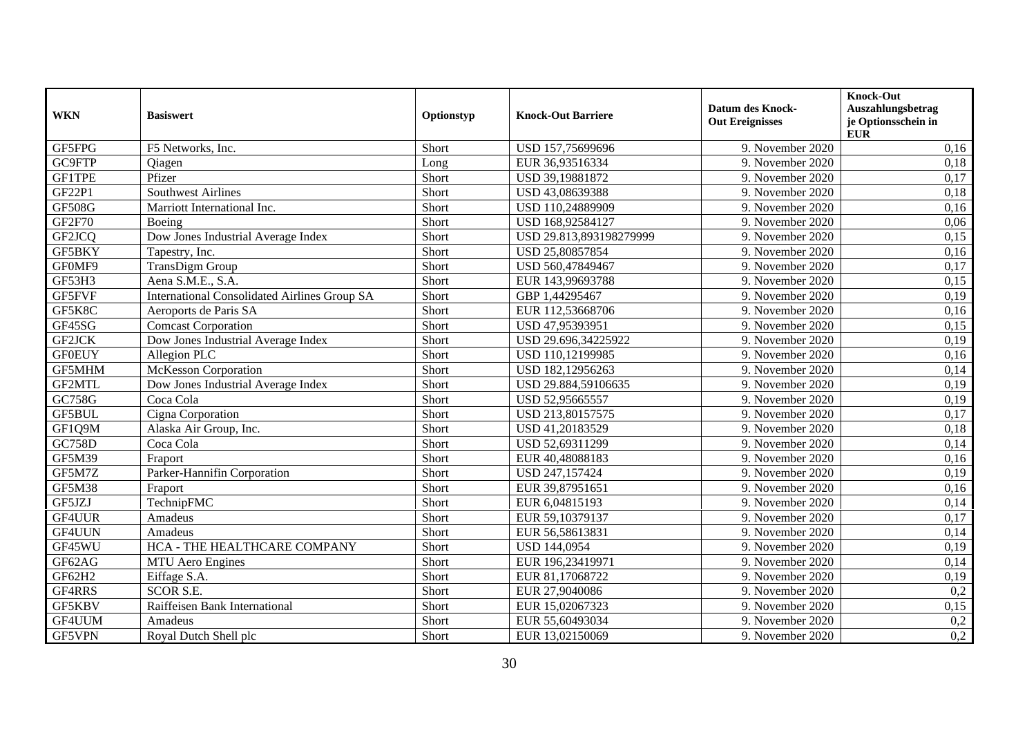| <b>WKN</b>    | <b>Basiswert</b>                                    | Optionstyp | <b>Knock-Out Barriere</b> | <b>Datum des Knock-</b><br><b>Out Ereignisses</b> | Knock-Out<br>Auszahlungsbetrag<br>je Optionsschein in<br><b>EUR</b> |
|---------------|-----------------------------------------------------|------------|---------------------------|---------------------------------------------------|---------------------------------------------------------------------|
| GF5FPG        | F5 Networks, Inc.                                   | Short      | USD 157,75699696          | 9. November 2020                                  | 0,16                                                                |
| GC9FTP        | <b>Qiagen</b>                                       | Long       | EUR 36,93516334           | 9. November 2020                                  | 0,18                                                                |
| <b>GF1TPE</b> | Pfizer                                              | Short      | USD 39,19881872           | 9. November 2020                                  | 0,17                                                                |
| GF22P1        | <b>Southwest Airlines</b>                           | Short      | USD 43,08639388           | 9. November 2020                                  | 0,18                                                                |
| <b>GF508G</b> | Marriott International Inc.                         | Short      | USD 110,24889909          | 9. November 2020                                  | 0,16                                                                |
| <b>GF2F70</b> | Boeing                                              | Short      | USD 168,92584127          | 9. November 2020                                  | 0,06                                                                |
| GF2JCQ        | Dow Jones Industrial Average Index                  | Short      | USD 29.813,893198279999   | 9. November 2020                                  | 0,15                                                                |
| GF5BKY        | Tapestry, Inc.                                      | Short      | USD 25,80857854           | 9. November 2020                                  | 0,16                                                                |
| GF0MF9        | <b>TransDigm Group</b>                              | Short      | USD 560,47849467          | 9. November 2020                                  | 0,17                                                                |
| GF53H3        | Aena S.M.E., S.A.                                   | Short      | EUR 143,99693788          | 9. November 2020                                  | 0,15                                                                |
| GF5FVF        | <b>International Consolidated Airlines Group SA</b> | Short      | GBP 1,44295467            | 9. November 2020                                  | 0,19                                                                |
| GF5K8C        | Aeroports de Paris SA                               | Short      | EUR 112,53668706          | 9. November 2020                                  | 0,16                                                                |
| GF45SG        | <b>Comcast Corporation</b>                          | Short      | USD 47,95393951           | 9. November 2020                                  | 0,15                                                                |
| GF2JCK        | Dow Jones Industrial Average Index                  | Short      | USD 29.696,34225922       | 9. November 2020                                  | 0,19                                                                |
| <b>GF0EUY</b> | Allegion PLC                                        | Short      | USD 110,12199985          | 9. November 2020                                  | 0,16                                                                |
| <b>GF5MHM</b> | McKesson Corporation                                | Short      | USD 182,12956263          | 9. November 2020                                  | 0,14                                                                |
| GF2MTL        | Dow Jones Industrial Average Index                  | Short      | USD 29.884,59106635       | 9. November 2020                                  | 0,19                                                                |
| GC758G        | Coca Cola                                           | Short      | USD 52,95665557           | 9. November 2020                                  | 0,19                                                                |
| GF5BUL        | Cigna Corporation                                   | Short      | USD 213,80157575          | 9. November 2020                                  | 0,17                                                                |
| GF1Q9M        | Alaska Air Group, Inc.                              | Short      | USD 41,20183529           | 9. November 2020                                  | 0,18                                                                |
| <b>GC758D</b> | Coca Cola                                           | Short      | USD 52,69311299           | 9. November 2020                                  | 0,14                                                                |
| <b>GF5M39</b> | Fraport                                             | Short      | EUR 40,48088183           | 9. November 2020                                  | 0,16                                                                |
| GF5M7Z        | Parker-Hannifin Corporation                         | Short      | USD 247,157424            | 9. November 2020                                  | 0,19                                                                |
| <b>GF5M38</b> | Fraport                                             | Short      | EUR 39,87951651           | 9. November 2020                                  | 0,16                                                                |
| GF5JZJ        | TechnipFMC                                          | Short      | EUR 6,04815193            | 9. November 2020                                  | 0,14                                                                |
| GF4UUR        | Amadeus                                             | Short      | EUR 59,10379137           | 9. November 2020                                  | 0,17                                                                |
| GF4UUN        | Amadeus                                             | Short      | EUR 56,58613831           | 9. November 2020                                  | 0,14                                                                |
| GF45WU        | HCA - THE HEALTHCARE COMPANY                        | Short      | <b>USD 144,0954</b>       | 9. November 2020                                  | 0,19                                                                |
| GF62AG        | <b>MTU</b> Aero Engines                             | Short      | EUR 196,23419971          | 9. November 2020                                  | 0,14                                                                |
| GF62H2        | Eiffage S.A.                                        | Short      | EUR 81,17068722           | 9. November 2020                                  | 0,19                                                                |
| GF4RRS        | <b>SCOR S.E.</b>                                    | Short      | EUR 27,9040086            | 9. November 2020                                  | 0,2                                                                 |
| GF5KBV        | Raiffeisen Bank International                       | Short      | EUR 15,02067323           | 9. November 2020                                  | 0,15                                                                |
| GF4UUM        | Amadeus                                             | Short      | EUR 55,60493034           | 9. November 2020                                  | 0,2                                                                 |
| GF5VPN        | Royal Dutch Shell plc                               | Short      | EUR 13,02150069           | 9. November 2020                                  | 0,2                                                                 |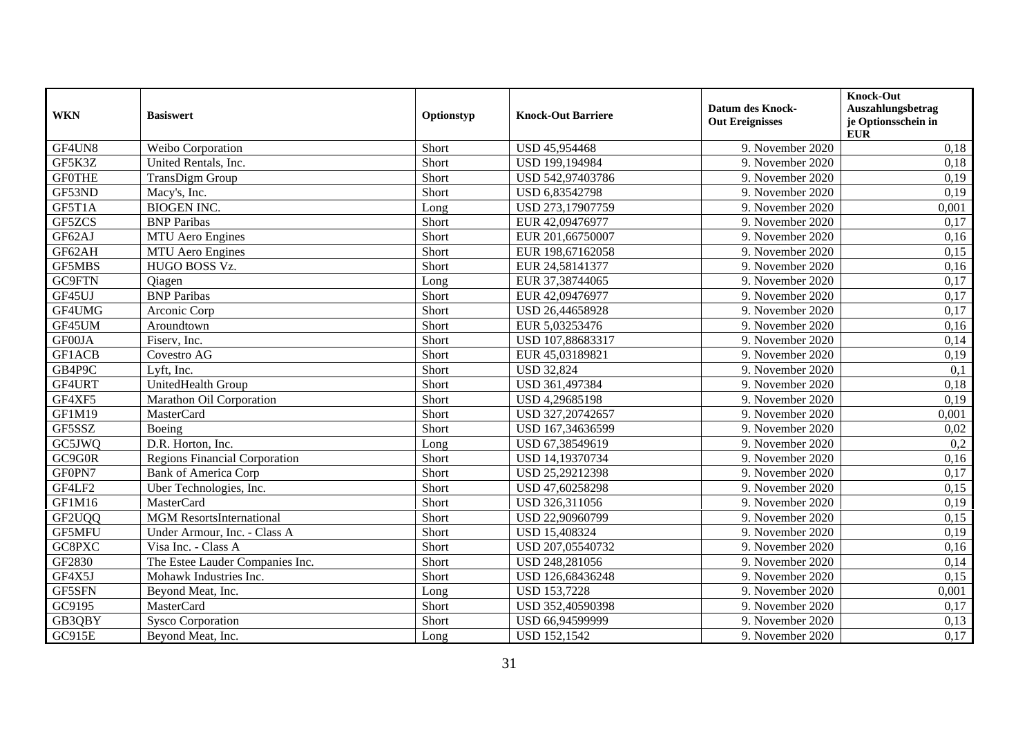| <b>WKN</b>    | <b>Basiswert</b>                     | Optionstyp | <b>Knock-Out Barriere</b> | <b>Datum des Knock-</b><br><b>Out Ereignisses</b> | <b>Knock-Out</b><br>Auszahlungsbetrag<br>je Optionsschein in<br>${\bf EUR}$ |
|---------------|--------------------------------------|------------|---------------------------|---------------------------------------------------|-----------------------------------------------------------------------------|
| GF4UN8        | Weibo Corporation                    | Short      | USD 45,954468             | 9. November 2020                                  | 0,18                                                                        |
| GF5K3Z        | United Rentals, Inc.                 | Short      | USD 199,194984            | 9. November 2020                                  | 0,18                                                                        |
| <b>GF0THE</b> | <b>TransDigm Group</b>               | Short      | USD 542,97403786          | 9. November 2020                                  | 0,19                                                                        |
| GF53ND        | Macy's, Inc.                         | Short      | USD 6,83542798            | 9. November 2020                                  | 0,19                                                                        |
| GF5T1A        | <b>BIOGEN INC.</b>                   | Long       | USD 273,17907759          | 9. November 2020                                  | 0,001                                                                       |
| GF5ZCS        | <b>BNP</b> Paribas                   | Short      | EUR 42,09476977           | 9. November 2020                                  | 0,17                                                                        |
| GF62AJ        | <b>MTU</b> Aero Engines              | Short      | EUR 201,66750007          | 9. November 2020                                  | 0,16                                                                        |
| GF62AH        | <b>MTU</b> Aero Engines              | Short      | EUR 198,67162058          | 9. November 2020                                  | 0,15                                                                        |
| <b>GF5MBS</b> | HUGO BOSS Vz.                        | Short      | EUR 24,58141377           | 9. November 2020                                  | 0,16                                                                        |
| GC9FTN        | <b>Qiagen</b>                        | Long       | EUR 37,38744065           | 9. November 2020                                  | 0,17                                                                        |
| GF45UJ        | <b>BNP</b> Paribas                   | Short      | EUR 42,09476977           | 9. November 2020                                  | 0,17                                                                        |
| GF4UMG        | Arconic Corp                         | Short      | USD 26,44658928           | 9. November 2020                                  | 0,17                                                                        |
| GF45UM        | Aroundtown                           | Short      | EUR 5,03253476            | 9. November 2020                                  | 0,16                                                                        |
| GF00JA        | Fiserv, Inc.                         | Short      | USD 107,88683317          | 9. November 2020                                  | 0,14                                                                        |
| GF1ACB        | Covestro AG                          | Short      | EUR 45,03189821           | 9. November 2020                                  | 0,19                                                                        |
| GB4P9C        | Lyft, Inc.                           | Short      | <b>USD 32,824</b>         | 9. November 2020                                  | 0,1                                                                         |
| GF4URT        | UnitedHealth Group                   | Short      | USD 361,497384            | 9. November 2020                                  | 0,18                                                                        |
| GF4XF5        | Marathon Oil Corporation             | Short      | USD 4,29685198            | 9. November 2020                                  | 0,19                                                                        |
| <b>GF1M19</b> | MasterCard                           | Short      | USD 327,20742657          | 9. November 2020                                  | 0,001                                                                       |
| GF5SSZ        | Boeing                               | Short      | USD 167,34636599          | 9. November 2020                                  | 0,02                                                                        |
| GC5JWQ        | D.R. Horton, Inc.                    | Long       | USD 67,38549619           | 9. November 2020                                  | 0,2                                                                         |
| GC9G0R        | <b>Regions Financial Corporation</b> | Short      | USD 14,19370734           | 9. November 2020                                  | 0,16                                                                        |
| GF0PN7        | <b>Bank of America Corp</b>          | Short      | USD 25,29212398           | 9. November 2020                                  | 0,17                                                                        |
| GF4LF2        | Uber Technologies, Inc.              | Short      | USD 47,60258298           | 9. November 2020                                  | 0,15                                                                        |
| GF1M16        | MasterCard                           | Short      | USD 326,311056            | 9. November 2020                                  | 0,19                                                                        |
| GF2UQQ        | <b>MGM</b> ResortsInternational      | Short      | USD 22,90960799           | 9. November 2020                                  | 0,15                                                                        |
| <b>GF5MFU</b> | Under Armour, Inc. - Class A         | Short      | USD 15,408324             | 9. November 2020                                  | 0,19                                                                        |
| GC8PXC        | Visa Inc. - Class A                  | Short      | USD 207,05540732          | 9. November 2020                                  | 0,16                                                                        |
| GF2830        | The Estee Lauder Companies Inc.      | Short      | USD 248,281056            | 9. November 2020                                  | 0,14                                                                        |
| GF4X5J        | Mohawk Industries Inc.               | Short      | USD 126,68436248          | 9. November 2020                                  | 0,15                                                                        |
| GF5SFN        | Beyond Meat, Inc.                    | Long       | <b>USD 153,7228</b>       | 9. November 2020                                  | 0,001                                                                       |
| GC9195        | MasterCard                           | Short      | USD 352,40590398          | 9. November 2020                                  | 0,17                                                                        |
| GB3QBY        | <b>Sysco Corporation</b>             | Short      | USD 66,94599999           | 9. November 2020                                  | 0,13                                                                        |
| GC915E        | Beyond Meat, Inc.                    | Long       | <b>USD 152,1542</b>       | 9. November 2020                                  | 0,17                                                                        |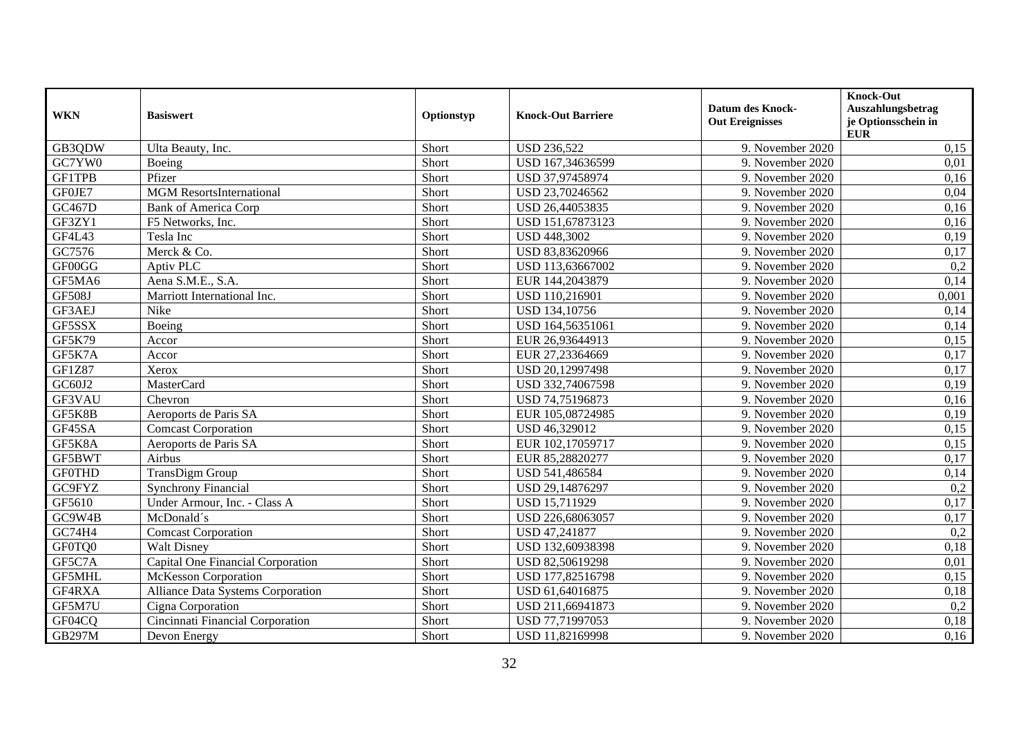| <b>WKN</b>    | <b>Basiswert</b>                  | Optionstyp | <b>Knock-Out Barriere</b> | <b>Datum des Knock-</b><br><b>Out Ereignisses</b> | Knock-Out<br>Auszahlungsbetrag<br>je Optionsschein in<br><b>EUR</b> |
|---------------|-----------------------------------|------------|---------------------------|---------------------------------------------------|---------------------------------------------------------------------|
| GB3QDW        | Ulta Beauty, Inc.                 | Short      | <b>USD 236,522</b>        | 9. November 2020                                  | 0,15                                                                |
| GC7YW0        | Boeing                            | Short      | USD 167,34636599          | 9. November 2020                                  | 0,01                                                                |
| <b>GF1TPB</b> | Pfizer                            | Short      | USD 37,97458974           | 9. November 2020                                  | 0,16                                                                |
| GF0JE7        | <b>MGM</b> ResortsInternational   | Short      | USD 23,70246562           | 9. November 2020                                  | 0,04                                                                |
| GC467D        | <b>Bank of America Corp</b>       | Short      | USD 26,44053835           | 9. November 2020                                  | 0,16                                                                |
| GF3ZY1        | F5 Networks, Inc.                 | Short      | USD 151,67873123          | 9. November 2020                                  | 0,16                                                                |
| GF4L43        | Tesla Inc                         | Short      | <b>USD 448,3002</b>       | 9. November 2020                                  | 0,19                                                                |
| GC7576        | Merck & Co.                       | Short      | USD 83,83620966           | 9. November 2020                                  | 0,17                                                                |
| GF00GG        | Aptiv PLC                         | Short      | USD 113,63667002          | 9. November 2020                                  | 0,2                                                                 |
| GF5MA6        | Aena S.M.E., S.A.                 | Short      | EUR 144,2043879           | 9. November 2020                                  | 0,14                                                                |
| <b>GF508J</b> | Marriott International Inc.       | Short      | USD 110,216901            | 9. November 2020                                  | 0,001                                                               |
| GF3AEJ        | Nike                              | Short      | USD 134,10756             | 9. November 2020                                  | 0,14                                                                |
| GF5SSX        | Boeing                            | Short      | USD 164,56351061          | 9. November 2020                                  | 0,14                                                                |
| <b>GF5K79</b> | Accor                             | Short      | EUR 26,93644913           | 9. November 2020                                  | 0,15                                                                |
| GF5K7A        | Accor                             | Short      | EUR 27,23364669           | 9. November 2020                                  | 0,17                                                                |
| <b>GF1Z87</b> | Xerox                             | Short      | USD 20,12997498           | 9. November 2020                                  | 0,17                                                                |
| GC60J2        | <b>MasterCard</b>                 | Short      | USD 332,74067598          | 9. November 2020                                  | 0,19                                                                |
| GF3VAU        | Chevron                           | Short      | USD 74,75196873           | 9. November 2020                                  | 0,16                                                                |
| GF5K8B        | Aeroports de Paris SA             | Short      | EUR 105,08724985          | 9. November 2020                                  | 0,19                                                                |
| GF45SA        | <b>Comcast Corporation</b>        | Short      | USD 46,329012             | 9. November 2020                                  | 0,15                                                                |
| GF5K8A        | Aeroports de Paris SA             | Short      | EUR 102,17059717          | 9. November 2020                                  | 0,15                                                                |
| GF5BWT        | Airbus                            | Short      | EUR 85,28820277           | 9. November 2020                                  | 0,17                                                                |
| <b>GF0THD</b> | <b>TransDigm Group</b>            | Short      | USD 541,486584            | 9. November 2020                                  | 0,14                                                                |
| GC9FYZ        | <b>Synchrony Financial</b>        | Short      | USD 29,14876297           | 9. November 2020                                  | 0,2                                                                 |
| GF5610        | Under Armour, Inc. - Class A      | Short      | USD 15,711929             | 9. November 2020                                  | 0,17                                                                |
| GC9W4B        | McDonald's                        | Short      | USD 226,68063057          | 9. November 2020                                  | 0,17                                                                |
| GC74H4        | <b>Comcast Corporation</b>        | Short      | USD 47,241877             | 9. November 2020                                  | 0,2                                                                 |
| GF0TQ0        | <b>Walt Disney</b>                | Short      | USD 132,60938398          | 9. November 2020                                  | 0,18                                                                |
| GF5C7A        | Capital One Financial Corporation | Short      | USD 82,50619298           | 9. November 2020                                  | 0,01                                                                |
| <b>GF5MHL</b> | McKesson Corporation              | Short      | USD 177,82516798          | 9. November 2020                                  | 0,15                                                                |
| GF4RXA        | Alliance Data Systems Corporation | Short      | USD 61,64016875           | 9. November 2020                                  | 0,18                                                                |
| GF5M7U        | Cigna Corporation                 | Short      | USD 211,66941873          | 9. November 2020                                  | 0,2                                                                 |
| GF04CQ        | Cincinnati Financial Corporation  | Short      | USD 77,71997053           | 9. November 2020                                  | 0,18                                                                |
| <b>GB297M</b> | Devon Energy                      | Short      | USD 11,82169998           | 9. November 2020                                  | 0,16                                                                |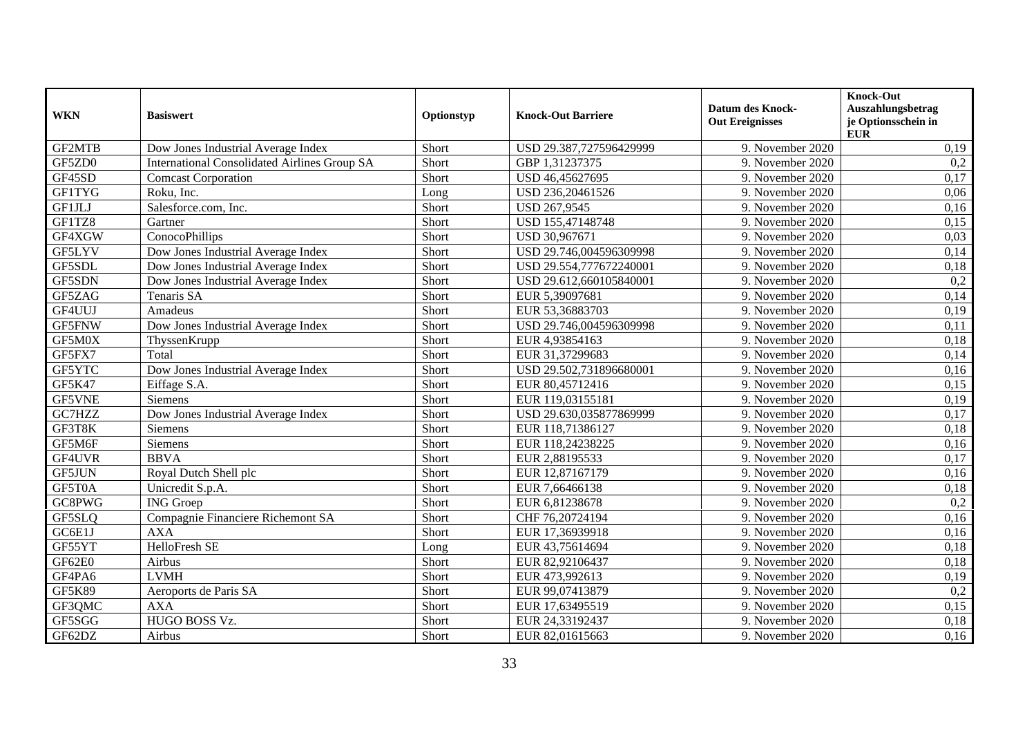| <b>WKN</b>    | <b>Basiswert</b>                                    | Optionstyp | <b>Knock-Out Barriere</b> | <b>Datum des Knock-</b><br><b>Out Ereignisses</b> | Knock-Out<br>Auszahlungsbetrag<br>je Optionsschein in<br><b>EUR</b> |
|---------------|-----------------------------------------------------|------------|---------------------------|---------------------------------------------------|---------------------------------------------------------------------|
| GF2MTB        | Dow Jones Industrial Average Index                  | Short      | USD 29.387,727596429999   | 9. November 2020                                  | 0,19                                                                |
| GF5ZD0        | <b>International Consolidated Airlines Group SA</b> | Short      | GBP 1,31237375            | 9. November 2020                                  | 0,2                                                                 |
| GF45SD        | <b>Comcast Corporation</b>                          | Short      | USD 46,45627695           | 9. November 2020                                  | 0,17                                                                |
| <b>GF1TYG</b> | Roku, Inc.                                          | Long       | USD 236,20461526          | 9. November 2020                                  | 0,06                                                                |
| GF1JLJ        | Salesforce.com, Inc.                                | Short      | USD 267,9545              | 9. November 2020                                  | 0,16                                                                |
| GF1TZ8        | Gartner                                             | Short      | USD 155,47148748          | 9. November 2020                                  | 0,15                                                                |
| GF4XGW        | ConocoPhillips                                      | Short      | USD 30,967671             | 9. November 2020                                  | 0,03                                                                |
| GF5LYV        | Dow Jones Industrial Average Index                  | Short      | USD 29.746,004596309998   | 9. November 2020                                  | 0,14                                                                |
| GF5SDL        | Dow Jones Industrial Average Index                  | Short      | USD 29.554,777672240001   | 9. November 2020                                  | 0,18                                                                |
| GF5SDN        | Dow Jones Industrial Average Index                  | Short      | USD 29.612,660105840001   | 9. November 2020                                  | 0,2                                                                 |
| GF5ZAG        | Tenaris SA                                          | Short      | EUR 5,39097681            | 9. November 2020                                  | 0,14                                                                |
| GF4UUJ        | Amadeus                                             | Short      | EUR 53,36883703           | 9. November 2020                                  | 0,19                                                                |
| GF5FNW        | Dow Jones Industrial Average Index                  | Short      | USD 29.746,004596309998   | 9. November 2020                                  | 0,11                                                                |
| GF5M0X        | ThyssenKrupp                                        | Short      | EUR 4,93854163            | 9. November 2020                                  | 0,18                                                                |
| GF5FX7        | Total                                               | Short      | EUR 31,37299683           | 9. November 2020                                  | 0,14                                                                |
| GF5YTC        | Dow Jones Industrial Average Index                  | Short      | USD 29.502,731896680001   | 9. November 2020                                  | 0,16                                                                |
| GF5K47        | Eiffage S.A.                                        | Short      | EUR 80,45712416           | 9. November 2020                                  | 0,15                                                                |
| <b>GF5VNE</b> | Siemens                                             | Short      | EUR 119,03155181          | 9. November 2020                                  | 0,19                                                                |
| GC7HZZ        | Dow Jones Industrial Average Index                  | Short      | USD 29.630,035877869999   | 9. November 2020                                  | 0,17                                                                |
| GF3T8K        | Siemens                                             | Short      | EUR 118,71386127          | 9. November 2020                                  | 0,18                                                                |
| GF5M6F        | Siemens                                             | Short      | EUR 118,24238225          | 9. November 2020                                  | 0,16                                                                |
| GF4UVR        | <b>BBVA</b>                                         | Short      | EUR 2,88195533            | 9. November 2020                                  | 0,17                                                                |
| <b>GF5JUN</b> | Royal Dutch Shell plc                               | Short      | EUR 12,87167179           | 9. November 2020                                  | 0,16                                                                |
| GF5T0A        | Unicredit S.p.A.                                    | Short      | EUR 7,66466138            | 9. November 2020                                  | 0,18                                                                |
| GC8PWG        | <b>ING</b> Groep                                    | Short      | EUR 6,81238678            | 9. November 2020                                  | 0,2                                                                 |
| GF5SLQ        | Compagnie Financiere Richemont SA                   | Short      | CHF 76,20724194           | 9. November 2020                                  | 0,16                                                                |
| GC6E1J        | <b>AXA</b>                                          | Short      | EUR 17,36939918           | 9. November 2020                                  | 0,16                                                                |
| GF55YT        | HelloFresh SE                                       | Long       | EUR 43,75614694           | 9. November 2020                                  | 0,18                                                                |
| GF62E0        | Airbus                                              | Short      | EUR 82,92106437           | 9. November 2020                                  | 0,18                                                                |
| GF4PA6        | <b>LVMH</b>                                         | Short      | EUR 473,992613            | 9. November 2020                                  | 0,19                                                                |
| <b>GF5K89</b> | Aeroports de Paris SA                               | Short      | EUR 99,07413879           | 9. November 2020                                  | 0,2                                                                 |
| GF3QMC        | <b>AXA</b>                                          | Short      | EUR 17,63495519           | 9. November 2020                                  | 0,15                                                                |
| GF5SGG        | HUGO BOSS Vz.                                       | Short      | EUR 24,33192437           | 9. November 2020                                  | 0,18                                                                |
| GF62DZ        | Airbus                                              | Short      | EUR 82,01615663           | 9. November 2020                                  | 0,16                                                                |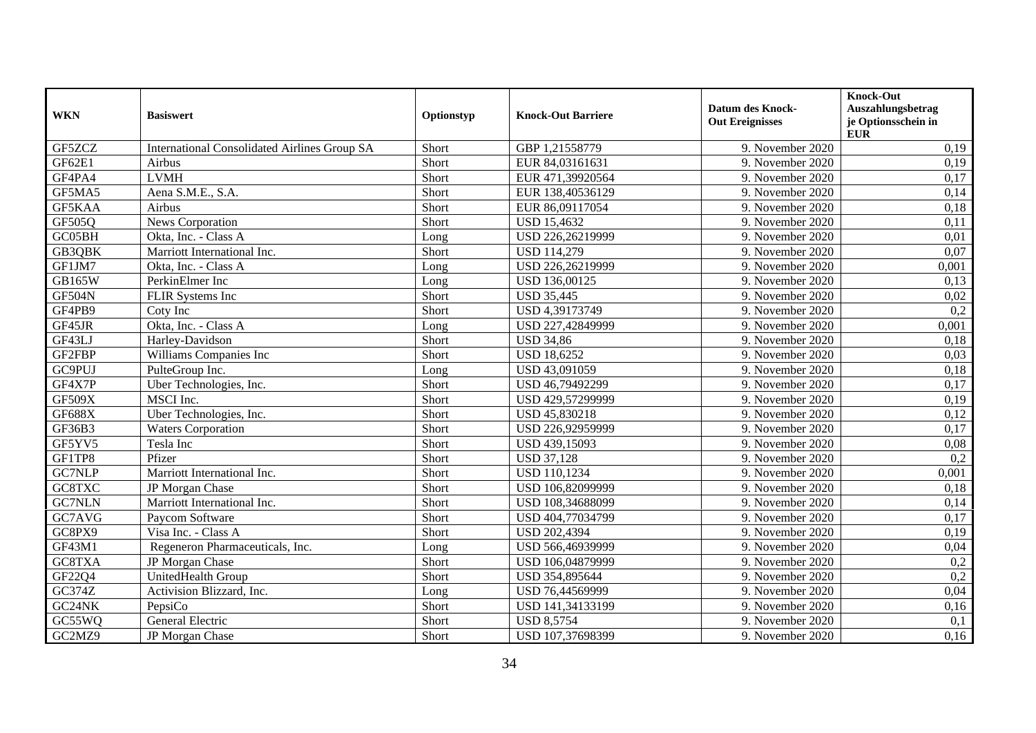| <b>WKN</b>    | <b>Basiswert</b>                                    | Optionstyp | <b>Knock-Out Barriere</b> | <b>Datum des Knock-</b><br><b>Out Ereignisses</b> | <b>Knock-Out</b><br>Auszahlungsbetrag<br>je Optionsschein in |
|---------------|-----------------------------------------------------|------------|---------------------------|---------------------------------------------------|--------------------------------------------------------------|
|               |                                                     |            |                           |                                                   | <b>EUR</b>                                                   |
| GF5ZCZ        | <b>International Consolidated Airlines Group SA</b> | Short      | GBP 1,21558779            | 9. November 2020                                  | 0,19                                                         |
| GF62E1        | Airbus                                              | Short      | EUR 84,03161631           | 9. November 2020                                  | 0,19                                                         |
| GF4PA4        | <b>LVMH</b>                                         | Short      | EUR 471,39920564          | 9. November 2020                                  | 0,17                                                         |
| GF5MA5        | Aena S.M.E., S.A.                                   | Short      | EUR 138,40536129          | 9. November 2020                                  | 0,14                                                         |
| GF5KAA        | Airbus                                              | Short      | EUR 86,09117054           | 9. November 2020                                  | 0,18                                                         |
| GF505Q        | News Corporation                                    | Short      | <b>USD 15,4632</b>        | 9. November 2020                                  | 0,11                                                         |
| GC05BH        | Okta, Inc. - Class A                                | Long       | USD 226,26219999          | 9. November 2020                                  | 0,01                                                         |
| GB3QBK        | Marriott International Inc.                         | Short      | <b>USD 114,279</b>        | 9. November 2020                                  | 0,07                                                         |
| GF1JM7        | Okta, Inc. - Class A                                | Long       | USD 226,26219999          | 9. November 2020                                  | 0,001                                                        |
| <b>GB165W</b> | PerkinElmer Inc                                     | Long       | USD 136,00125             | 9. November 2020                                  | 0,13                                                         |
| GF504N        | <b>FLIR Systems Inc</b>                             | Short      | <b>USD 35,445</b>         | 9. November 2020                                  | 0,02                                                         |
| GF4PB9        | Coty Inc                                            | Short      | USD 4,39173749            | 9. November 2020                                  | 0,2                                                          |
| GF45JR        | Okta, Inc. - Class A                                | Long       | USD 227,42849999          | 9. November 2020                                  | 0,001                                                        |
| GF43LJ        | Harley-Davidson                                     | Short      | <b>USD 34,86</b>          | 9. November 2020                                  | 0,18                                                         |
| GF2FBP        | Williams Companies Inc                              | Short      | <b>USD 18,6252</b>        | 9. November 2020                                  | 0,03                                                         |
| GC9PUJ        | PulteGroup Inc.                                     | Long       | USD 43,091059             | 9. November 2020                                  | 0,18                                                         |
| GF4X7P        | Uber Technologies, Inc.                             | Short      | USD 46,79492299           | 9. November 2020                                  | 0,17                                                         |
| GF509X        | MSCI Inc.                                           | Short      | USD 429,57299999          | 9. November 2020                                  | 0,19                                                         |
| <b>GF688X</b> | Uber Technologies, Inc.                             | Short      | USD 45,830218             | 9. November 2020                                  | 0,12                                                         |
| GF36B3        | <b>Waters Corporation</b>                           | Short      | USD 226,92959999          | 9. November 2020                                  | 0,17                                                         |
| GF5YV5        | Tesla Inc                                           | Short      | USD 439,15093             | 9. November 2020                                  | 0,08                                                         |
| GF1TP8        | Pfizer                                              | Short      | <b>USD 37,128</b>         | 9. November 2020                                  | 0,2                                                          |
| GC7NLP        | Marriott International Inc.                         | Short      | <b>USD 110,1234</b>       | 9. November 2020                                  | 0,001                                                        |
| GC8TXC        | JP Morgan Chase                                     | Short      | USD 106,82099999          | 9. November 2020                                  | 0,18                                                         |
| <b>GC7NLN</b> | Marriott International Inc.                         | Short      | USD 108,34688099          | 9. November 2020                                  | 0,14                                                         |
| GC7AVG        | Paycom Software                                     | Short      | USD 404,77034799          | 9. November 2020                                  | 0,17                                                         |
| GC8PX9        | Visa Inc. - Class A                                 | Short      | <b>USD 202,4394</b>       | 9. November 2020                                  | 0,19                                                         |
| GF43M1        | Regeneron Pharmaceuticals, Inc.                     | Long       | USD 566,46939999          | 9. November 2020                                  | 0,04                                                         |
| GC8TXA        | JP Morgan Chase                                     | Short      | USD 106,04879999          | 9. November 2020                                  | 0,2                                                          |
| GF22Q4        | UnitedHealth Group                                  | Short      | USD 354,895644            | 9. November 2020                                  | 0,2                                                          |
| <b>GC374Z</b> | Activision Blizzard, Inc.                           | Long       | USD 76,44569999           | 9. November 2020                                  | 0,04                                                         |
| GC24NK        | PepsiCo                                             | Short      | USD 141,34133199          | 9. November 2020                                  | 0,16                                                         |
| GC55WQ        | General Electric                                    | Short      | <b>USD 8,5754</b>         | 9. November 2020                                  | 0,1                                                          |
| GC2MZ9        | JP Morgan Chase                                     | Short      | USD 107,37698399          | 9. November 2020                                  | 0,16                                                         |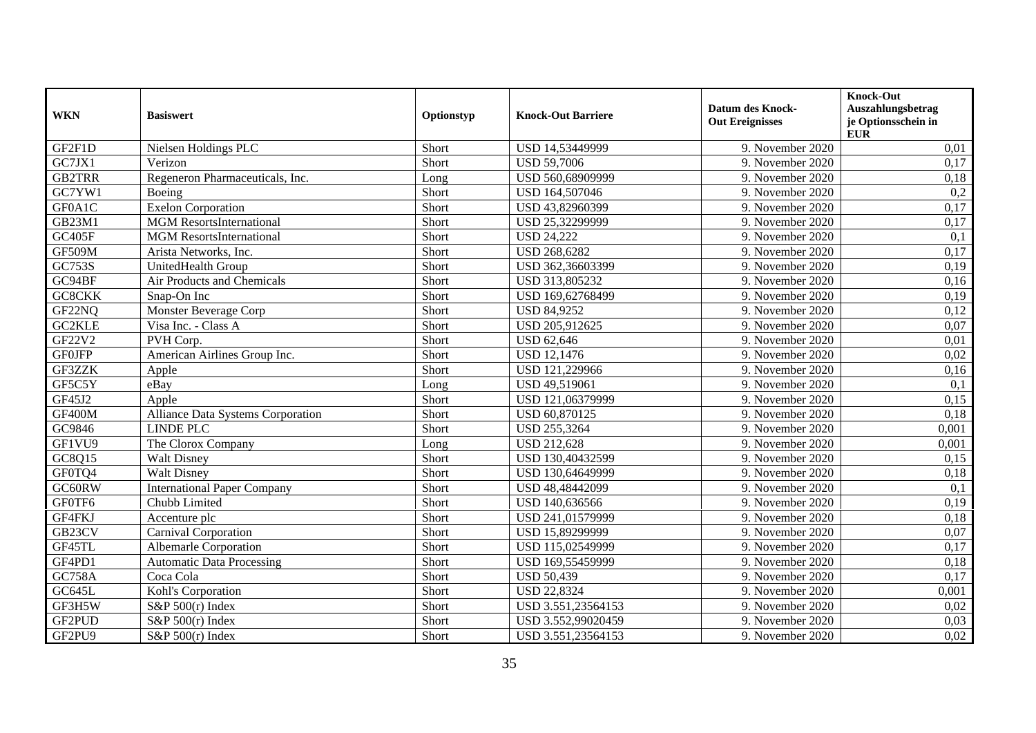| <b>WKN</b>    | <b>Basiswert</b>                         | Optionstyp | <b>Knock-Out Barriere</b> | <b>Datum des Knock-</b><br><b>Out Ereignisses</b> | <b>Knock-Out</b><br>Auszahlungsbetrag<br>je Optionsschein in<br><b>EUR</b> |
|---------------|------------------------------------------|------------|---------------------------|---------------------------------------------------|----------------------------------------------------------------------------|
| GF2F1D        | Nielsen Holdings PLC                     | Short      | USD 14,53449999           | 9. November 2020                                  | 0,01                                                                       |
| GC7JX1        | Verizon                                  | Short      | <b>USD 59,7006</b>        | 9. November 2020                                  | 0,17                                                                       |
| <b>GB2TRR</b> | Regeneron Pharmaceuticals, Inc.          | Long       | USD 560,68909999          | 9. November 2020                                  | 0,18                                                                       |
| GC7YW1        | Boeing                                   | Short      | USD 164,507046            | 9. November 2020                                  | 0,2                                                                        |
| GF0A1C        | <b>Exelon Corporation</b>                | Short      | USD 43,82960399           | 9. November 2020                                  | 0,17                                                                       |
| <b>GB23M1</b> | <b>MGM</b> ResortsInternational          | Short      | USD 25,32299999           | 9. November 2020                                  | 0,17                                                                       |
| GC405F        | <b>MGM</b> ResortsInternational          | Short      | <b>USD 24,222</b>         | 9. November 2020                                  | 0,1                                                                        |
| <b>GF509M</b> | Arista Networks, Inc.                    | Short      | <b>USD 268,6282</b>       | 9. November 2020                                  | 0,17                                                                       |
| GC753S        | UnitedHealth Group                       | Short      | USD 362,36603399          | 9. November 2020                                  | 0,19                                                                       |
| GC94BF        | Air Products and Chemicals               | Short      | USD 313,805232            | 9. November 2020                                  | 0,16                                                                       |
| GC8CKK        | Snap-On Inc                              | Short      | USD 169,62768499          | 9. November 2020                                  | 0,19                                                                       |
| GF22NQ        | Monster Beverage Corp                    | Short      | <b>USD 84,9252</b>        | 9. November 2020                                  | 0,12                                                                       |
| GC2KLE        | Visa Inc. - Class A                      | Short      | USD 205,912625            | 9. November 2020                                  | 0,07                                                                       |
| GF22V2        | PVH Corp.                                | Short      | <b>USD 62,646</b>         | 9. November 2020                                  | 0,01                                                                       |
| <b>GF0JFP</b> | American Airlines Group Inc.             | Short      | <b>USD 12,1476</b>        | 9. November 2020                                  | 0,02                                                                       |
| GF3ZZK        | Apple                                    | Short      | USD 121,229966            | 9. November 2020                                  | 0,16                                                                       |
| GF5C5Y        | eBay                                     | Long       | USD 49,519061             | 9. November 2020                                  | 0,1                                                                        |
| GF45J2        | Apple                                    | Short      | USD 121,06379999          | 9. November 2020                                  | 0,15                                                                       |
| <b>GF400M</b> | <b>Alliance Data Systems Corporation</b> | Short      | USD 60,870125             | 9. November 2020                                  | 0,18                                                                       |
| GC9846        | <b>LINDE PLC</b>                         | Short      | USD 255,3264              | 9. November 2020                                  | 0,001                                                                      |
| GF1VU9        | The Clorox Company                       | Long       | <b>USD 212,628</b>        | 9. November 2020                                  | 0,001                                                                      |
| GC8Q15        | <b>Walt Disney</b>                       | Short      | USD 130,40432599          | 9. November 2020                                  | 0,15                                                                       |
| GF0TQ4        | <b>Walt Disney</b>                       | Short      | USD 130,64649999          | 9. November 2020                                  | 0,18                                                                       |
| GC60RW        | <b>International Paper Company</b>       | Short      | USD 48,48442099           | 9. November 2020                                  | 0,1                                                                        |
| GF0TF6        | Chubb Limited                            | Short      | USD 140,636566            | 9. November 2020                                  | 0,19                                                                       |
| GF4FKJ        | Accenture plc                            | Short      | USD 241,01579999          | 9. November 2020                                  | 0,18                                                                       |
| GB23CV        | Carnival Corporation                     | Short      | USD 15,89299999           | 9. November 2020                                  | 0,07                                                                       |
| GF45TL        | Albemarle Corporation                    | Short      | USD 115,02549999          | 9. November 2020                                  | 0,17                                                                       |
| GF4PD1        | <b>Automatic Data Processing</b>         | Short      | USD 169,55459999          | 9. November 2020                                  | 0,18                                                                       |
| <b>GC758A</b> | Coca Cola                                | Short      | <b>USD 50,439</b>         | 9. November 2020                                  | 0,17                                                                       |
| GC645L        | Kohl's Corporation                       | Short      | <b>USD 22,8324</b>        | 9. November 2020                                  | 0,001                                                                      |
| GF3H5W        | $S\&P 500(r)$ Index                      | Short      | USD 3.551,23564153        | 9. November 2020                                  | 0,02                                                                       |
| GF2PUD        | S&P $500(r)$ Index                       | Short      | USD 3.552,99020459        | 9. November 2020                                  | 0,03                                                                       |
| GF2PU9        | S&P 500(r) Index                         | Short      | USD 3.551,23564153        | 9. November 2020                                  | 0.02                                                                       |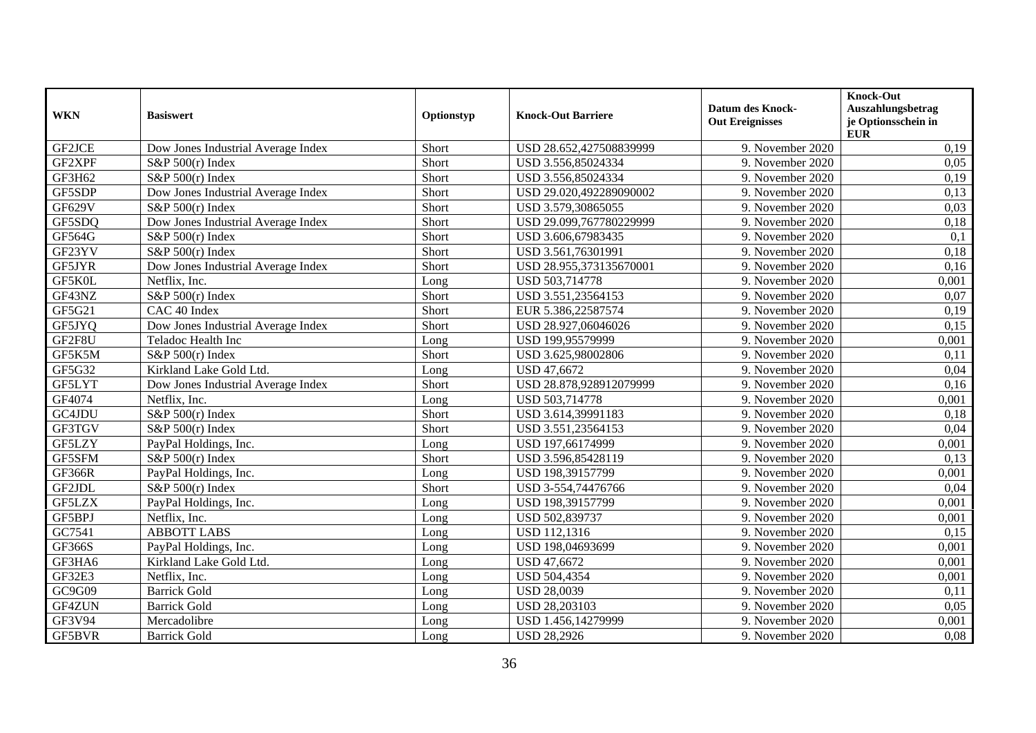| <b>WKN</b>    | <b>Basiswert</b>                   | Optionstyp | <b>Knock-Out Barriere</b> | <b>Datum des Knock-</b><br><b>Out Ereignisses</b> | Knock-Out<br>Auszahlungsbetrag<br>je Optionsschein in<br><b>EUR</b> |
|---------------|------------------------------------|------------|---------------------------|---------------------------------------------------|---------------------------------------------------------------------|
| GF2JCE        | Dow Jones Industrial Average Index | Short      | USD 28.652,427508839999   | 9. November 2020                                  | 0,19                                                                |
| GF2XPF        | $S\&P 500(r)$ Index                | Short      | USD 3.556,85024334        | 9. November 2020                                  | 0.05                                                                |
| GF3H62        | $S\&P 500(r)$ Index                | Short      | USD 3.556,85024334        | 9. November 2020                                  | 0,19                                                                |
| GF5SDP        | Dow Jones Industrial Average Index | Short      | USD 29.020,492289090002   | 9. November 2020                                  | 0,13                                                                |
| <b>GF629V</b> | S&P $500(r)$ Index                 | Short      | USD 3.579,30865055        | 9. November 2020                                  | 0.03                                                                |
| GF5SDQ        | Dow Jones Industrial Average Index | Short      | USD 29.099,767780229999   | 9. November 2020                                  | 0,18                                                                |
| GF564G        | S&P $500(r)$ Index                 | Short      | USD 3.606,67983435        | 9. November 2020                                  | 0,1                                                                 |
| GF23YV        | S&P $500(r)$ Index                 | Short      | USD 3.561,76301991        | 9. November 2020                                  | 0,18                                                                |
| GF5JYR        | Dow Jones Industrial Average Index | Short      | USD 28.955,373135670001   | 9. November 2020                                  | 0,16                                                                |
| GF5K0L        | Netflix, Inc.                      | Long       | USD 503,714778            | 9. November 2020                                  | 0,001                                                               |
| GF43NZ        | S&P $500(r)$ Index                 | Short      | USD 3.551,23564153        | 9. November 2020                                  | 0,07                                                                |
| GF5G21        | CAC 40 Index                       | Short      | EUR 5.386,22587574        | 9. November 2020                                  | 0,19                                                                |
| GF5JYQ        | Dow Jones Industrial Average Index | Short      | USD 28.927,06046026       | 9. November 2020                                  | 0,15                                                                |
| GF2F8U        | Teladoc Health Inc                 | Long       | USD 199,95579999          | 9. November 2020                                  | 0,001                                                               |
| GF5K5M        | S&P $500(r)$ Index                 | Short      | USD 3.625,98002806        | 9. November 2020                                  | 0,11                                                                |
| GF5G32        | Kirkland Lake Gold Ltd.            | Long       | <b>USD 47,6672</b>        | 9. November 2020                                  | 0,04                                                                |
| GF5LYT        | Dow Jones Industrial Average Index | Short      | USD 28.878,928912079999   | 9. November 2020                                  | 0,16                                                                |
| GF4074        | Netflix, Inc.                      | Long       | USD 503,714778            | 9. November 2020                                  | 0,001                                                               |
| GC4JDU        | S&P 500(r) Index                   | Short      | USD 3.614,39991183        | 9. November 2020                                  | 0,18                                                                |
| GF3TGV        | S&P 500(r) Index                   | Short      | USD 3.551,23564153        | 9. November 2020                                  | 0,04                                                                |
| GF5LZY        | PayPal Holdings, Inc.              | Long       | USD 197,66174999          | 9. November 2020                                  | 0,001                                                               |
| GF5SFM        | S&P $500(r)$ Index                 | Short      | USD 3.596,85428119        | 9. November 2020                                  | 0,13                                                                |
| <b>GF366R</b> | PayPal Holdings, Inc.              | Long       | USD 198,39157799          | 9. November 2020                                  | 0,001                                                               |
| GF2JDL        | S&P 500(r) Index                   | Short      | USD 3-554,74476766        | 9. November 2020                                  | 0,04                                                                |
| GF5LZX        | PayPal Holdings, Inc.              | Long       | USD 198,39157799          | 9. November 2020                                  | 0,001                                                               |
| GF5BPJ        | Netflix, Inc.                      | Long       | USD 502,839737            | 9. November 2020                                  | 0,001                                                               |
| GC7541        | <b>ABBOTT LABS</b>                 | Long       | USD 112,1316              | 9. November 2020                                  | 0,15                                                                |
| GF366S        | PayPal Holdings, Inc.              | Long       | USD 198,04693699          | 9. November 2020                                  | 0,001                                                               |
| GF3HA6        | Kirkland Lake Gold Ltd.            | Long       | USD 47,6672               | 9. November 2020                                  | 0,001                                                               |
| GF32E3        | Netflix, Inc.                      | Long       | <b>USD 504,4354</b>       | 9. November 2020                                  | 0,001                                                               |
| GC9G09        | <b>Barrick Gold</b>                | Long       | <b>USD 28,0039</b>        | 9. November 2020                                  | 0,11                                                                |
| GF4ZUN        | <b>Barrick Gold</b>                | Long       | USD 28,203103             | 9. November 2020                                  | 0,05                                                                |
| GF3V94        | Mercadolibre                       | Long       | USD 1.456,14279999        | 9. November 2020                                  | 0,001                                                               |
| <b>GF5BVR</b> | <b>Barrick Gold</b>                | Long       | <b>USD 28,2926</b>        | 9. November 2020                                  | 0.08                                                                |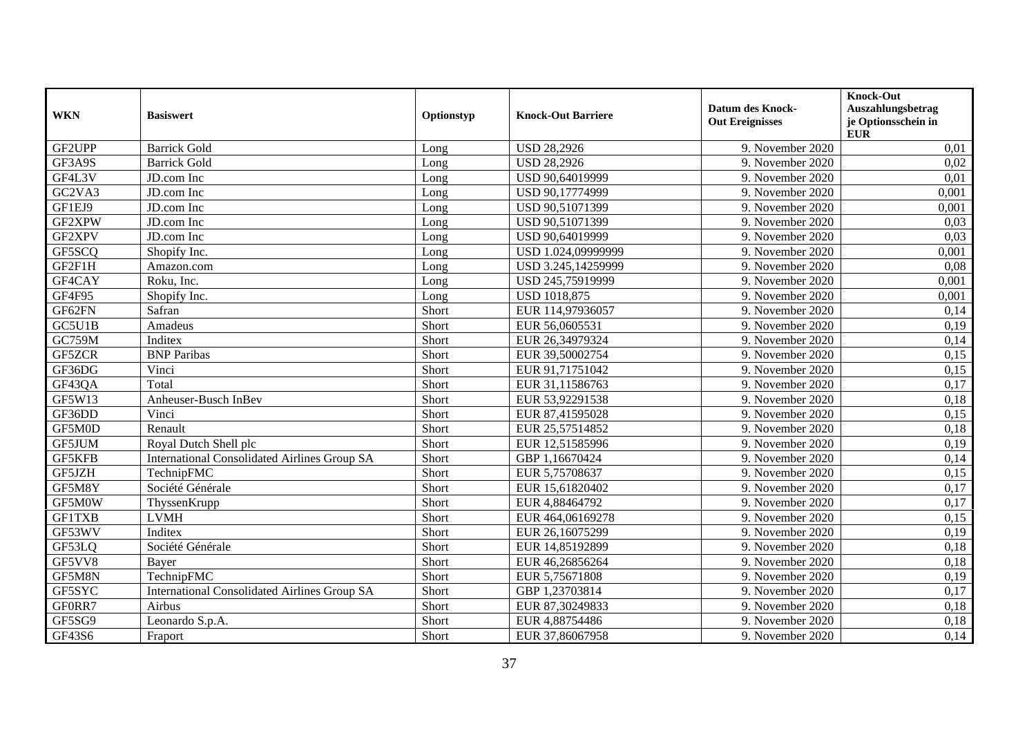| <b>WKN</b>    | <b>Basiswert</b>                                    | Optionstyp | <b>Knock-Out Barriere</b> | <b>Datum des Knock-</b><br><b>Out Ereignisses</b> | Knock-Out<br>Auszahlungsbetrag<br>je Optionsschein in<br><b>EUR</b> |
|---------------|-----------------------------------------------------|------------|---------------------------|---------------------------------------------------|---------------------------------------------------------------------|
| GF2UPP        | <b>Barrick Gold</b>                                 | Long       | <b>USD 28,2926</b>        | 9. November 2020                                  | 0,01                                                                |
| GF3A9S        | <b>Barrick Gold</b>                                 | Long       | <b>USD 28,2926</b>        | 9. November 2020                                  | 0,02                                                                |
| GF4L3V        | JD.com Inc                                          | Long       | USD 90,64019999           | 9. November 2020                                  | 0,01                                                                |
| GC2VA3        | JD.com Inc                                          | Long       | USD 90,17774999           | 9. November 2020                                  | 0,001                                                               |
| GF1EJ9        | JD.com Inc                                          | Long       | USD 90,51071399           | 9. November 2020                                  | 0,001                                                               |
| GF2XPW        | JD.com Inc                                          | Long       | USD 90,51071399           | 9. November 2020                                  | 0,03                                                                |
| GF2XPV        | JD.com Inc                                          | Long       | USD 90,64019999           | 9. November 2020                                  | 0,03                                                                |
| GF5SCQ        | Shopify Inc.                                        | Long       | USD 1.024,09999999        | 9. November 2020                                  | 0,001                                                               |
| GF2F1H        | Amazon.com                                          | Long       | USD 3.245,14259999        | 9. November 2020                                  | 0,08                                                                |
| GF4CAY        | Roku, Inc.                                          | Long       | USD 245,75919999          | 9. November 2020                                  | 0,001                                                               |
| GF4F95        | Shopify Inc.                                        | Long       | <b>USD 1018,875</b>       | 9. November 2020                                  | 0,001                                                               |
| GF62FN        | Safran                                              | Short      | EUR 114,97936057          | 9. November 2020                                  | 0,14                                                                |
| GC5U1B        | Amadeus                                             | Short      | EUR 56,0605531            | 9. November 2020                                  | 0,19                                                                |
| <b>GC759M</b> | Inditex                                             | Short      | EUR 26,34979324           | 9. November 2020                                  | 0,14                                                                |
| GF5ZCR        | <b>BNP</b> Paribas                                  | Short      | EUR 39,50002754           | 9. November 2020                                  | 0,15                                                                |
| GF36DG        | Vinci                                               | Short      | EUR 91,71751042           | 9. November 2020                                  | 0,15                                                                |
| GF43QA        | Total                                               | Short      | EUR 31,11586763           | 9. November 2020                                  | 0,17                                                                |
| GF5W13        | Anheuser-Busch InBev                                | Short      | EUR 53,92291538           | 9. November 2020                                  | 0,18                                                                |
| GF36DD        | Vinci                                               | Short      | EUR 87,41595028           | 9. November 2020                                  | 0,15                                                                |
| GF5M0D        | Renault                                             | Short      | EUR 25,57514852           | 9. November 2020                                  | 0,18                                                                |
| GF5JUM        | Royal Dutch Shell plc                               | Short      | EUR 12,51585996           | 9. November 2020                                  | 0,19                                                                |
| GF5KFB        | <b>International Consolidated Airlines Group SA</b> | Short      | GBP 1,16670424            | 9. November 2020                                  | 0,14                                                                |
| GF5JZH        | TechnipFMC                                          | Short      | EUR 5,75708637            | 9. November 2020                                  | 0,15                                                                |
| GF5M8Y        | Société Générale                                    | Short      | EUR 15,61820402           | 9. November 2020                                  | 0,17                                                                |
| GF5M0W        | ThyssenKrupp                                        | Short      | EUR 4,88464792            | 9. November 2020                                  | 0,17                                                                |
| <b>GF1TXB</b> | <b>LVMH</b>                                         | Short      | EUR 464,06169278          | 9. November 2020                                  | 0,15                                                                |
| GF53WV        | Inditex                                             | Short      | EUR 26,16075299           | 9. November 2020                                  | 0,19                                                                |
| GF53LQ        | Société Générale                                    | Short      | EUR 14,85192899           | 9. November 2020                                  | 0,18                                                                |
| GF5VV8        | Bayer                                               | Short      | EUR 46,26856264           | 9. November 2020                                  | 0,18                                                                |
| GF5M8N        | TechnipFMC                                          | Short      | EUR 5,75671808            | 9. November 2020                                  | 0,19                                                                |
| GF5SYC        | <b>International Consolidated Airlines Group SA</b> | Short      | GBP 1,23703814            | 9. November 2020                                  | 0,17                                                                |
| GF0RR7        | Airbus                                              | Short      | EUR 87,30249833           | 9. November 2020                                  | 0,18                                                                |
| GF5SG9        | Leonardo S.p.A.                                     | Short      | EUR 4,88754486            | 9. November 2020                                  | 0,18                                                                |
| GF43S6        | Fraport                                             | Short      | EUR 37,86067958           | 9. November 2020                                  | 0,14                                                                |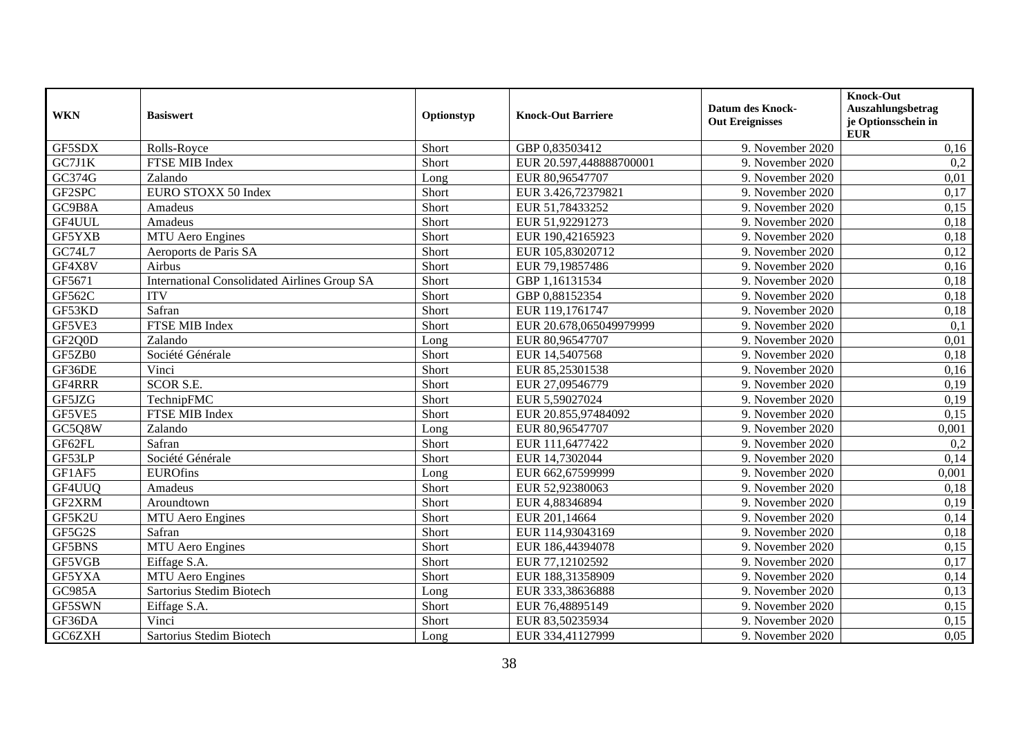| <b>WKN</b>    | <b>Basiswert</b>                                    | Optionstyp | <b>Knock-Out Barriere</b> | <b>Datum des Knock-</b><br><b>Out Ereignisses</b> | Knock-Out<br>Auszahlungsbetrag<br>je Optionsschein in<br><b>EUR</b> |
|---------------|-----------------------------------------------------|------------|---------------------------|---------------------------------------------------|---------------------------------------------------------------------|
| GF5SDX        | Rolls-Royce                                         | Short      | GBP 0.83503412            | 9. November 2020                                  | 0,16                                                                |
| GC7J1K        | FTSE MIB Index                                      | Short      | EUR 20.597,448888700001   | 9. November 2020                                  | 0,2                                                                 |
| GC374G        | Zalando                                             | Long       | EUR 80,96547707           | 9. November 2020                                  | 0,01                                                                |
| GF2SPC        | EURO STOXX 50 Index                                 | Short      | EUR 3.426,72379821        | 9. November 2020                                  | 0,17                                                                |
| GC9B8A        | Amadeus                                             | Short      | EUR 51,78433252           | 9. November 2020                                  | 0,15                                                                |
| GF4UUL        | Amadeus                                             | Short      | EUR 51,92291273           | 9. November 2020                                  | 0,18                                                                |
| GF5YXB        | <b>MTU</b> Aero Engines                             | Short      | EUR 190,42165923          | 9. November 2020                                  | 0,18                                                                |
| <b>GC74L7</b> | Aeroports de Paris SA                               | Short      | EUR 105,83020712          | 9. November 2020                                  | 0,12                                                                |
| GF4X8V        | Airbus                                              | Short      | EUR 79,19857486           | 9. November 2020                                  | 0,16                                                                |
| GF5671        | <b>International Consolidated Airlines Group SA</b> | Short      | GBP 1,16131534            | 9. November 2020                                  | 0,18                                                                |
| GF562C        | <b>ITV</b>                                          | Short      | GBP 0,88152354            | 9. November 2020                                  | 0,18                                                                |
| GF53KD        | Safran                                              | Short      | EUR 119,1761747           | 9. November 2020                                  | 0,18                                                                |
| GF5VE3        | <b>FTSE MIB Index</b>                               | Short      | EUR 20.678,065049979999   | 9. November 2020                                  | 0,1                                                                 |
| GF2Q0D        | Zalando                                             | Long       | EUR 80,96547707           | 9. November 2020                                  | 0,01                                                                |
| GF5ZB0        | Société Générale                                    | Short      | EUR 14,5407568            | 9. November 2020                                  | 0,18                                                                |
| GF36DE        | Vinci                                               | Short      | EUR 85,25301538           | 9. November 2020                                  | 0,16                                                                |
| GF4RRR        | <b>SCOR S.E.</b>                                    | Short      | EUR 27,09546779           | 9. November 2020                                  | 0,19                                                                |
| GF5JZG        | TechnipFMC                                          | Short      | EUR 5,59027024            | 9. November 2020                                  | 0,19                                                                |
| GF5VE5        | FTSE MIB Index                                      | Short      | EUR 20.855,97484092       | 9. November 2020                                  | 0,15                                                                |
| GC5Q8W        | Zalando                                             | Long       | EUR 80,96547707           | 9. November 2020                                  | 0,001                                                               |
| GF62FL        | Safran                                              | Short      | EUR 111,6477422           | 9. November 2020                                  | 0,2                                                                 |
| GF53LP        | Société Générale                                    | Short      | EUR 14,7302044            | 9. November 2020                                  | 0,14                                                                |
| GF1AF5        | <b>EUROfins</b>                                     | Long       | EUR 662,67599999          | 9. November 2020                                  | 0,001                                                               |
| GF4UUQ        | Amadeus                                             | Short      | EUR 52,92380063           | 9. November 2020                                  | 0,18                                                                |
| GF2XRM        | Aroundtown                                          | Short      | EUR 4,88346894            | 9. November 2020                                  | 0,19                                                                |
| GF5K2U        | <b>MTU</b> Aero Engines                             | Short      | EUR 201,14664             | 9. November 2020                                  | 0,14                                                                |
| GF5G2S        | Safran                                              | Short      | EUR 114,93043169          | 9. November 2020                                  | 0,18                                                                |
| <b>GF5BNS</b> | <b>MTU</b> Aero Engines                             | Short      | EUR 186,44394078          | 9. November 2020                                  | 0,15                                                                |
| GF5VGB        | Eiffage S.A.                                        | Short      | EUR 77,12102592           | 9. November 2020                                  | 0,17                                                                |
| GF5YXA        | <b>MTU</b> Aero Engines                             | Short      | EUR 188,31358909          | 9. November 2020                                  | 0,14                                                                |
| <b>GC985A</b> | Sartorius Stedim Biotech                            | Long       | EUR 333,38636888          | 9. November 2020                                  | 0,13                                                                |
| GF5SWN        | Eiffage S.A.                                        | Short      | EUR 76,48895149           | 9. November 2020                                  | 0,15                                                                |
| GF36DA        | Vinci                                               | Short      | EUR 83,50235934           | 9. November 2020                                  | 0,15                                                                |
| GC6ZXH        | Sartorius Stedim Biotech                            | Long       | EUR 334,41127999          | 9. November 2020                                  | 0.05                                                                |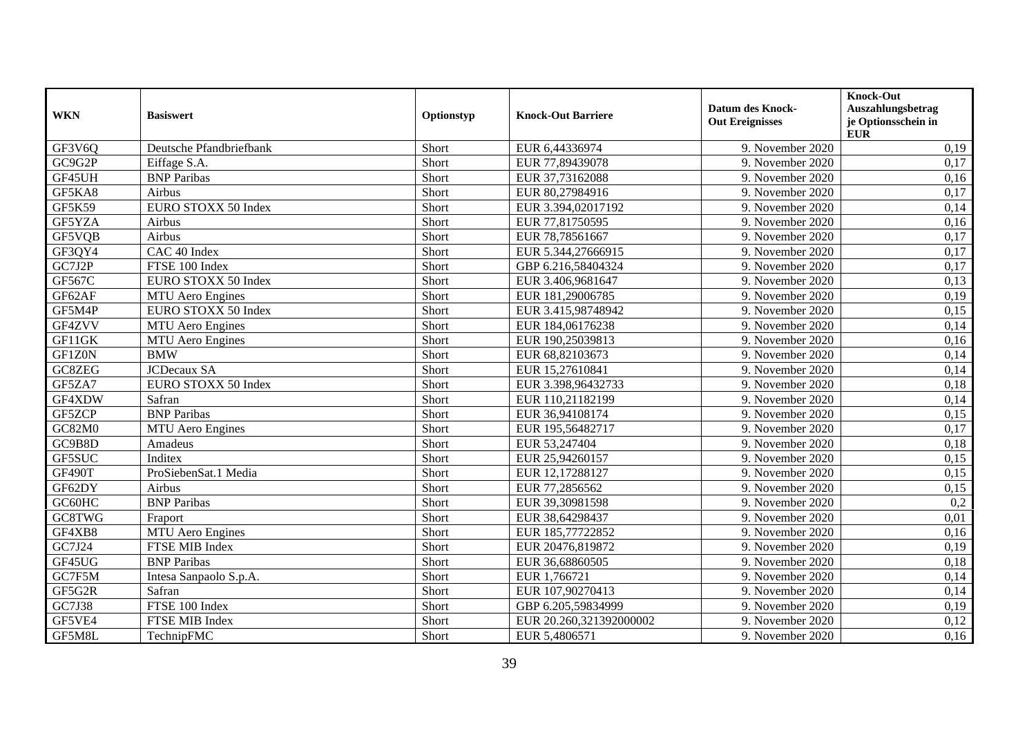| <b>WKN</b>    | <b>Basiswert</b>        | Optionstyp | <b>Knock-Out Barriere</b> | <b>Datum des Knock-</b><br><b>Out Ereignisses</b> | Knock-Out<br>Auszahlungsbetrag<br>je Optionsschein in<br><b>EUR</b> |
|---------------|-------------------------|------------|---------------------------|---------------------------------------------------|---------------------------------------------------------------------|
| GF3V6Q        | Deutsche Pfandbriefbank | Short      | EUR 6,44336974            | 9. November 2020                                  | 0,19                                                                |
| GC9G2P        | Eiffage S.A.            | Short      | EUR 77,89439078           | 9. November 2020                                  | 0,17                                                                |
| GF45UH        | <b>BNP</b> Paribas      | Short      | EUR 37,73162088           | 9. November 2020                                  | 0,16                                                                |
| GF5KA8        | Airbus                  | Short      | EUR 80,27984916           | 9. November 2020                                  | 0,17                                                                |
| GF5K59        | EURO STOXX 50 Index     | Short      | EUR 3.394,02017192        | 9. November 2020                                  | 0,14                                                                |
| GF5YZA        | Airbus                  | Short      | EUR 77,81750595           | 9. November 2020                                  | 0,16                                                                |
| GF5VQB        | Airbus                  | Short      | EUR 78,78561667           | 9. November 2020                                  | 0,17                                                                |
| GF3QY4        | CAC 40 Index            | Short      | EUR 5.344,27666915        | 9. November 2020                                  | 0,17                                                                |
| GC7J2P        | FTSE 100 Index          | Short      | GBP 6.216,58404324        | 9. November 2020                                  | 0,17                                                                |
| GF567C        | EURO STOXX 50 Index     | Short      | EUR 3.406,9681647         | 9. November 2020                                  | 0,13                                                                |
| GF62AF        | MTU Aero Engines        | Short      | EUR 181,29006785          | 9. November 2020                                  | 0,19                                                                |
| GF5M4P        | EURO STOXX 50 Index     | Short      | EUR 3.415,98748942        | 9. November 2020                                  | 0,15                                                                |
| GF4ZVV        | <b>MTU</b> Aero Engines | Short      | EUR 184,06176238          | 9. November 2020                                  | 0,14                                                                |
| GF11GK        | <b>MTU</b> Aero Engines | Short      | EUR 190,25039813          | 9. November 2020                                  | 0,16                                                                |
| GF1Z0N        | <b>BMW</b>              | Short      | EUR 68,82103673           | 9. November 2020                                  | 0,14                                                                |
| GC8ZEG        | <b>JCDecaux SA</b>      | Short      | EUR 15,27610841           | 9. November 2020                                  | 0,14                                                                |
| GF5ZA7        | EURO STOXX 50 Index     | Short      | EUR 3.398,96432733        | 9. November 2020                                  | 0,18                                                                |
| GF4XDW        | Safran                  | Short      | EUR 110,21182199          | 9. November 2020                                  | 0,14                                                                |
| GF5ZCP        | <b>BNP Paribas</b>      | Short      | EUR 36,94108174           | 9. November 2020                                  | 0,15                                                                |
| GC82M0        | <b>MTU</b> Aero Engines | Short      | EUR 195,56482717          | 9. November 2020                                  | 0,17                                                                |
| GC9B8D        | Amadeus                 | Short      | EUR 53,247404             | 9. November 2020                                  | 0,18                                                                |
| GF5SUC        | Inditex                 | Short      | EUR 25,94260157           | 9. November 2020                                  | 0,15                                                                |
| <b>GF490T</b> | ProSiebenSat.1 Media    | Short      | EUR 12,17288127           | 9. November 2020                                  | 0,15                                                                |
| GF62DY        | Airbus                  | Short      | EUR 77,2856562            | 9. November 2020                                  | 0,15                                                                |
| GC60HC        | <b>BNP Paribas</b>      | Short      | EUR 39,30981598           | 9. November 2020                                  | 0,2                                                                 |
| GC8TWG        | Fraport                 | Short      | EUR 38,64298437           | 9. November 2020                                  | 0,01                                                                |
| GF4XB8        | <b>MTU</b> Aero Engines | Short      | EUR 185,77722852          | 9. November 2020                                  | 0,16                                                                |
| GC7J24        | FTSE MIB Index          | Short      | EUR 20476,819872          | 9. November 2020                                  | 0,19                                                                |
| GF45UG        | <b>BNP</b> Paribas      | Short      | EUR 36,68860505           | 9. November 2020                                  | 0,18                                                                |
| GC7F5M        | Intesa Sanpaolo S.p.A.  | Short      | EUR 1,766721              | 9. November 2020                                  | 0,14                                                                |
| GF5G2R        | Safran                  | Short      | EUR 107,90270413          | 9. November 2020                                  | 0,14                                                                |
| GC7J38        | FTSE 100 Index          | Short      | GBP 6.205,59834999        | 9. November 2020                                  | 0,19                                                                |
| GF5VE4        | FTSE MIB Index          | Short      | EUR 20.260,321392000002   | 9. November 2020                                  | 0,12                                                                |
| GF5M8L        | TechnipFMC              | Short      | EUR 5,4806571             | 9. November 2020                                  | 0,16                                                                |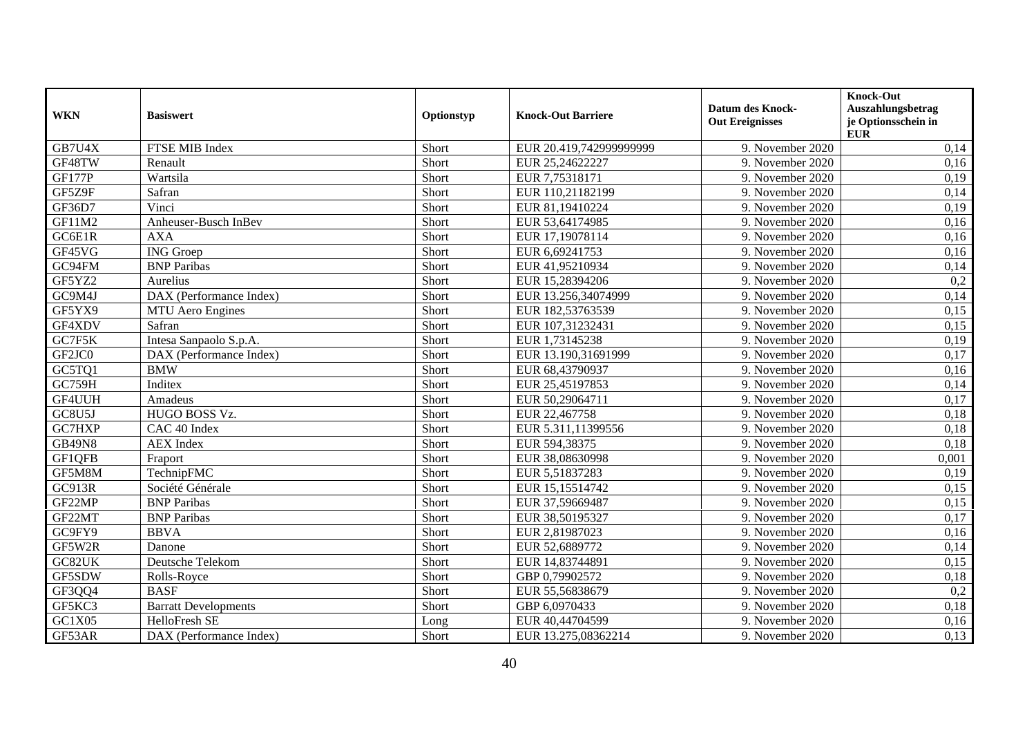| <b>WKN</b>    | <b>Basiswert</b>            | Optionstyp | <b>Knock-Out Barriere</b> | <b>Datum des Knock-</b><br><b>Out Ereignisses</b> | Knock-Out<br>Auszahlungsbetrag<br>je Optionsschein in<br><b>EUR</b> |
|---------------|-----------------------------|------------|---------------------------|---------------------------------------------------|---------------------------------------------------------------------|
| GB7U4X        | FTSE MIB Index              | Short      | EUR 20.419,742999999999   | 9. November 2020                                  | 0,14                                                                |
| GF48TW        | Renault                     | Short      | EUR 25,24622227           | 9. November 2020                                  | 0,16                                                                |
| <b>GF177P</b> | Wartsila                    | Short      | EUR 7,75318171            | 9. November 2020                                  | 0,19                                                                |
| GF5Z9F        | Safran                      | Short      | EUR 110,21182199          | 9. November 2020                                  | 0,14                                                                |
| GF36D7        | Vinci                       | Short      | EUR 81,19410224           | 9. November 2020                                  | 0,19                                                                |
| GF11M2        | Anheuser-Busch InBev        | Short      | EUR 53,64174985           | 9. November 2020                                  | 0,16                                                                |
| GC6E1R        | <b>AXA</b>                  | Short      | EUR 17,19078114           | 9. November 2020                                  | 0,16                                                                |
| GF45VG        | <b>ING</b> Groep            | Short      | EUR 6,69241753            | 9. November 2020                                  | 0,16                                                                |
| GC94FM        | <b>BNP</b> Paribas          | Short      | EUR 41,95210934           | 9. November 2020                                  | 0,14                                                                |
| GF5YZ2        | Aurelius                    | Short      | EUR 15,28394206           | 9. November 2020                                  | 0,2                                                                 |
| GC9M4J        | DAX (Performance Index)     | Short      | EUR 13.256,34074999       | 9. November 2020                                  | 0,14                                                                |
| GF5YX9        | MTU Aero Engines            | Short      | EUR 182,53763539          | 9. November 2020                                  | 0,15                                                                |
| GF4XDV        | Safran                      | Short      | EUR 107,31232431          | 9. November 2020                                  | 0,15                                                                |
| GC7F5K        | Intesa Sanpaolo S.p.A.      | Short      | EUR 1,73145238            | 9. November 2020                                  | 0,19                                                                |
| GF2JC0        | DAX (Performance Index)     | Short      | EUR 13.190,31691999       | 9. November 2020                                  | 0,17                                                                |
| GC5TQ1        | <b>BMW</b>                  | Short      | EUR 68,43790937           | 9. November 2020                                  | 0,16                                                                |
| GC759H        | Inditex                     | Short      | EUR 25,45197853           | 9. November 2020                                  | 0,14                                                                |
| GF4UUH        | Amadeus                     | Short      | EUR 50,29064711           | 9. November 2020                                  | 0,17                                                                |
| GC8U5J        | HUGO BOSS Vz.               | Short      | EUR 22,467758             | 9. November 2020                                  | 0,18                                                                |
| GC7HXP        | CAC 40 Index                | Short      | EUR 5.311,11399556        | 9. November 2020                                  | 0,18                                                                |
| <b>GB49N8</b> | <b>AEX</b> Index            | Short      | EUR 594,38375             | 9. November 2020                                  | 0,18                                                                |
| GF1QFB        | Fraport                     | Short      | EUR 38,08630998           | 9. November 2020                                  | 0,001                                                               |
| GF5M8M        | TechnipFMC                  | Short      | EUR 5,51837283            | 9. November 2020                                  | 0,19                                                                |
| GC913R        | Société Générale            | Short      | EUR 15,15514742           | 9. November 2020                                  | 0,15                                                                |
| GF22MP        | <b>BNP</b> Paribas          | Short      | EUR 37,59669487           | 9. November 2020                                  | 0,15                                                                |
| GF22MT        | <b>BNP</b> Paribas          | Short      | EUR 38,50195327           | 9. November 2020                                  | 0,17                                                                |
| GC9FY9        | <b>BBVA</b>                 | Short      | EUR 2,81987023            | 9. November 2020                                  | 0,16                                                                |
| GF5W2R        | Danone                      | Short      | EUR 52,6889772            | 9. November 2020                                  | 0,14                                                                |
| GC82UK        | Deutsche Telekom            | Short      | EUR 14,83744891           | 9. November 2020                                  | 0,15                                                                |
| GF5SDW        | Rolls-Royce                 | Short      | GBP 0,79902572            | 9. November 2020                                  | 0,18                                                                |
| GF3QQ4        | <b>BASF</b>                 | Short      | EUR 55,56838679           | 9. November 2020                                  | 0,2                                                                 |
| GF5KC3        | <b>Barratt Developments</b> | Short      | GBP 6,0970433             | 9. November 2020                                  | 0,18                                                                |
| GC1X05        | HelloFresh SE               | Long       | EUR 40,44704599           | 9. November 2020                                  | 0,16                                                                |
| GF53AR        | DAX (Performance Index)     | Short      | EUR 13.275,08362214       | 9. November 2020                                  | 0,13                                                                |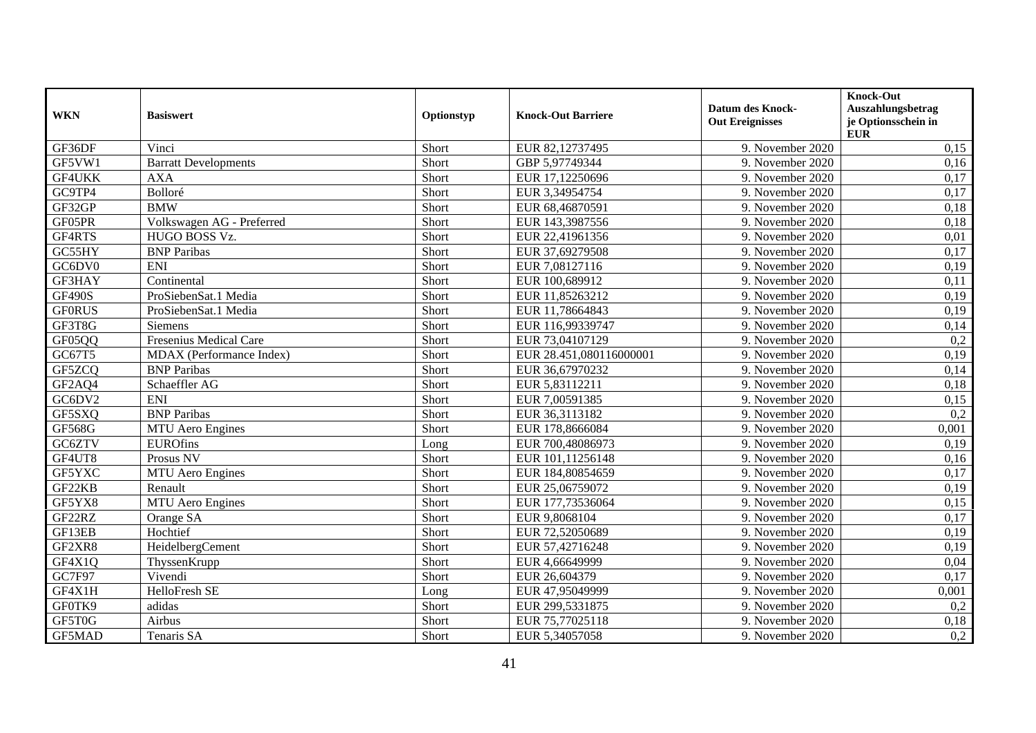| <b>WKN</b>    | <b>Basiswert</b>            | Optionstyp | <b>Knock-Out Barriere</b> | <b>Datum des Knock-</b><br><b>Out Ereignisses</b> | Knock-Out<br>Auszahlungsbetrag<br>je Optionsschein in<br><b>EUR</b> |
|---------------|-----------------------------|------------|---------------------------|---------------------------------------------------|---------------------------------------------------------------------|
| GF36DF        | Vinci                       | Short      | EUR 82,12737495           | 9. November 2020                                  | 0,15                                                                |
| GF5VW1        | <b>Barratt Developments</b> | Short      | GBP 5,97749344            | 9. November 2020                                  | 0,16                                                                |
| GF4UKK        | <b>AXA</b>                  | Short      | EUR 17,12250696           | 9. November 2020                                  | 0,17                                                                |
| GC9TP4        | Bolloré                     | Short      | EUR 3,34954754            | 9. November 2020                                  | 0,17                                                                |
| GF32GP        | <b>BMW</b>                  | Short      | EUR 68,46870591           | 9. November 2020                                  | 0,18                                                                |
| GF05PR        | Volkswagen AG - Preferred   | Short      | EUR 143,3987556           | 9. November 2020                                  | 0,18                                                                |
| GF4RTS        | HUGO BOSS Vz.               | Short      | EUR 22,41961356           | 9. November 2020                                  | 0,01                                                                |
| GC55HY        | <b>BNP</b> Paribas          | Short      | EUR 37,69279508           | 9. November 2020                                  | 0,17                                                                |
| GC6DV0        | <b>ENI</b>                  | Short      | EUR 7,08127116            | 9. November 2020                                  | 0,19                                                                |
| GF3HAY        | Continental                 | Short      | EUR 100,689912            | 9. November 2020                                  | 0,11                                                                |
| <b>GF490S</b> | ProSiebenSat.1 Media        | Short      | EUR 11,85263212           | 9. November 2020                                  | 0,19                                                                |
| <b>GF0RUS</b> | ProSiebenSat.1 Media        | Short      | EUR 11,78664843           | 9. November 2020                                  | 0,19                                                                |
| GF3T8G        | Siemens                     | Short      | EUR 116,99339747          | 9. November 2020                                  | 0,14                                                                |
| GF05QQ        | Fresenius Medical Care      | Short      | EUR 73,04107129           | 9. November 2020                                  | 0,2                                                                 |
| GC67T5        | MDAX (Performance Index)    | Short      | EUR 28.451,080116000001   | 9. November 2020                                  | 0,19                                                                |
| GF5ZCQ        | <b>BNP</b> Paribas          | Short      | EUR 36,67970232           | 9. November 2020                                  | 0,14                                                                |
| GF2AQ4        | Schaeffler AG               | Short      | EUR 5,83112211            | 9. November 2020                                  | 0,18                                                                |
| GC6DV2        | <b>ENI</b>                  | Short      | EUR 7,00591385            | 9. November 2020                                  | 0,15                                                                |
| GF5SXQ        | <b>BNP Paribas</b>          | Short      | EUR 36,3113182            | 9. November 2020                                  | 0,2                                                                 |
| GF568G        | <b>MTU</b> Aero Engines     | Short      | EUR 178,8666084           | 9. November 2020                                  | 0,001                                                               |
| GC6ZTV        | <b>EUROfins</b>             | Long       | EUR 700,48086973          | 9. November 2020                                  | 0,19                                                                |
| GF4UT8        | Prosus NV                   | Short      | EUR 101,11256148          | 9. November 2020                                  | 0,16                                                                |
| GF5YXC        | <b>MTU</b> Aero Engines     | Short      | EUR 184,80854659          | 9. November 2020                                  | 0,17                                                                |
| GF22KB        | Renault                     | Short      | EUR 25,06759072           | 9. November 2020                                  | 0,19                                                                |
| GF5YX8        | <b>MTU</b> Aero Engines     | Short      | EUR 177,73536064          | 9. November 2020                                  | 0,15                                                                |
| GF22RZ        | Orange SA                   | Short      | EUR 9,8068104             | 9. November 2020                                  | 0,17                                                                |
| GF13EB        | Hochtief                    | Short      | EUR 72,52050689           | 9. November 2020                                  | 0,19                                                                |
| GF2XR8        | HeidelbergCement            | Short      | EUR 57,42716248           | 9. November 2020                                  | 0,19                                                                |
| GF4X1Q        | ThyssenKrupp                | Short      | EUR 4,66649999            | 9. November 2020                                  | 0,04                                                                |
| GC7F97        | Vivendi                     | Short      | EUR 26,604379             | 9. November 2020                                  | 0,17                                                                |
| GF4X1H        | HelloFresh SE               | Long       | EUR 47,95049999           | 9. November 2020                                  | 0,001                                                               |
| GF0TK9        | adidas                      | Short      | EUR 299,5331875           | 9. November 2020                                  | 0,2                                                                 |
| GF5T0G        | Airbus                      | Short      | EUR 75,77025118           | 9. November 2020                                  | 0,18                                                                |
| <b>GF5MAD</b> | Tenaris SA                  | Short      | EUR 5,34057058            | 9. November 2020                                  | 0,2                                                                 |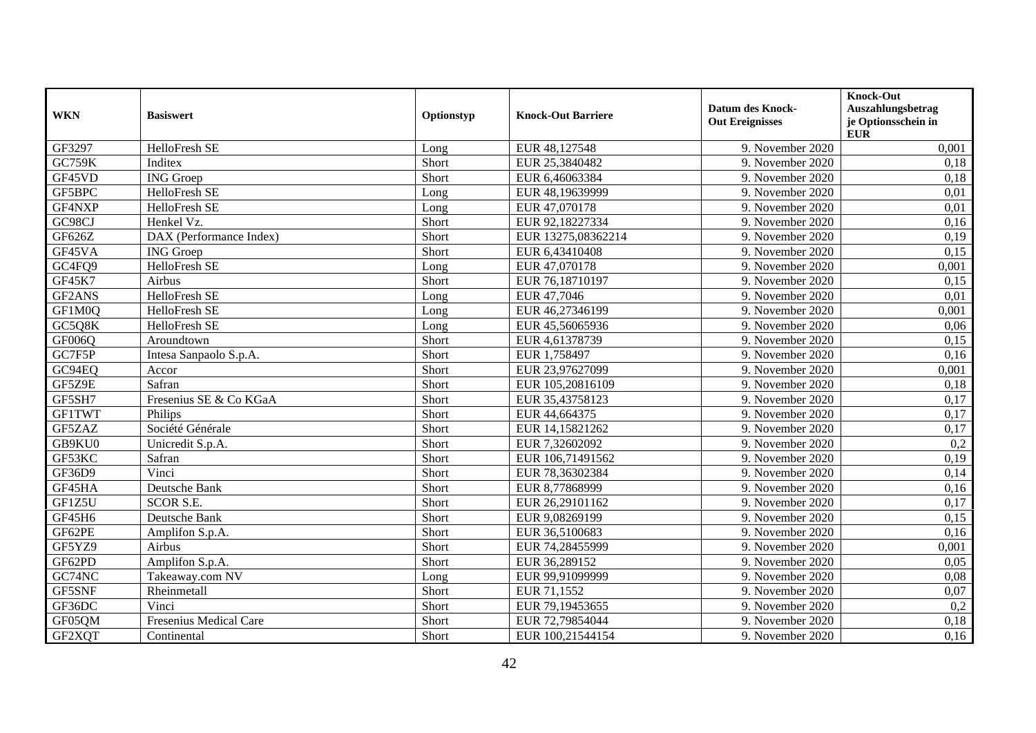| <b>WKN</b>    | <b>Basiswert</b>        | Optionstyp | <b>Knock-Out Barriere</b> | <b>Datum des Knock-</b><br><b>Out Ereignisses</b> | <b>Knock-Out</b><br>Auszahlungsbetrag<br>je Optionsschein in<br><b>EUR</b> |
|---------------|-------------------------|------------|---------------------------|---------------------------------------------------|----------------------------------------------------------------------------|
| GF3297        | HelloFresh SE           | Long       | EUR 48,127548             | 9. November 2020                                  | 0,001                                                                      |
| <b>GC759K</b> | Inditex                 | Short      | EUR 25,3840482            | 9. November 2020                                  | 0,18                                                                       |
| GF45VD        | <b>ING</b> Groep        | Short      | EUR 6,46063384            | 9. November 2020                                  | 0,18                                                                       |
| GF5BPC        | HelloFresh SE           | Long       | EUR 48,19639999           | 9. November 2020                                  | 0,01                                                                       |
| GF4NXP        | HelloFresh SE           | Long       | EUR 47,070178             | 9. November 2020                                  | 0,01                                                                       |
| GC98CJ        | Henkel Vz.              | Short      | EUR 92,18227334           | 9. November 2020                                  | 0,16                                                                       |
| GF626Z        | DAX (Performance Index) | Short      | EUR 13275,08362214        | 9. November 2020                                  | 0,19                                                                       |
| GF45VA        | <b>ING</b> Groep        | Short      | EUR 6,43410408            | 9. November 2020                                  | 0,15                                                                       |
| GC4FQ9        | <b>HelloFresh SE</b>    | Long       | EUR 47,070178             | 9. November 2020                                  | 0,001                                                                      |
| GF45K7        | Airbus                  | Short      | EUR 76,18710197           | 9. November 2020                                  | 0,15                                                                       |
| GF2ANS        | HelloFresh SE           | Long       | EUR 47,7046               | 9. November 2020                                  | 0,01                                                                       |
| GF1M0Q        | HelloFresh SE           | Long       | EUR 46,27346199           | 9. November 2020                                  | 0,001                                                                      |
| GC5Q8K        | HelloFresh SE           | Long       | EUR 45,56065936           | 9. November 2020                                  | 0,06                                                                       |
| GF006Q        | Aroundtown              | Short      | EUR 4,61378739            | 9. November 2020                                  | 0,15                                                                       |
| GC7F5P        | Intesa Sanpaolo S.p.A.  | Short      | EUR 1,758497              | 9. November 2020                                  | 0,16                                                                       |
| GC94EQ        | Accor                   | Short      | EUR 23,97627099           | 9. November 2020                                  | 0,001                                                                      |
| GF5Z9E        | Safran                  | Short      | EUR 105,20816109          | 9. November 2020                                  | 0,18                                                                       |
| GF5SH7        | Fresenius SE & Co KGaA  | Short      | EUR 35,43758123           | 9. November 2020                                  | 0,17                                                                       |
| <b>GF1TWT</b> | Philips                 | Short      | EUR 44,664375             | 9. November 2020                                  | 0,17                                                                       |
| GF5ZAZ        | Société Générale        | Short      | EUR 14,15821262           | 9. November 2020                                  | 0,17                                                                       |
| GB9KU0        | Unicredit S.p.A.        | Short      | EUR 7,32602092            | 9. November 2020                                  | 0,2                                                                        |
| GF53KC        | Safran                  | Short      | EUR 106,71491562          | 9. November 2020                                  | 0,19                                                                       |
| GF36D9        | Vinci                   | Short      | EUR 78,36302384           | 9. November 2020                                  | 0,14                                                                       |
| GF45HA        | Deutsche Bank           | Short      | EUR 8,77868999            | 9. November 2020                                  | 0,16                                                                       |
| GF1Z5U        | <b>SCOR S.E.</b>        | Short      | EUR 26,29101162           | 9. November 2020                                  | 0,17                                                                       |
| GF45H6        | Deutsche Bank           | Short      | EUR 9,08269199            | 9. November 2020                                  | 0,15                                                                       |
| GF62PE        | Amplifon S.p.A.         | Short      | EUR 36,5100683            | 9. November 2020                                  | 0,16                                                                       |
| GF5YZ9        | Airbus                  | Short      | EUR 74,28455999           | 9. November 2020                                  | 0,001                                                                      |
| GF62PD        | Amplifon S.p.A.         | Short      | EUR 36,289152             | 9. November 2020                                  | 0,05                                                                       |
| GC74NC        | Takeaway.com NV         | Long       | EUR 99,91099999           | 9. November 2020                                  | 0,08                                                                       |
| GF5SNF        | Rheinmetall             | Short      | EUR 71,1552               | 9. November 2020                                  | 0,07                                                                       |
| GF36DC        | Vinci                   | Short      | EUR 79,19453655           | 9. November 2020                                  | 0,2                                                                        |
| GF05QM        | Fresenius Medical Care  | Short      | EUR 72,79854044           | 9. November 2020                                  | 0,18                                                                       |
| GF2XQT        | Continental             | Short      | EUR 100,21544154          | 9. November 2020                                  | 0,16                                                                       |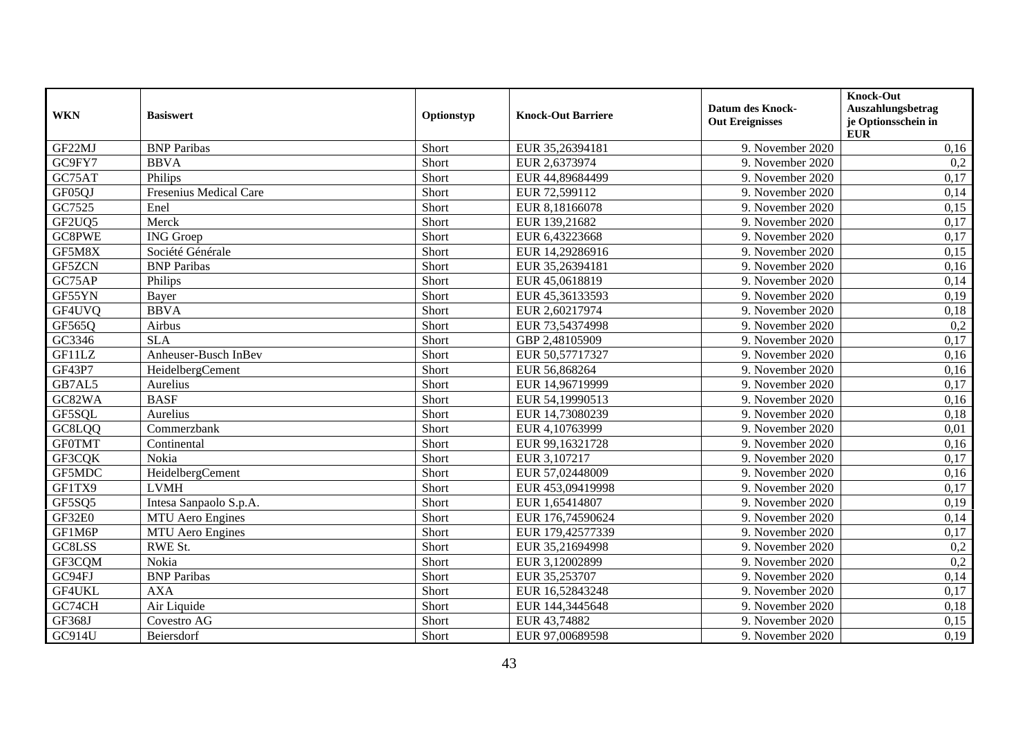| <b>WKN</b>    | <b>Basiswert</b>        | Optionstyp | <b>Knock-Out Barriere</b> | <b>Datum des Knock-</b><br><b>Out Ereignisses</b> | Knock-Out<br>Auszahlungsbetrag<br>je Optionsschein in<br><b>EUR</b> |
|---------------|-------------------------|------------|---------------------------|---------------------------------------------------|---------------------------------------------------------------------|
| GF22MJ        | <b>BNP</b> Paribas      | Short      | EUR 35,26394181           | 9. November 2020                                  | 0,16                                                                |
| GC9FY7        | <b>BBVA</b>             | Short      | EUR 2,6373974             | 9. November 2020                                  | 0,2                                                                 |
| GC75AT        | Philips                 | Short      | EUR 44,89684499           | 9. November 2020                                  | 0,17                                                                |
| GF05QJ        | Fresenius Medical Care  | Short      | EUR 72,599112             | 9. November 2020                                  | 0,14                                                                |
| GC7525        | Enel                    | Short      | EUR 8,18166078            | 9. November 2020                                  | 0,15                                                                |
| GF2UQ5        | Merck                   | Short      | EUR 139,21682             | 9. November 2020                                  | 0,17                                                                |
| <b>GC8PWE</b> | <b>ING</b> Groep        | Short      | EUR 6,43223668            | 9. November 2020                                  | 0,17                                                                |
| GF5M8X        | Société Générale        | Short      | EUR 14,29286916           | 9. November 2020                                  | 0,15                                                                |
| GF5ZCN        | <b>BNP Paribas</b>      | Short      | EUR 35,26394181           | 9. November 2020                                  | 0,16                                                                |
| GC75AP        | Philips                 | Short      | EUR 45,0618819            | 9. November 2020                                  | 0,14                                                                |
| GF55YN        | Bayer                   | Short      | EUR 45,36133593           | 9. November 2020                                  | 0,19                                                                |
| GF4UVQ        | <b>BBVA</b>             | Short      | EUR 2,60217974            | 9. November 2020                                  | 0,18                                                                |
| GF565Q        | Airbus                  | Short      | EUR 73,54374998           | 9. November 2020                                  | 0,2                                                                 |
| GC3346        | <b>SLA</b>              | Short      | GBP 2,48105909            | 9. November 2020                                  | 0,17                                                                |
| GF11LZ        | Anheuser-Busch InBev    | Short      | EUR 50,57717327           | 9. November 2020                                  | 0,16                                                                |
| GF43P7        | HeidelbergCement        | Short      | EUR 56,868264             | 9. November 2020                                  | 0,16                                                                |
| GB7AL5        | Aurelius                | Short      | EUR 14,96719999           | 9. November 2020                                  | 0,17                                                                |
| GC82WA        | <b>BASF</b>             | Short      | EUR 54,19990513           | 9. November 2020                                  | 0,16                                                                |
| GF5SQL        | Aurelius                | Short      | EUR 14,73080239           | 9. November 2020                                  | 0,18                                                                |
| GC8LQQ        | Commerzbank             | Short      | EUR 4,10763999            | 9. November 2020                                  | 0,01                                                                |
| <b>GFOTMT</b> | Continental             | Short      | EUR 99,16321728           | 9. November 2020                                  | 0,16                                                                |
| GF3CQK        | Nokia                   | Short      | EUR 3,107217              | 9. November 2020                                  | 0,17                                                                |
| GF5MDC        | HeidelbergCement        | Short      | EUR 57,02448009           | 9. November 2020                                  | 0,16                                                                |
| GF1TX9        | <b>LVMH</b>             | Short      | EUR 453,09419998          | 9. November 2020                                  | 0,17                                                                |
| GF5SQ5        | Intesa Sanpaolo S.p.A.  | Short      | EUR 1,65414807            | 9. November 2020                                  | 0,19                                                                |
| GF32E0        | <b>MTU</b> Aero Engines | Short      | EUR 176,74590624          | 9. November 2020                                  | 0,14                                                                |
| GF1M6P        | <b>MTU</b> Aero Engines | Short      | EUR 179,42577339          | 9. November 2020                                  | 0,17                                                                |
| GC8LSS        | RWE St.                 | Short      | EUR 35,21694998           | 9. November 2020                                  | 0,2                                                                 |
| GF3CQM        | Nokia                   | Short      | EUR 3,12002899            | 9. November 2020                                  | 0,2                                                                 |
| GC94FJ        | <b>BNP</b> Paribas      | Short      | EUR 35,253707             | 9. November 2020                                  | 0,14                                                                |
| GF4UKL        | <b>AXA</b>              | Short      | EUR 16,52843248           | 9. November 2020                                  | 0,17                                                                |
| GC74CH        | Air Liquide             | Short      | EUR 144,3445648           | 9. November 2020                                  | 0,18                                                                |
| <b>GF368J</b> | Covestro AG             | Short      | EUR 43,74882              | 9. November 2020                                  | 0,15                                                                |
| GC914U        | Beiersdorf              | Short      | EUR 97,00689598           | 9. November 2020                                  | 0,19                                                                |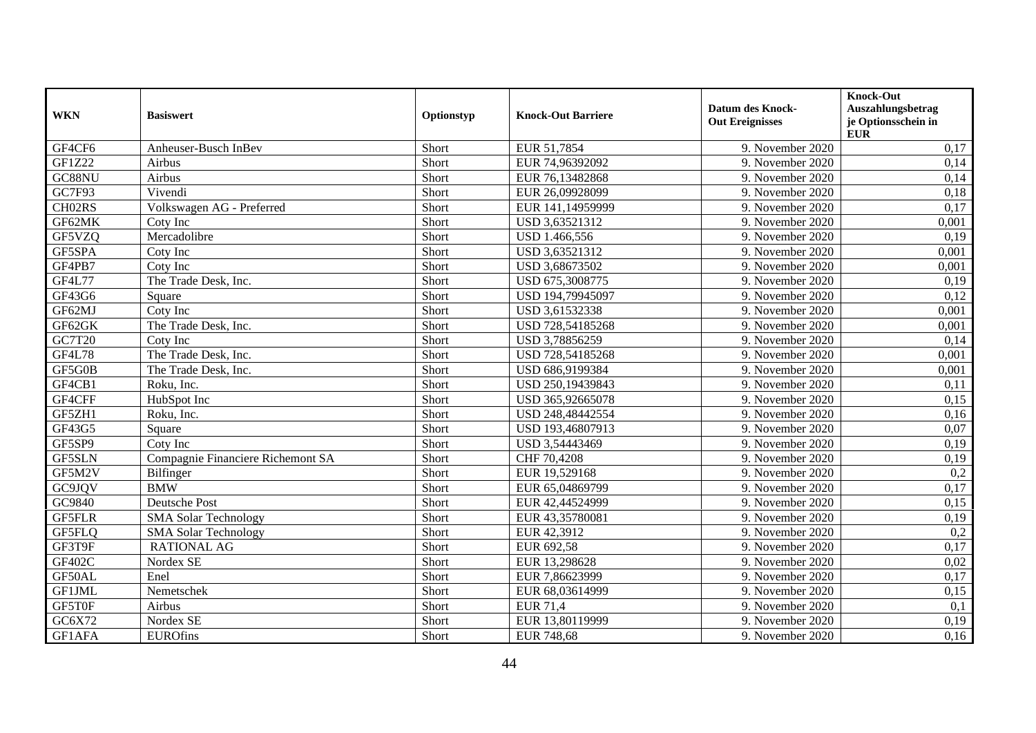| <b>WKN</b>    | <b>Basiswert</b>                  | Optionstyp | <b>Knock-Out Barriere</b> | <b>Datum des Knock-</b><br><b>Out Ereignisses</b> | Knock-Out<br><b>Auszahlungsbetrag</b><br>je Optionsschein in<br><b>EUR</b> |
|---------------|-----------------------------------|------------|---------------------------|---------------------------------------------------|----------------------------------------------------------------------------|
| GF4CF6        | Anheuser-Busch InBev              | Short      | EUR 51,7854               | 9. November 2020                                  | 0,17                                                                       |
| <b>GF1Z22</b> | Airbus                            | Short      | EUR 74,96392092           | 9. November 2020                                  | 0,14                                                                       |
| GC88NU        | Airbus                            | Short      | EUR 76,13482868           | 9. November 2020                                  | 0,14                                                                       |
| GC7F93        | Vivendi                           | Short      | EUR 26,09928099           | 9. November 2020                                  | 0,18                                                                       |
| CH02RS        | Volkswagen AG - Preferred         | Short      | EUR 141,14959999          | 9. November 2020                                  | 0,17                                                                       |
| GF62MK        | Coty Inc                          | Short      | USD 3,63521312            | 9. November 2020                                  | 0,001                                                                      |
| GF5VZQ        | Mercadolibre                      | Short      | USD 1.466,556             | 9. November 2020                                  | 0,19                                                                       |
| GF5SPA        | Coty Inc                          | Short      | USD 3,63521312            | 9. November 2020                                  | 0,001                                                                      |
| GF4PB7        | Coty Inc                          | Short      | USD 3,68673502            | 9. November 2020                                  | 0,001                                                                      |
| <b>GF4L77</b> | The Trade Desk, Inc.              | Short      | USD 675,3008775           | 9. November 2020                                  | 0,19                                                                       |
| GF43G6        | Square                            | Short      | USD 194,79945097          | 9. November 2020                                  | 0,12                                                                       |
| GF62MJ        | Coty Inc                          | Short      | USD 3,61532338            | 9. November 2020                                  | 0,001                                                                      |
| GF62GK        | The Trade Desk, Inc.              | Short      | USD 728,54185268          | 9. November 2020                                  | 0,001                                                                      |
| GC7T20        | Coty Inc                          | Short      | USD 3,78856259            | 9. November 2020                                  | 0,14                                                                       |
| <b>GF4L78</b> | The Trade Desk, Inc.              | Short      | USD 728,54185268          | 9. November 2020                                  | 0,001                                                                      |
| GF5G0B        | The Trade Desk, Inc.              | Short      | USD 686,9199384           | 9. November 2020                                  | 0,001                                                                      |
| GF4CB1        | Roku, Inc.                        | Short      | USD 250,19439843          | 9. November 2020                                  | 0,11                                                                       |
| GF4CFF        | HubSpot Inc                       | Short      | USD 365,92665078          | 9. November 2020                                  | 0,15                                                                       |
| GF5ZH1        | Roku, Inc.                        | Short      | USD 248,48442554          | 9. November 2020                                  | 0,16                                                                       |
| GF43G5        | Square                            | Short      | USD 193,46807913          | 9. November 2020                                  | 0,07                                                                       |
| GF5SP9        | Coty Inc                          | Short      | USD 3,54443469            | 9. November 2020                                  | 0,19                                                                       |
| GF5SLN        | Compagnie Financiere Richemont SA | Short      | CHF 70,4208               | 9. November 2020                                  | 0,19                                                                       |
| GF5M2V        | Bilfinger                         | Short      | EUR 19,529168             | 9. November 2020                                  | 0,2                                                                        |
| GC9JQV        | <b>BMW</b>                        | Short      | EUR 65,04869799           | 9. November 2020                                  | 0,17                                                                       |
| GC9840        | <b>Deutsche Post</b>              | Short      | EUR 42,44524999           | 9. November 2020                                  | 0,15                                                                       |
| <b>GF5FLR</b> | <b>SMA Solar Technology</b>       | Short      | EUR 43,35780081           | 9. November 2020                                  | 0,19                                                                       |
| GF5FLQ        | <b>SMA Solar Technology</b>       | Short      | EUR 42,3912               | 9. November 2020                                  | 0,2                                                                        |
| GF3T9F        | <b>RATIONAL AG</b>                | Short      | EUR 692,58                | 9. November 2020                                  | 0,17                                                                       |
| GF402C        | Nordex SE                         | Short      | EUR 13,298628             | 9. November 2020                                  | 0,02                                                                       |
| GF50AL        | Enel                              | Short      | EUR 7,86623999            | 9. November 2020                                  | 0,17                                                                       |
| GF1JML        | Nemetschek                        | Short      | EUR 68,03614999           | 9. November 2020                                  | 0,15                                                                       |
| GF5T0F        | Airbus                            | Short      | <b>EUR 71,4</b>           | 9. November 2020                                  | 0,1                                                                        |
| GC6X72        | Nordex SE                         | Short      | EUR 13,80119999           | 9. November 2020                                  | 0,19                                                                       |
| GF1AFA        | <b>EUROfins</b>                   | Short      | <b>EUR 748,68</b>         | 9. November 2020                                  | 0,16                                                                       |